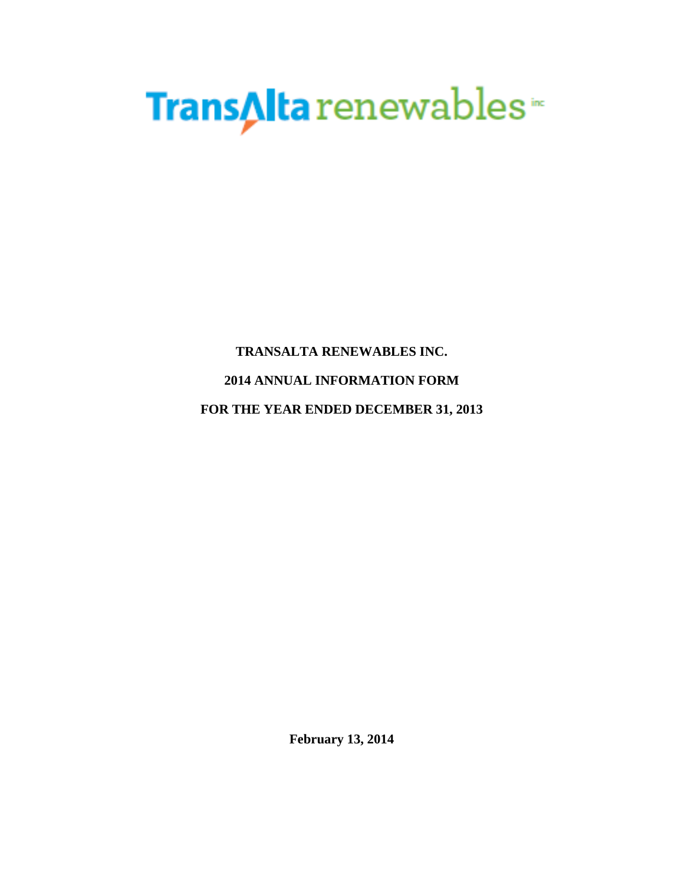# TransAlta renewables

**TRANSALTA RENEWABLES INC. 2014 ANNUAL INFORMATION FORM FOR THE YEAR ENDED DECEMBER 31, 2013** 

**February 13, 2014**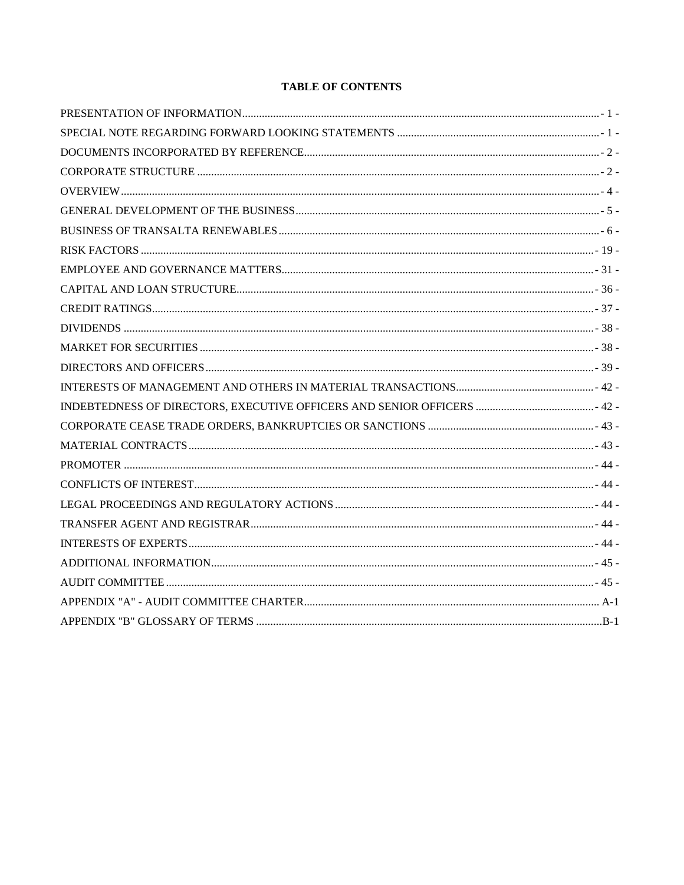# **TABLE OF CONTENTS**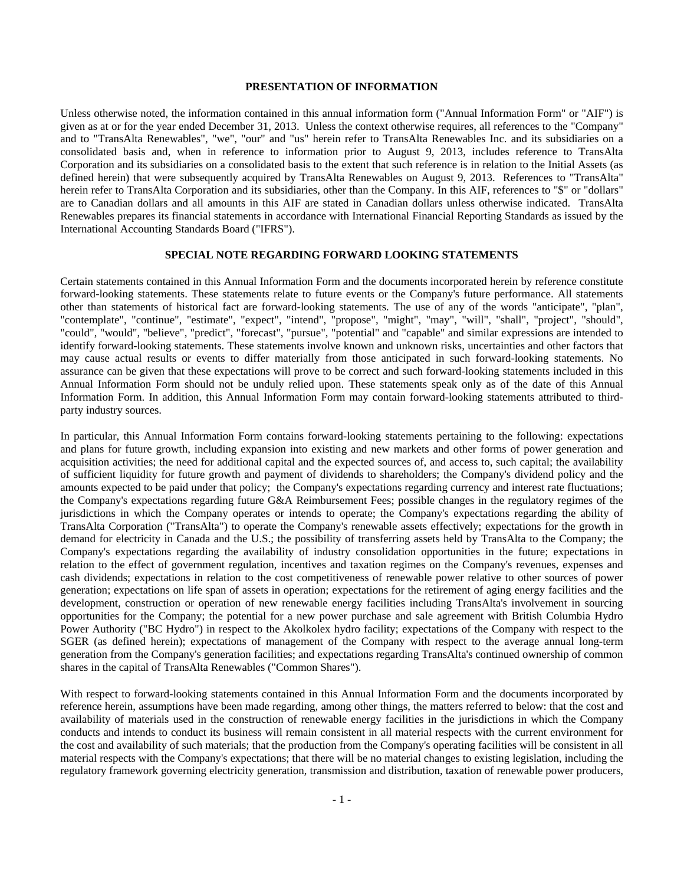# **PRESENTATION OF INFORMATION**

Unless otherwise noted, the information contained in this annual information form ("Annual Information Form" or "AIF") is given as at or for the year ended December 31, 2013. Unless the context otherwise requires, all references to the "Company" and to "TransAlta Renewables", "we", "our" and "us" herein refer to TransAlta Renewables Inc. and its subsidiaries on a consolidated basis and, when in reference to information prior to August 9, 2013, includes reference to TransAlta Corporation and its subsidiaries on a consolidated basis to the extent that such reference is in relation to the Initial Assets (as defined herein) that were subsequently acquired by TransAlta Renewables on August 9, 2013. References to "TransAlta" herein refer to TransAlta Corporation and its subsidiaries, other than the Company. In this AIF, references to "\$" or "dollars" are to Canadian dollars and all amounts in this AIF are stated in Canadian dollars unless otherwise indicated. TransAlta Renewables prepares its financial statements in accordance with International Financial Reporting Standards as issued by the International Accounting Standards Board ("IFRS").

# **SPECIAL NOTE REGARDING FORWARD LOOKING STATEMENTS**

Certain statements contained in this Annual Information Form and the documents incorporated herein by reference constitute forward-looking statements. These statements relate to future events or the Company's future performance. All statements other than statements of historical fact are forward-looking statements. The use of any of the words "anticipate", "plan", "contemplate", "continue", "estimate", "expect", "intend", "propose", "might", "may", "will", "shall", "project", "should", "could", "would", "believe", "predict", "forecast", "pursue", "potential" and "capable" and similar expressions are intended to identify forward-looking statements. These statements involve known and unknown risks, uncertainties and other factors that may cause actual results or events to differ materially from those anticipated in such forward-looking statements. No assurance can be given that these expectations will prove to be correct and such forward-looking statements included in this Annual Information Form should not be unduly relied upon. These statements speak only as of the date of this Annual Information Form. In addition, this Annual Information Form may contain forward-looking statements attributed to thirdparty industry sources.

In particular, this Annual Information Form contains forward-looking statements pertaining to the following: expectations and plans for future growth, including expansion into existing and new markets and other forms of power generation and acquisition activities; the need for additional capital and the expected sources of, and access to, such capital; the availability of sufficient liquidity for future growth and payment of dividends to shareholders; the Company's dividend policy and the amounts expected to be paid under that policy; the Company's expectations regarding currency and interest rate fluctuations; the Company's expectations regarding future G&A Reimbursement Fees; possible changes in the regulatory regimes of the jurisdictions in which the Company operates or intends to operate; the Company's expectations regarding the ability of TransAlta Corporation ("TransAlta") to operate the Company's renewable assets effectively; expectations for the growth in demand for electricity in Canada and the U.S.; the possibility of transferring assets held by TransAlta to the Company; the Company's expectations regarding the availability of industry consolidation opportunities in the future; expectations in relation to the effect of government regulation, incentives and taxation regimes on the Company's revenues, expenses and cash dividends; expectations in relation to the cost competitiveness of renewable power relative to other sources of power generation; expectations on life span of assets in operation; expectations for the retirement of aging energy facilities and the development, construction or operation of new renewable energy facilities including TransAlta's involvement in sourcing opportunities for the Company; the potential for a new power purchase and sale agreement with British Columbia Hydro Power Authority ("BC Hydro") in respect to the Akolkolex hydro facility; expectations of the Company with respect to the SGER (as defined herein); expectations of management of the Company with respect to the average annual long-term generation from the Company's generation facilities; and expectations regarding TransAlta's continued ownership of common shares in the capital of TransAlta Renewables ("Common Shares").

With respect to forward-looking statements contained in this Annual Information Form and the documents incorporated by reference herein, assumptions have been made regarding, among other things, the matters referred to below: that the cost and availability of materials used in the construction of renewable energy facilities in the jurisdictions in which the Company conducts and intends to conduct its business will remain consistent in all material respects with the current environment for the cost and availability of such materials; that the production from the Company's operating facilities will be consistent in all material respects with the Company's expectations; that there will be no material changes to existing legislation, including the regulatory framework governing electricity generation, transmission and distribution, taxation of renewable power producers,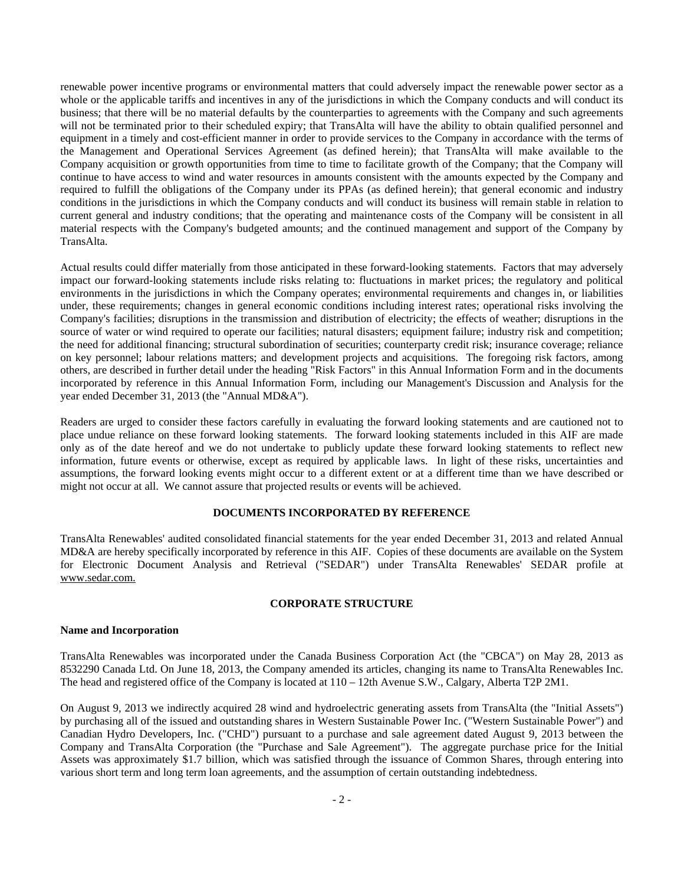renewable power incentive programs or environmental matters that could adversely impact the renewable power sector as a whole or the applicable tariffs and incentives in any of the jurisdictions in which the Company conducts and will conduct its business; that there will be no material defaults by the counterparties to agreements with the Company and such agreements will not be terminated prior to their scheduled expiry; that TransAlta will have the ability to obtain qualified personnel and equipment in a timely and cost-efficient manner in order to provide services to the Company in accordance with the terms of the Management and Operational Services Agreement (as defined herein); that TransAlta will make available to the Company acquisition or growth opportunities from time to time to facilitate growth of the Company; that the Company will continue to have access to wind and water resources in amounts consistent with the amounts expected by the Company and required to fulfill the obligations of the Company under its PPAs (as defined herein); that general economic and industry conditions in the jurisdictions in which the Company conducts and will conduct its business will remain stable in relation to current general and industry conditions; that the operating and maintenance costs of the Company will be consistent in all material respects with the Company's budgeted amounts; and the continued management and support of the Company by TransAlta.

Actual results could differ materially from those anticipated in these forward-looking statements. Factors that may adversely impact our forward-looking statements include risks relating to: fluctuations in market prices; the regulatory and political environments in the jurisdictions in which the Company operates; environmental requirements and changes in, or liabilities under, these requirements; changes in general economic conditions including interest rates; operational risks involving the Company's facilities; disruptions in the transmission and distribution of electricity; the effects of weather; disruptions in the source of water or wind required to operate our facilities; natural disasters; equipment failure; industry risk and competition; the need for additional financing; structural subordination of securities; counterparty credit risk; insurance coverage; reliance on key personnel; labour relations matters; and development projects and acquisitions. The foregoing risk factors, among others, are described in further detail under the heading "Risk Factors" in this Annual Information Form and in the documents incorporated by reference in this Annual Information Form, including our Management's Discussion and Analysis for the year ended December 31, 2013 (the "Annual MD&A").

Readers are urged to consider these factors carefully in evaluating the forward looking statements and are cautioned not to place undue reliance on these forward looking statements. The forward looking statements included in this AIF are made only as of the date hereof and we do not undertake to publicly update these forward looking statements to reflect new information, future events or otherwise, except as required by applicable laws. In light of these risks, uncertainties and assumptions, the forward looking events might occur to a different extent or at a different time than we have described or might not occur at all. We cannot assure that projected results or events will be achieved.

## **DOCUMENTS INCORPORATED BY REFERENCE**

TransAlta Renewables' audited consolidated financial statements for the year ended December 31, 2013 and related Annual MD&A are hereby specifically incorporated by reference in this AIF. Copies of these documents are available on the System for Electronic Document Analysis and Retrieval ("SEDAR") under TransAlta Renewables' SEDAR profile at www.sedar.com.

# **CORPORATE STRUCTURE**

## **Name and Incorporation**

TransAlta Renewables was incorporated under the Canada Business Corporation Act (the "CBCA") on May 28, 2013 as 8532290 Canada Ltd. On June 18, 2013, the Company amended its articles, changing its name to TransAlta Renewables Inc. The head and registered office of the Company is located at 110 – 12th Avenue S.W., Calgary, Alberta T2P 2M1.

On August 9, 2013 we indirectly acquired 28 wind and hydroelectric generating assets from TransAlta (the "Initial Assets") by purchasing all of the issued and outstanding shares in Western Sustainable Power Inc. ("Western Sustainable Power") and Canadian Hydro Developers, Inc. ("CHD") pursuant to a purchase and sale agreement dated August 9, 2013 between the Company and TransAlta Corporation (the "Purchase and Sale Agreement"). The aggregate purchase price for the Initial Assets was approximately \$1.7 billion, which was satisfied through the issuance of Common Shares, through entering into various short term and long term loan agreements, and the assumption of certain outstanding indebtedness.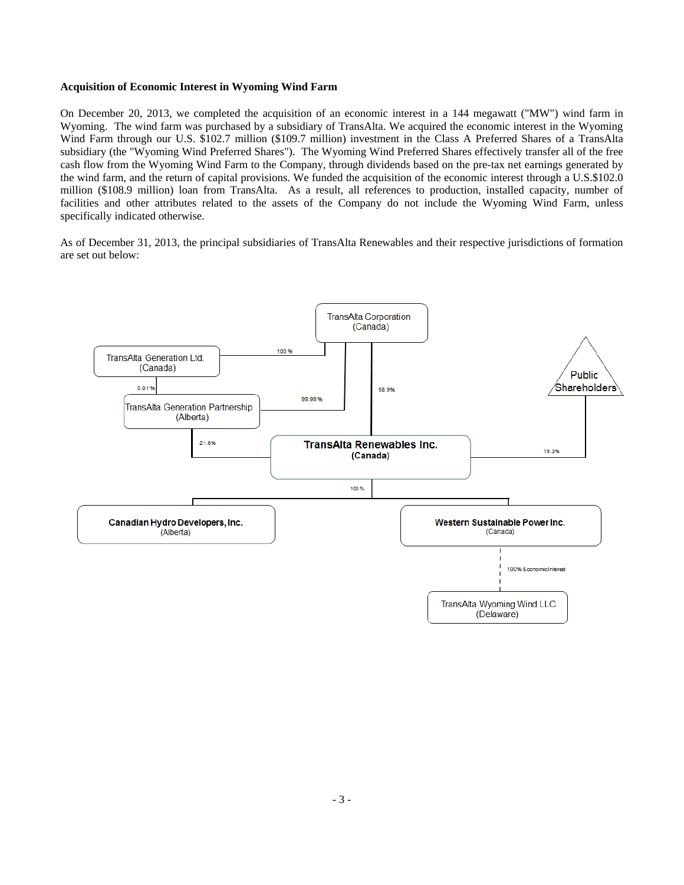# **Acquisition of Economic Interest in Wyoming Wind Farm**

On December 20, 2013, we completed the acquisition of an economic interest in a 144 megawatt ("MW") wind farm in Wyoming. The wind farm was purchased by a subsidiary of TransAlta. We acquired the economic interest in the Wyoming Wind Farm through our U.S. \$102.7 million (\$109.7 million) investment in the Class A Preferred Shares of a TransAlta subsidiary (the "Wyoming Wind Preferred Shares"). The Wyoming Wind Preferred Shares effectively transfer all of the free cash flow from the Wyoming Wind Farm to the Company, through dividends based on the pre-tax net earnings generated by the wind farm, and the return of capital provisions. We funded the acquisition of the economic interest through a U.S.\$102.0 million (\$108.9 million) loan from TransAlta. As a result, all references to production, installed capacity, number of facilities and other attributes related to the assets of the Company do not include the Wyoming Wind Farm, unless specifically indicated otherwise.

As of December 31, 2013, the principal subsidiaries of TransAlta Renewables and their respective jurisdictions of formation are set out below:

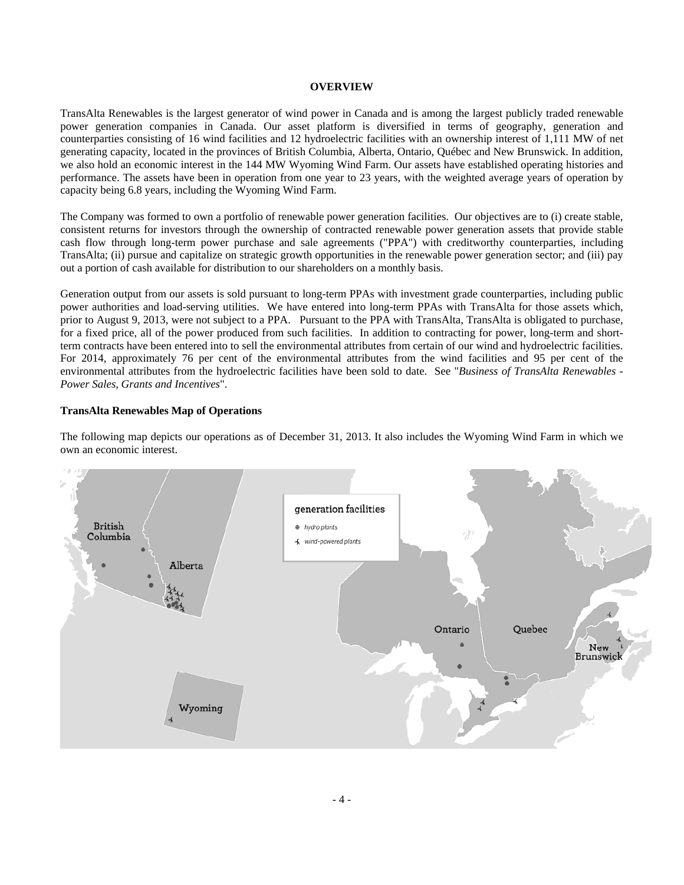# **OVERVIEW**

TransAlta Renewables is the largest generator of wind power in Canada and is among the largest publicly traded renewable power generation companies in Canada. Our asset platform is diversified in terms of geography, generation and counterparties consisting of 16 wind facilities and 12 hydroelectric facilities with an ownership interest of 1,111 MW of net generating capacity, located in the provinces of British Columbia, Alberta, Ontario, Québec and New Brunswick. In addition, we also hold an economic interest in the 144 MW Wyoming Wind Farm. Our assets have established operating histories and performance. The assets have been in operation from one year to 23 years, with the weighted average years of operation by capacity being 6.8 years, including the Wyoming Wind Farm.

The Company was formed to own a portfolio of renewable power generation facilities. Our objectives are to (i) create stable, consistent returns for investors through the ownership of contracted renewable power generation assets that provide stable cash flow through long-term power purchase and sale agreements ("PPA") with creditworthy counterparties, including TransAlta; (ii) pursue and capitalize on strategic growth opportunities in the renewable power generation sector; and (iii) pay out a portion of cash available for distribution to our shareholders on a monthly basis.

Generation output from our assets is sold pursuant to long-term PPAs with investment grade counterparties, including public power authorities and load-serving utilities. We have entered into long-term PPAs with TransAlta for those assets which, prior to August 9, 2013, were not subject to a PPA. Pursuant to the PPA with TransAlta, TransAlta is obligated to purchase, for a fixed price, all of the power produced from such facilities. In addition to contracting for power, long-term and shortterm contracts have been entered into to sell the environmental attributes from certain of our wind and hydroelectric facilities. For 2014, approximately 76 per cent of the environmental attributes from the wind facilities and 95 per cent of the environmental attributes from the hydroelectric facilities have been sold to date. See "*Business of TransAlta Renewables - Power Sales, Grants and Incentives*".

## **TransAlta Renewables Map of Operations**

The following map depicts our operations as of December 31, 2013. It also includes the Wyoming Wind Farm in which we own an economic interest.

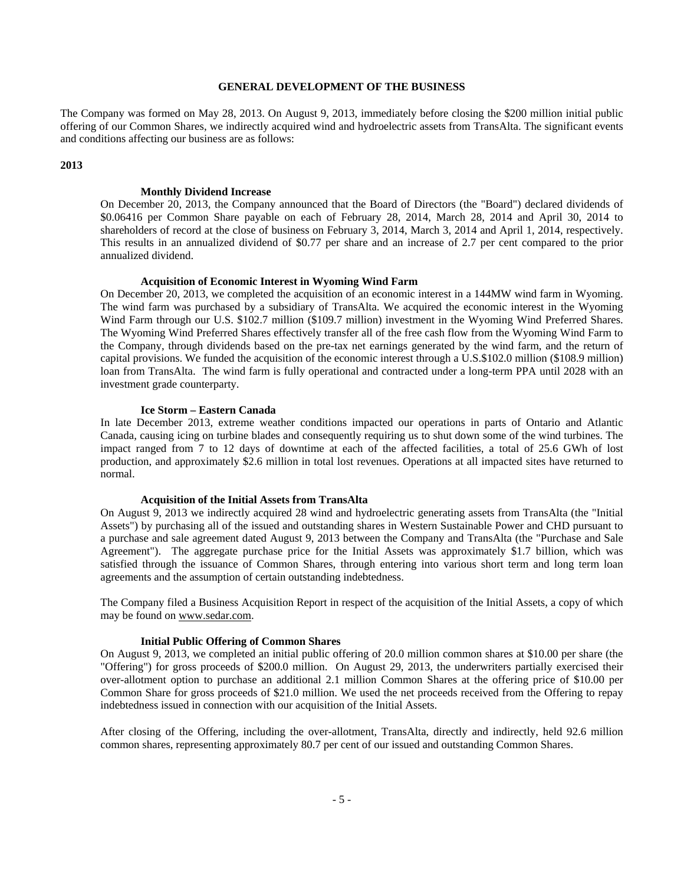# **GENERAL DEVELOPMENT OF THE BUSINESS**

The Company was formed on May 28, 2013. On August 9, 2013, immediately before closing the \$200 million initial public offering of our Common Shares, we indirectly acquired wind and hydroelectric assets from TransAlta. The significant events and conditions affecting our business are as follows:

# **2013**

#### **Monthly Dividend Increase**

On December 20, 2013, the Company announced that the Board of Directors (the "Board") declared dividends of \$0.06416 per Common Share payable on each of February 28, 2014, March 28, 2014 and April 30, 2014 to shareholders of record at the close of business on February 3, 2014, March 3, 2014 and April 1, 2014, respectively. This results in an annualized dividend of \$0.77 per share and an increase of 2.7 per cent compared to the prior annualized dividend.

# **Acquisition of Economic Interest in Wyoming Wind Farm**

On December 20, 2013, we completed the acquisition of an economic interest in a 144MW wind farm in Wyoming. The wind farm was purchased by a subsidiary of TransAlta. We acquired the economic interest in the Wyoming Wind Farm through our U.S. \$102.7 million (\$109.7 million) investment in the Wyoming Wind Preferred Shares. The Wyoming Wind Preferred Shares effectively transfer all of the free cash flow from the Wyoming Wind Farm to the Company, through dividends based on the pre-tax net earnings generated by the wind farm, and the return of capital provisions. We funded the acquisition of the economic interest through a U.S.\$102.0 million (\$108.9 million) loan from TransAlta. The wind farm is fully operational and contracted under a long-term PPA until 2028 with an investment grade counterparty.

#### **Ice Storm – Eastern Canada**

In late December 2013, extreme weather conditions impacted our operations in parts of Ontario and Atlantic Canada, causing icing on turbine blades and consequently requiring us to shut down some of the wind turbines. The impact ranged from 7 to 12 days of downtime at each of the affected facilities, a total of 25.6 GWh of lost production, and approximately \$2.6 million in total lost revenues. Operations at all impacted sites have returned to normal.

#### **Acquisition of the Initial Assets from TransAlta**

On August 9, 2013 we indirectly acquired 28 wind and hydroelectric generating assets from TransAlta (the "Initial Assets") by purchasing all of the issued and outstanding shares in Western Sustainable Power and CHD pursuant to a purchase and sale agreement dated August 9, 2013 between the Company and TransAlta (the "Purchase and Sale Agreement"). The aggregate purchase price for the Initial Assets was approximately \$1.7 billion, which was satisfied through the issuance of Common Shares, through entering into various short term and long term loan agreements and the assumption of certain outstanding indebtedness.

The Company filed a Business Acquisition Report in respect of the acquisition of the Initial Assets, a copy of which may be found on www.sedar.com.

# **Initial Public Offering of Common Shares**

On August 9, 2013, we completed an initial public offering of 20.0 million common shares at \$10.00 per share (the "Offering") for gross proceeds of \$200.0 million. On August 29, 2013, the underwriters partially exercised their over-allotment option to purchase an additional 2.1 million Common Shares at the offering price of \$10.00 per Common Share for gross proceeds of \$21.0 million. We used the net proceeds received from the Offering to repay indebtedness issued in connection with our acquisition of the Initial Assets.

After closing of the Offering, including the over-allotment, TransAlta, directly and indirectly, held 92.6 million common shares, representing approximately 80.7 per cent of our issued and outstanding Common Shares.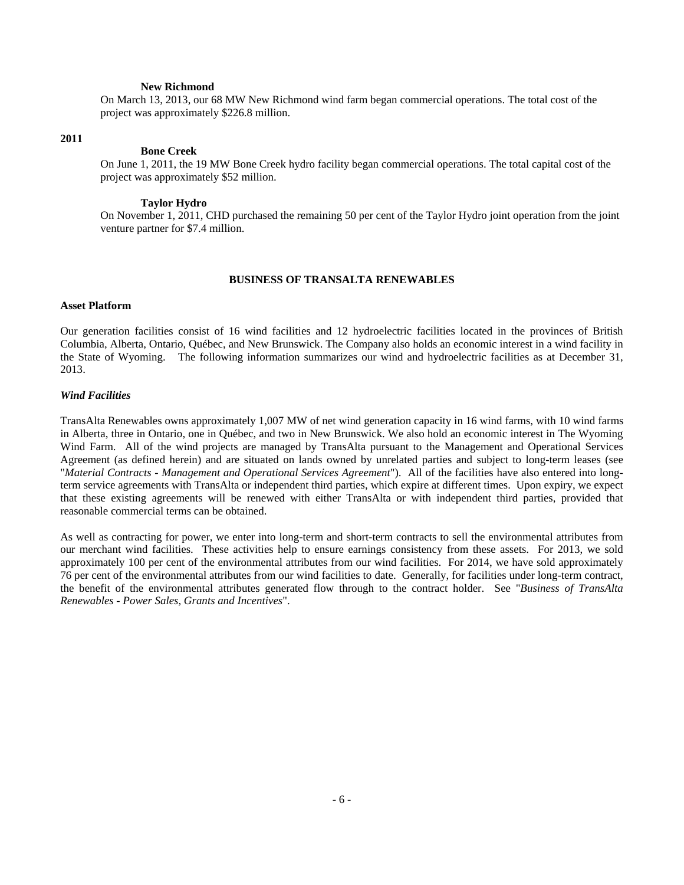# **New Richmond**

On March 13, 2013, our 68 MW New Richmond wind farm began commercial operations. The total cost of the project was approximately \$226.8 million.

## **2011**

#### **Bone Creek**

On June 1, 2011, the 19 MW Bone Creek hydro facility began commercial operations. The total capital cost of the project was approximately \$52 million.

# **Taylor Hydro**

On November 1, 2011, CHD purchased the remaining 50 per cent of the Taylor Hydro joint operation from the joint venture partner for \$7.4 million.

#### **BUSINESS OF TRANSALTA RENEWABLES**

#### **Asset Platform**

Our generation facilities consist of 16 wind facilities and 12 hydroelectric facilities located in the provinces of British Columbia, Alberta, Ontario, Québec, and New Brunswick. The Company also holds an economic interest in a wind facility in the State of Wyoming. The following information summarizes our wind and hydroelectric facilities as at December 31, 2013.

#### *Wind Facilities*

TransAlta Renewables owns approximately 1,007 MW of net wind generation capacity in 16 wind farms, with 10 wind farms in Alberta, three in Ontario, one in Québec, and two in New Brunswick. We also hold an economic interest in The Wyoming Wind Farm. All of the wind projects are managed by TransAlta pursuant to the Management and Operational Services Agreement (as defined herein) and are situated on lands owned by unrelated parties and subject to long-term leases (see "*Material Contracts - Management and Operational Services Agreement*"). All of the facilities have also entered into longterm service agreements with TransAlta or independent third parties, which expire at different times. Upon expiry, we expect that these existing agreements will be renewed with either TransAlta or with independent third parties, provided that reasonable commercial terms can be obtained.

As well as contracting for power, we enter into long-term and short-term contracts to sell the environmental attributes from our merchant wind facilities. These activities help to ensure earnings consistency from these assets. For 2013, we sold approximately 100 per cent of the environmental attributes from our wind facilities. For 2014, we have sold approximately 76 per cent of the environmental attributes from our wind facilities to date. Generally, for facilities under long-term contract, the benefit of the environmental attributes generated flow through to the contract holder. See "*Business of TransAlta Renewables - Power Sales, Grants and Incentives*".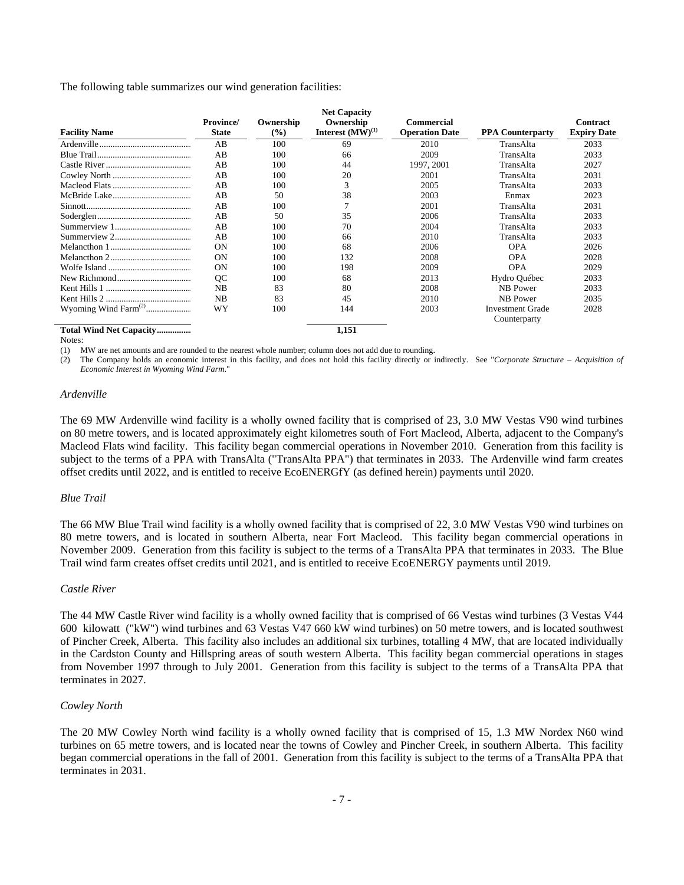The following table summarizes our wind generation facilities:

| <b>Facility Name</b>             | <b>Province</b> /<br><b>State</b> | Ownership<br>$\frac{9}{6}$ | <b>Net Capacity</b><br>Ownership<br>Interest $(MW)^{(1)}$ | Commercial<br><b>Operation Date</b> | <b>PPA Counterparty</b> | <b>Contract</b><br><b>Expiry Date</b> |
|----------------------------------|-----------------------------------|----------------------------|-----------------------------------------------------------|-------------------------------------|-------------------------|---------------------------------------|
|                                  | AB                                | 100                        | 69                                                        | 2010                                | TransAlta               | 2033                                  |
|                                  | AB                                | 100                        | 66                                                        | 2009                                | TransAlta               | 2033                                  |
|                                  | AB                                | 100                        | 44                                                        | 1997, 2001                          | TransAlta               | 2027                                  |
|                                  | AB                                | 100                        | 20                                                        | 2001                                | TransAlta               | 2031                                  |
|                                  | AB                                | 100                        | 3                                                         | 2005                                | TransAlta               | 2033                                  |
|                                  | AB                                | 50                         | 38                                                        | 2003                                | Enmax                   | 2023                                  |
|                                  | AB                                | 100                        |                                                           | 2001                                | TransAlta               | 2031                                  |
|                                  | AB                                | 50                         | 35                                                        | 2006                                | TransAlta               | 2033                                  |
|                                  | AB                                | 100                        | 70                                                        | 2004                                | TransAlta               | 2033                                  |
|                                  | AB                                | 100                        | 66                                                        | 2010                                | TransAlta               | 2033                                  |
|                                  | <b>ON</b>                         | 100                        | 68                                                        | 2006                                | <b>OPA</b>              | 2026                                  |
|                                  | <b>ON</b>                         | 100                        | 132                                                       | 2008                                | <b>OPA</b>              | 2028                                  |
|                                  | ON                                | 100                        | 198                                                       | 2009                                | <b>OPA</b>              | 2029                                  |
|                                  | OC                                | 100                        | 68                                                        | 2013                                | Hydro Québec            | 2033                                  |
|                                  | NB                                | 83                         | 80                                                        | 2008                                | NB Power                | 2033                                  |
|                                  | NB                                | 83                         | 45                                                        | 2010                                | NB Power                | 2035                                  |
| Wyoming Wind Farm <sup>(2)</sup> | WY                                | 100                        | 144                                                       | 2003                                | <b>Investment Grade</b> | 2028                                  |
|                                  |                                   |                            |                                                           |                                     | Counterparty            |                                       |
| Total Wind Net Capacity          |                                   |                            | 1,151                                                     |                                     |                         |                                       |

Notes:

(1) MW are net amounts and are rounded to the nearest whole number; column does not add due to rounding.

(2) The Company holds an economic interest in this facility, and does not hold this facility directly or indirectly. See "*Corporate Structure – Acquisition of Economic Interest in Wyoming Wind Farm*."

## *Ardenville*

The 69 MW Ardenville wind facility is a wholly owned facility that is comprised of 23, 3.0 MW Vestas V90 wind turbines on 80 metre towers, and is located approximately eight kilometres south of Fort Macleod, Alberta, adjacent to the Company's Macleod Flats wind facility. This facility began commercial operations in November 2010. Generation from this facility is subject to the terms of a PPA with TransAlta ("TransAlta PPA") that terminates in 2033. The Ardenville wind farm creates offset credits until 2022, and is entitled to receive EcoENERGfY (as defined herein) payments until 2020.

# *Blue Trail*

The 66 MW Blue Trail wind facility is a wholly owned facility that is comprised of 22, 3.0 MW Vestas V90 wind turbines on 80 metre towers, and is located in southern Alberta, near Fort Macleod. This facility began commercial operations in November 2009. Generation from this facility is subject to the terms of a TransAlta PPA that terminates in 2033. The Blue Trail wind farm creates offset credits until 2021, and is entitled to receive EcoENERGY payments until 2019.

# *Castle River*

The 44 MW Castle River wind facility is a wholly owned facility that is comprised of 66 Vestas wind turbines (3 Vestas V44 600 kilowatt ("kW") wind turbines and 63 Vestas V47 660 kW wind turbines) on 50 metre towers, and is located southwest of Pincher Creek, Alberta. This facility also includes an additional six turbines, totalling 4 MW, that are located individually in the Cardston County and Hillspring areas of south western Alberta. This facility began commercial operations in stages from November 1997 through to July 2001. Generation from this facility is subject to the terms of a TransAlta PPA that terminates in 2027.

# *Cowley North*

The 20 MW Cowley North wind facility is a wholly owned facility that is comprised of 15, 1.3 MW Nordex N60 wind turbines on 65 metre towers, and is located near the towns of Cowley and Pincher Creek, in southern Alberta. This facility began commercial operations in the fall of 2001. Generation from this facility is subject to the terms of a TransAlta PPA that terminates in 2031.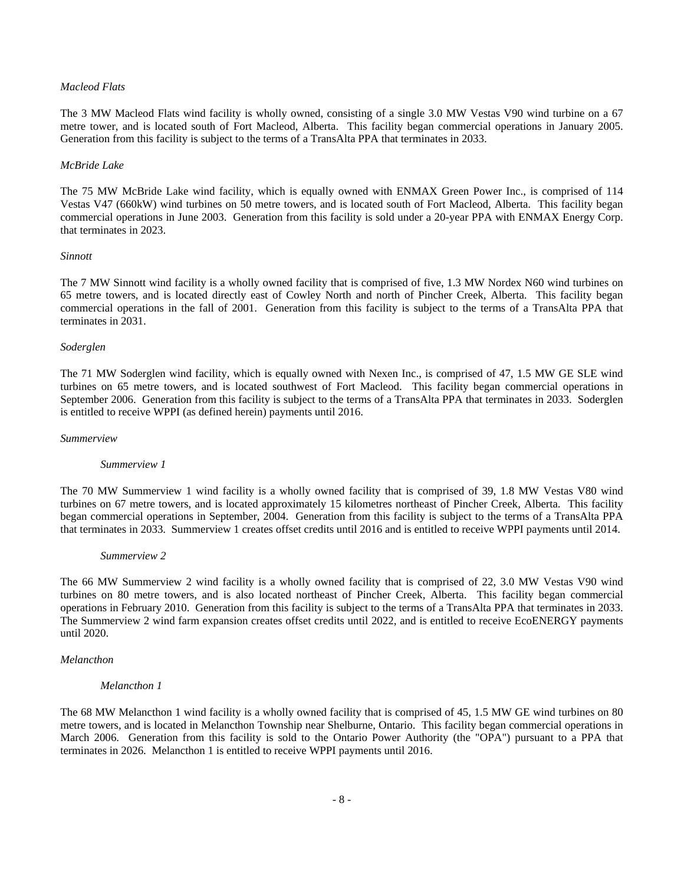# *Macleod Flats*

The 3 MW Macleod Flats wind facility is wholly owned, consisting of a single 3.0 MW Vestas V90 wind turbine on a 67 metre tower, and is located south of Fort Macleod, Alberta. This facility began commercial operations in January 2005. Generation from this facility is subject to the terms of a TransAlta PPA that terminates in 2033.

## *McBride Lake*

The 75 MW McBride Lake wind facility, which is equally owned with ENMAX Green Power Inc., is comprised of 114 Vestas V47 (660kW) wind turbines on 50 metre towers, and is located south of Fort Macleod, Alberta. This facility began commercial operations in June 2003. Generation from this facility is sold under a 20-year PPA with ENMAX Energy Corp. that terminates in 2023.

#### *Sinnott*

The 7 MW Sinnott wind facility is a wholly owned facility that is comprised of five, 1.3 MW Nordex N60 wind turbines on 65 metre towers, and is located directly east of Cowley North and north of Pincher Creek, Alberta. This facility began commercial operations in the fall of 2001. Generation from this facility is subject to the terms of a TransAlta PPA that terminates in 2031.

## *Soderglen*

The 71 MW Soderglen wind facility, which is equally owned with Nexen Inc., is comprised of 47, 1.5 MW GE SLE wind turbines on 65 metre towers, and is located southwest of Fort Macleod. This facility began commercial operations in September 2006. Generation from this facility is subject to the terms of a TransAlta PPA that terminates in 2033. Soderglen is entitled to receive WPPI (as defined herein) payments until 2016.

## *Summerview*

#### *Summerview 1*

The 70 MW Summerview 1 wind facility is a wholly owned facility that is comprised of 39, 1.8 MW Vestas V80 wind turbines on 67 metre towers, and is located approximately 15 kilometres northeast of Pincher Creek, Alberta. This facility began commercial operations in September, 2004. Generation from this facility is subject to the terms of a TransAlta PPA that terminates in 2033. Summerview 1 creates offset credits until 2016 and is entitled to receive WPPI payments until 2014.

#### *Summerview 2*

The 66 MW Summerview 2 wind facility is a wholly owned facility that is comprised of 22, 3.0 MW Vestas V90 wind turbines on 80 metre towers, and is also located northeast of Pincher Creek, Alberta. This facility began commercial operations in February 2010. Generation from this facility is subject to the terms of a TransAlta PPA that terminates in 2033. The Summerview 2 wind farm expansion creates offset credits until 2022, and is entitled to receive EcoENERGY payments until 2020.

#### *Melancthon*

#### *Melancthon 1*

The 68 MW Melancthon 1 wind facility is a wholly owned facility that is comprised of 45, 1.5 MW GE wind turbines on 80 metre towers, and is located in Melancthon Township near Shelburne, Ontario. This facility began commercial operations in March 2006. Generation from this facility is sold to the Ontario Power Authority (the "OPA") pursuant to a PPA that terminates in 2026. Melancthon 1 is entitled to receive WPPI payments until 2016.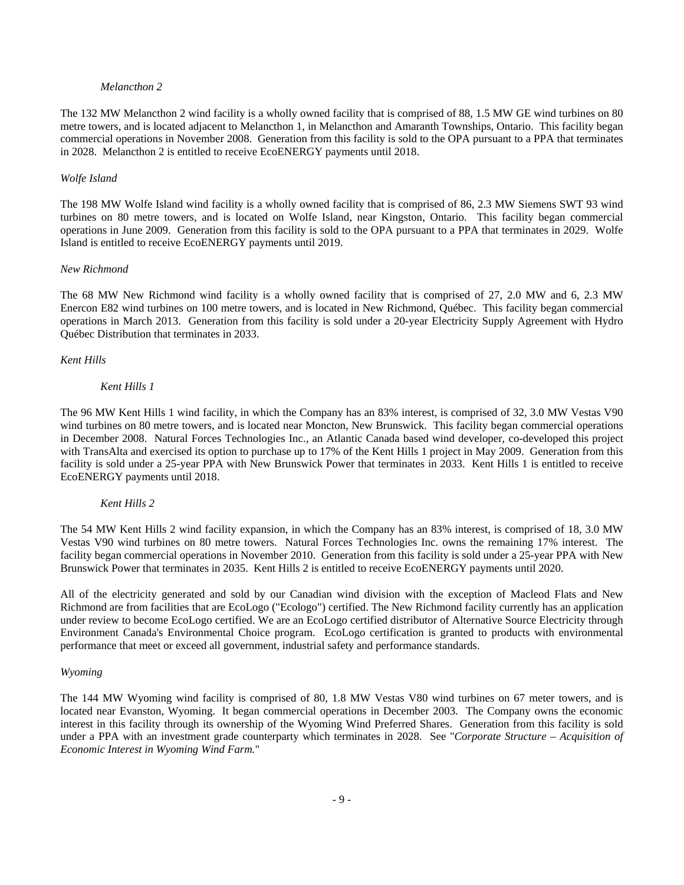# *Melancthon 2*

The 132 MW Melancthon 2 wind facility is a wholly owned facility that is comprised of 88, 1.5 MW GE wind turbines on 80 metre towers, and is located adjacent to Melancthon 1, in Melancthon and Amaranth Townships, Ontario. This facility began commercial operations in November 2008. Generation from this facility is sold to the OPA pursuant to a PPA that terminates in 2028. Melancthon 2 is entitled to receive EcoENERGY payments until 2018.

# *Wolfe Island*

The 198 MW Wolfe Island wind facility is a wholly owned facility that is comprised of 86, 2.3 MW Siemens SWT 93 wind turbines on 80 metre towers, and is located on Wolfe Island, near Kingston, Ontario. This facility began commercial operations in June 2009. Generation from this facility is sold to the OPA pursuant to a PPA that terminates in 2029. Wolfe Island is entitled to receive EcoENERGY payments until 2019.

# *New Richmond*

The 68 MW New Richmond wind facility is a wholly owned facility that is comprised of 27, 2.0 MW and 6, 2.3 MW Enercon E82 wind turbines on 100 metre towers, and is located in New Richmond, Québec. This facility began commercial operations in March 2013. Generation from this facility is sold under a 20-year Electricity Supply Agreement with Hydro Québec Distribution that terminates in 2033.

# *Kent Hills*

# *Kent Hills 1*

The 96 MW Kent Hills 1 wind facility, in which the Company has an 83% interest, is comprised of 32, 3.0 MW Vestas V90 wind turbines on 80 metre towers, and is located near Moncton, New Brunswick. This facility began commercial operations in December 2008. Natural Forces Technologies Inc., an Atlantic Canada based wind developer, co-developed this project with TransAlta and exercised its option to purchase up to 17% of the Kent Hills 1 project in May 2009. Generation from this facility is sold under a 25-year PPA with New Brunswick Power that terminates in 2033. Kent Hills 1 is entitled to receive EcoENERGY payments until 2018.

# *Kent Hills 2*

The 54 MW Kent Hills 2 wind facility expansion, in which the Company has an 83% interest, is comprised of 18, 3.0 MW Vestas V90 wind turbines on 80 metre towers. Natural Forces Technologies Inc. owns the remaining 17% interest. The facility began commercial operations in November 2010. Generation from this facility is sold under a 25-year PPA with New Brunswick Power that terminates in 2035. Kent Hills 2 is entitled to receive EcoENERGY payments until 2020.

All of the electricity generated and sold by our Canadian wind division with the exception of Macleod Flats and New Richmond are from facilities that are EcoLogo ("Ecologo") certified. The New Richmond facility currently has an application under review to become EcoLogo certified. We are an EcoLogo certified distributor of Alternative Source Electricity through Environment Canada's Environmental Choice program. EcoLogo certification is granted to products with environmental performance that meet or exceed all government, industrial safety and performance standards.

# *Wyoming*

The 144 MW Wyoming wind facility is comprised of 80, 1.8 MW Vestas V80 wind turbines on 67 meter towers, and is located near Evanston, Wyoming. It began commercial operations in December 2003. The Company owns the economic interest in this facility through its ownership of the Wyoming Wind Preferred Shares. Generation from this facility is sold under a PPA with an investment grade counterparty which terminates in 2028. See "*Corporate Structure – Acquisition of Economic Interest in Wyoming Wind Farm.*"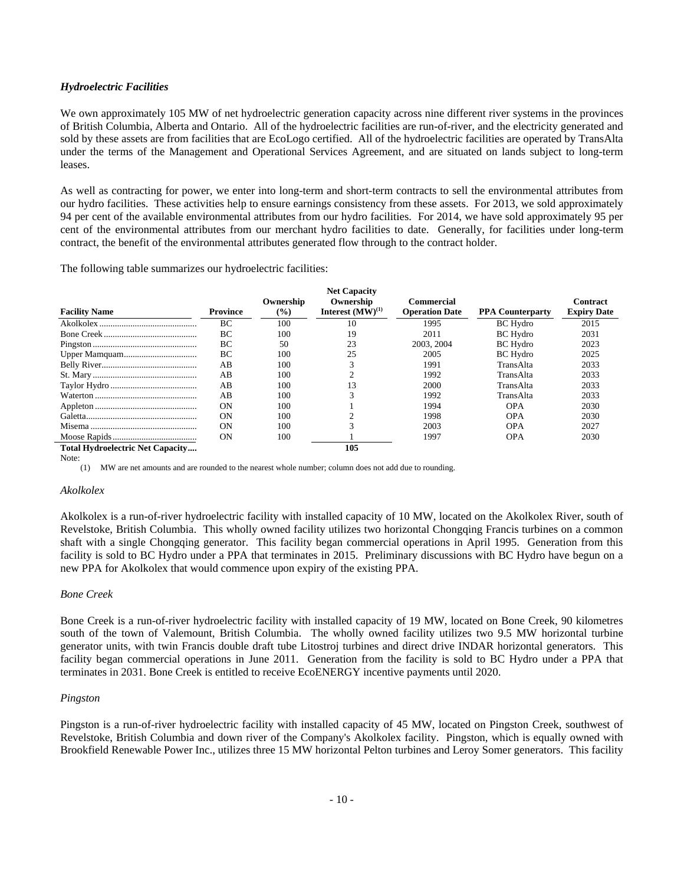# *Hydroelectric Facilities*

We own approximately 105 MW of net hydroelectric generation capacity across nine different river systems in the provinces of British Columbia, Alberta and Ontario. All of the hydroelectric facilities are run-of-river, and the electricity generated and sold by these assets are from facilities that are EcoLogo certified. All of the hydroelectric facilities are operated by TransAlta under the terms of the Management and Operational Services Agreement, and are situated on lands subject to long-term leases.

As well as contracting for power, we enter into long-term and short-term contracts to sell the environmental attributes from our hydro facilities. These activities help to ensure earnings consistency from these assets. For 2013, we sold approximately 94 per cent of the available environmental attributes from our hydro facilities. For 2014, we have sold approximately 95 per cent of the environmental attributes from our merchant hydro facilities to date. Generally, for facilities under long-term contract, the benefit of the environmental attributes generated flow through to the contract holder.

The following table summarizes our hydroelectric facilities:

|                                         |                 | Ownership      | <b>Net Capacity</b><br>Ownership | Commercial            |                         | Contract           |
|-----------------------------------------|-----------------|----------------|----------------------------------|-----------------------|-------------------------|--------------------|
| <b>Facility Name</b>                    | <b>Province</b> | $\binom{0}{0}$ | Interest $(MW)^{(1)}$            | <b>Operation Date</b> | <b>PPA Counterparty</b> | <b>Expiry Date</b> |
|                                         | ВC              | 100            | 10                               | 1995                  | <b>BC</b> Hydro         | 2015               |
|                                         | ВC              | 100            | 19                               | 2011                  | <b>BC</b> Hydro         | 2031               |
|                                         | BC              | 50             | 23                               | 2003, 2004            | <b>BC</b> Hydro         | 2023               |
|                                         | BC              | 100            | 25                               | 2005                  | <b>BC</b> Hydro         | 2025               |
|                                         | AB              | 100            |                                  | 1991                  | TransAlta               | 2033               |
|                                         | AB              | 100            |                                  | 1992                  | TransAlta               | 2033               |
|                                         | AB              | 100            |                                  | 2000                  | TransAlta               | 2033               |
|                                         | AВ              | 100            |                                  | 1992                  | TransAlta               | 2033               |
|                                         | <b>ON</b>       | 100            |                                  | 1994                  | <b>OPA</b>              | 2030               |
|                                         | <b>ON</b>       | 100            |                                  | 1998                  | <b>OPA</b>              | 2030               |
|                                         | <b>ON</b>       | 100            |                                  | 2003                  | <b>OPA</b>              | 2027               |
|                                         | <b>ON</b>       | 100            |                                  | 1997                  | <b>OPA</b>              | 2030               |
| <b>Total Hydroelectric Net Capacity</b> |                 |                | 105                              |                       |                         |                    |

Note:

(1) MW are net amounts and are rounded to the nearest whole number; column does not add due to rounding.

# *Akolkolex*

Akolkolex is a run-of-river hydroelectric facility with installed capacity of 10 MW, located on the Akolkolex River, south of Revelstoke, British Columbia. This wholly owned facility utilizes two horizontal Chongqing Francis turbines on a common shaft with a single Chongqing generator. This facility began commercial operations in April 1995. Generation from this facility is sold to BC Hydro under a PPA that terminates in 2015. Preliminary discussions with BC Hydro have begun on a new PPA for Akolkolex that would commence upon expiry of the existing PPA.

# *Bone Creek*

Bone Creek is a run-of-river hydroelectric facility with installed capacity of 19 MW, located on Bone Creek, 90 kilometres south of the town of Valemount, British Columbia. The wholly owned facility utilizes two 9.5 MW horizontal turbine generator units, with twin Francis double draft tube Litostroj turbines and direct drive INDAR horizontal generators. This facility began commercial operations in June 2011. Generation from the facility is sold to BC Hydro under a PPA that terminates in 2031. Bone Creek is entitled to receive EcoENERGY incentive payments until 2020.

# *Pingston*

Pingston is a run-of-river hydroelectric facility with installed capacity of 45 MW, located on Pingston Creek, southwest of Revelstoke, British Columbia and down river of the Company's Akolkolex facility. Pingston, which is equally owned with Brookfield Renewable Power Inc., utilizes three 15 MW horizontal Pelton turbines and Leroy Somer generators. This facility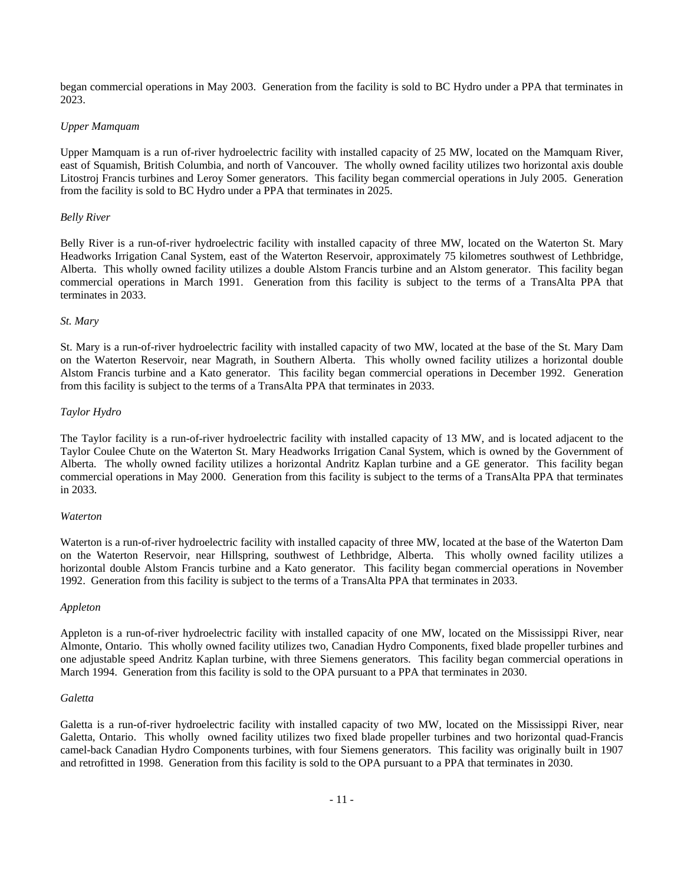began commercial operations in May 2003. Generation from the facility is sold to BC Hydro under a PPA that terminates in 2023.

# *Upper Mamquam*

Upper Mamquam is a run of-river hydroelectric facility with installed capacity of 25 MW, located on the Mamquam River, east of Squamish, British Columbia, and north of Vancouver. The wholly owned facility utilizes two horizontal axis double Litostroj Francis turbines and Leroy Somer generators. This facility began commercial operations in July 2005. Generation from the facility is sold to BC Hydro under a PPA that terminates in 2025.

# *Belly River*

Belly River is a run-of-river hydroelectric facility with installed capacity of three MW, located on the Waterton St. Mary Headworks Irrigation Canal System, east of the Waterton Reservoir, approximately 75 kilometres southwest of Lethbridge, Alberta. This wholly owned facility utilizes a double Alstom Francis turbine and an Alstom generator. This facility began commercial operations in March 1991. Generation from this facility is subject to the terms of a TransAlta PPA that terminates in 2033.

# *St. Mary*

St. Mary is a run-of-river hydroelectric facility with installed capacity of two MW, located at the base of the St. Mary Dam on the Waterton Reservoir, near Magrath, in Southern Alberta. This wholly owned facility utilizes a horizontal double Alstom Francis turbine and a Kato generator. This facility began commercial operations in December 1992. Generation from this facility is subject to the terms of a TransAlta PPA that terminates in 2033.

# *Taylor Hydro*

The Taylor facility is a run-of-river hydroelectric facility with installed capacity of 13 MW, and is located adjacent to the Taylor Coulee Chute on the Waterton St. Mary Headworks Irrigation Canal System, which is owned by the Government of Alberta. The wholly owned facility utilizes a horizontal Andritz Kaplan turbine and a GE generator. This facility began commercial operations in May 2000. Generation from this facility is subject to the terms of a TransAlta PPA that terminates in 2033.

# *Waterton*

Waterton is a run-of-river hydroelectric facility with installed capacity of three MW, located at the base of the Waterton Dam on the Waterton Reservoir, near Hillspring, southwest of Lethbridge, Alberta. This wholly owned facility utilizes a horizontal double Alstom Francis turbine and a Kato generator. This facility began commercial operations in November 1992. Generation from this facility is subject to the terms of a TransAlta PPA that terminates in 2033.

# *Appleton*

Appleton is a run-of-river hydroelectric facility with installed capacity of one MW, located on the Mississippi River, near Almonte, Ontario. This wholly owned facility utilizes two, Canadian Hydro Components, fixed blade propeller turbines and one adjustable speed Andritz Kaplan turbine, with three Siemens generators. This facility began commercial operations in March 1994. Generation from this facility is sold to the OPA pursuant to a PPA that terminates in 2030.

# *Galetta*

Galetta is a run-of-river hydroelectric facility with installed capacity of two MW, located on the Mississippi River, near Galetta, Ontario. This wholly owned facility utilizes two fixed blade propeller turbines and two horizontal quad-Francis camel-back Canadian Hydro Components turbines, with four Siemens generators. This facility was originally built in 1907 and retrofitted in 1998. Generation from this facility is sold to the OPA pursuant to a PPA that terminates in 2030.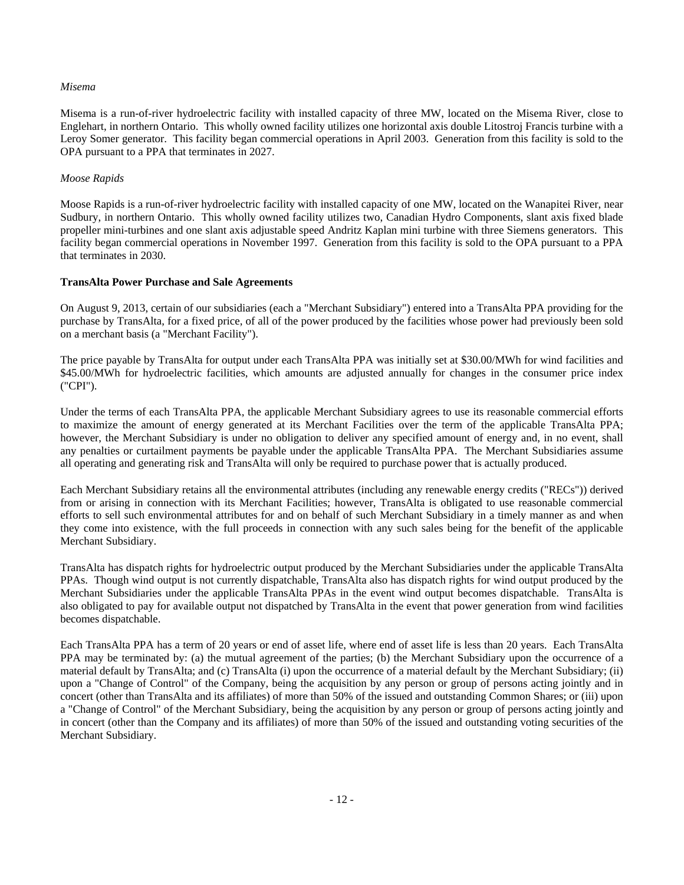# *Misema*

Misema is a run-of-river hydroelectric facility with installed capacity of three MW, located on the Misema River, close to Englehart, in northern Ontario. This wholly owned facility utilizes one horizontal axis double Litostroj Francis turbine with a Leroy Somer generator. This facility began commercial operations in April 2003. Generation from this facility is sold to the OPA pursuant to a PPA that terminates in 2027.

# *Moose Rapids*

Moose Rapids is a run-of-river hydroelectric facility with installed capacity of one MW, located on the Wanapitei River, near Sudbury, in northern Ontario. This wholly owned facility utilizes two, Canadian Hydro Components, slant axis fixed blade propeller mini-turbines and one slant axis adjustable speed Andritz Kaplan mini turbine with three Siemens generators. This facility began commercial operations in November 1997. Generation from this facility is sold to the OPA pursuant to a PPA that terminates in 2030.

# **TransAlta Power Purchase and Sale Agreements**

On August 9, 2013, certain of our subsidiaries (each a "Merchant Subsidiary") entered into a TransAlta PPA providing for the purchase by TransAlta, for a fixed price, of all of the power produced by the facilities whose power had previously been sold on a merchant basis (a "Merchant Facility").

The price payable by TransAlta for output under each TransAlta PPA was initially set at \$30.00/MWh for wind facilities and \$45.00/MWh for hydroelectric facilities, which amounts are adjusted annually for changes in the consumer price index ("CPI").

Under the terms of each TransAlta PPA, the applicable Merchant Subsidiary agrees to use its reasonable commercial efforts to maximize the amount of energy generated at its Merchant Facilities over the term of the applicable TransAlta PPA; however, the Merchant Subsidiary is under no obligation to deliver any specified amount of energy and, in no event, shall any penalties or curtailment payments be payable under the applicable TransAlta PPA. The Merchant Subsidiaries assume all operating and generating risk and TransAlta will only be required to purchase power that is actually produced.

Each Merchant Subsidiary retains all the environmental attributes (including any renewable energy credits ("RECs")) derived from or arising in connection with its Merchant Facilities; however, TransAlta is obligated to use reasonable commercial efforts to sell such environmental attributes for and on behalf of such Merchant Subsidiary in a timely manner as and when they come into existence, with the full proceeds in connection with any such sales being for the benefit of the applicable Merchant Subsidiary.

TransAlta has dispatch rights for hydroelectric output produced by the Merchant Subsidiaries under the applicable TransAlta PPAs. Though wind output is not currently dispatchable, TransAlta also has dispatch rights for wind output produced by the Merchant Subsidiaries under the applicable TransAlta PPAs in the event wind output becomes dispatchable. TransAlta is also obligated to pay for available output not dispatched by TransAlta in the event that power generation from wind facilities becomes dispatchable.

Each TransAlta PPA has a term of 20 years or end of asset life, where end of asset life is less than 20 years. Each TransAlta PPA may be terminated by: (a) the mutual agreement of the parties; (b) the Merchant Subsidiary upon the occurrence of a material default by TransAlta; and (c) TransAlta (i) upon the occurrence of a material default by the Merchant Subsidiary; (ii) upon a "Change of Control" of the Company, being the acquisition by any person or group of persons acting jointly and in concert (other than TransAlta and its affiliates) of more than 50% of the issued and outstanding Common Shares; or (iii) upon a "Change of Control" of the Merchant Subsidiary, being the acquisition by any person or group of persons acting jointly and in concert (other than the Company and its affiliates) of more than 50% of the issued and outstanding voting securities of the Merchant Subsidiary.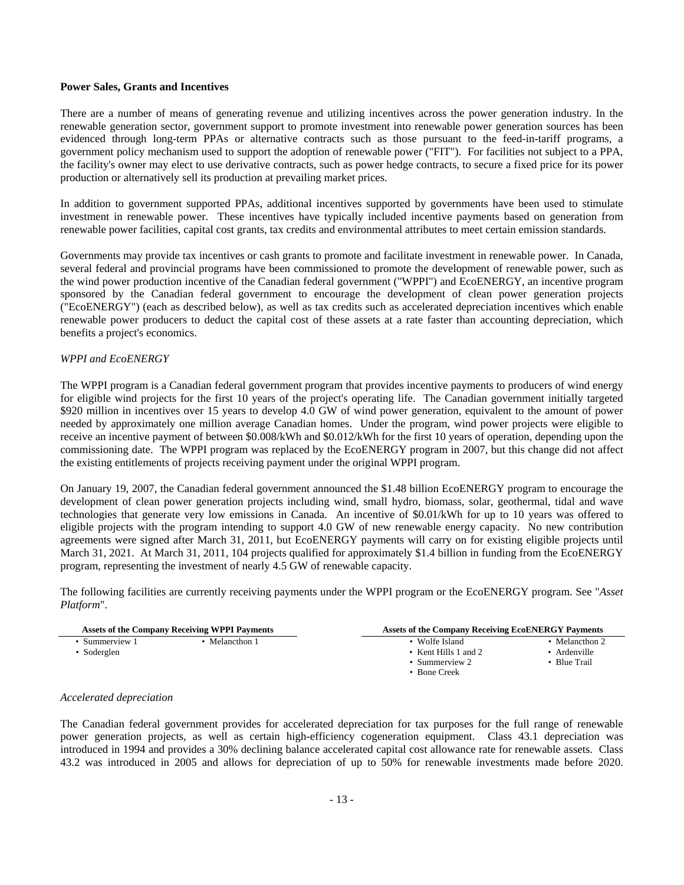## **Power Sales, Grants and Incentives**

There are a number of means of generating revenue and utilizing incentives across the power generation industry. In the renewable generation sector, government support to promote investment into renewable power generation sources has been evidenced through long-term PPAs or alternative contracts such as those pursuant to the feed-in-tariff programs, a government policy mechanism used to support the adoption of renewable power ("FIT"). For facilities not subject to a PPA, the facility's owner may elect to use derivative contracts, such as power hedge contracts, to secure a fixed price for its power production or alternatively sell its production at prevailing market prices.

In addition to government supported PPAs, additional incentives supported by governments have been used to stimulate investment in renewable power. These incentives have typically included incentive payments based on generation from renewable power facilities, capital cost grants, tax credits and environmental attributes to meet certain emission standards.

Governments may provide tax incentives or cash grants to promote and facilitate investment in renewable power. In Canada, several federal and provincial programs have been commissioned to promote the development of renewable power, such as the wind power production incentive of the Canadian federal government ("WPPI") and EcoENERGY, an incentive program sponsored by the Canadian federal government to encourage the development of clean power generation projects ("EcoENERGY") (each as described below), as well as tax credits such as accelerated depreciation incentives which enable renewable power producers to deduct the capital cost of these assets at a rate faster than accounting depreciation, which benefits a project's economics.

# *WPPI and EcoENERGY*

The WPPI program is a Canadian federal government program that provides incentive payments to producers of wind energy for eligible wind projects for the first 10 years of the project's operating life. The Canadian government initially targeted \$920 million in incentives over 15 years to develop 4.0 GW of wind power generation, equivalent to the amount of power needed by approximately one million average Canadian homes. Under the program, wind power projects were eligible to receive an incentive payment of between \$0.008/kWh and \$0.012/kWh for the first 10 years of operation, depending upon the commissioning date. The WPPI program was replaced by the EcoENERGY program in 2007, but this change did not affect the existing entitlements of projects receiving payment under the original WPPI program.

On January 19, 2007, the Canadian federal government announced the \$1.48 billion EcoENERGY program to encourage the development of clean power generation projects including wind, small hydro, biomass, solar, geothermal, tidal and wave technologies that generate very low emissions in Canada. An incentive of \$0.01/kWh for up to 10 years was offered to eligible projects with the program intending to support 4.0 GW of new renewable energy capacity. No new contribution agreements were signed after March 31, 2011, but EcoENERGY payments will carry on for existing eligible projects until March 31, 2021. At March 31, 2011, 104 projects qualified for approximately \$1.4 billion in funding from the EcoENERGY program, representing the investment of nearly 4.5 GW of renewable capacity.

The following facilities are currently receiving payments under the WPPI program or the EcoENERGY program. See "*Asset Platform*".

| <b>Assets of the Company Receiving WPPI Payments</b> |                | <b>Assets of the Company Receiving EcoENERGY Payments</b> |                |
|------------------------------------------------------|----------------|-----------------------------------------------------------|----------------|
| • Summerview 1                                       | • Melancthon 1 | • Wolfe Island                                            | • Melancthon 2 |
| Soderglen                                            |                | • Kent Hills 1 and 2                                      | • Ardenville   |
|                                                      |                | • Summerview 2                                            | • Blue Trail   |
|                                                      |                | $\bullet$ Bone Creek                                      |                |

#### *Accelerated depreciation*

The Canadian federal government provides for accelerated depreciation for tax purposes for the full range of renewable power generation projects, as well as certain high-efficiency cogeneration equipment. Class 43.1 depreciation was introduced in 1994 and provides a 30% declining balance accelerated capital cost allowance rate for renewable assets. Class 43.2 was introduced in 2005 and allows for depreciation of up to 50% for renewable investments made before 2020.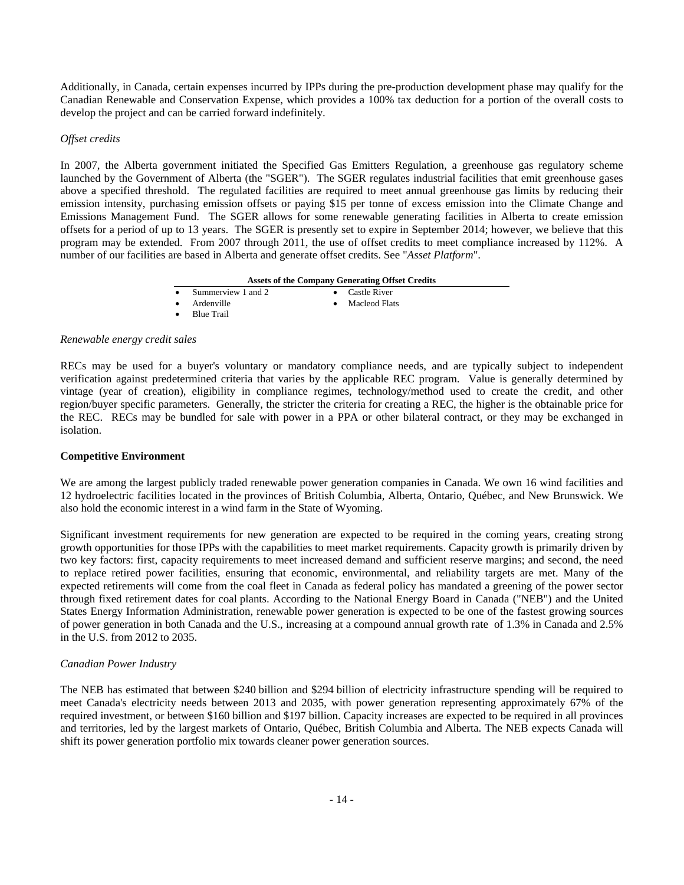Additionally, in Canada, certain expenses incurred by IPPs during the pre-production development phase may qualify for the Canadian Renewable and Conservation Expense, which provides a 100% tax deduction for a portion of the overall costs to develop the project and can be carried forward indefinitely.

## *Offset credits*

In 2007, the Alberta government initiated the Specified Gas Emitters Regulation, a greenhouse gas regulatory scheme launched by the Government of Alberta (the "SGER"). The SGER regulates industrial facilities that emit greenhouse gases above a specified threshold. The regulated facilities are required to meet annual greenhouse gas limits by reducing their emission intensity, purchasing emission offsets or paying \$15 per tonne of excess emission into the Climate Change and Emissions Management Fund. The SGER allows for some renewable generating facilities in Alberta to create emission offsets for a period of up to 13 years. The SGER is presently set to expire in September 2014; however, we believe that this program may be extended. From 2007 through 2011, the use of offset credits to meet compliance increased by 112%. A number of our facilities are based in Alberta and generate offset credits. See "*Asset Platform*".

## **Assets of the Company Generating Offset Credits**

Summerview 1 and 2 **Castle River** 

Ardenville Macleod Flats

• Blue Trail

## *Renewable energy credit sales*

RECs may be used for a buyer's voluntary or mandatory compliance needs, and are typically subject to independent verification against predetermined criteria that varies by the applicable REC program. Value is generally determined by vintage (year of creation), eligibility in compliance regimes, technology/method used to create the credit, and other region/buyer specific parameters. Generally, the stricter the criteria for creating a REC, the higher is the obtainable price for the REC. RECs may be bundled for sale with power in a PPA or other bilateral contract, or they may be exchanged in isolation.

# **Competitive Environment**

We are among the largest publicly traded renewable power generation companies in Canada. We own 16 wind facilities and 12 hydroelectric facilities located in the provinces of British Columbia, Alberta, Ontario, Québec, and New Brunswick. We also hold the economic interest in a wind farm in the State of Wyoming.

Significant investment requirements for new generation are expected to be required in the coming years, creating strong growth opportunities for those IPPs with the capabilities to meet market requirements. Capacity growth is primarily driven by two key factors: first, capacity requirements to meet increased demand and sufficient reserve margins; and second, the need to replace retired power facilities, ensuring that economic, environmental, and reliability targets are met. Many of the expected retirements will come from the coal fleet in Canada as federal policy has mandated a greening of the power sector through fixed retirement dates for coal plants. According to the National Energy Board in Canada ("NEB") and the United States Energy Information Administration, renewable power generation is expected to be one of the fastest growing sources of power generation in both Canada and the U.S., increasing at a compound annual growth rate of 1.3% in Canada and 2.5% in the U.S. from 2012 to 2035.

# *Canadian Power Industry*

The NEB has estimated that between \$240 billion and \$294 billion of electricity infrastructure spending will be required to meet Canada's electricity needs between 2013 and 2035, with power generation representing approximately 67% of the required investment, or between \$160 billion and \$197 billion. Capacity increases are expected to be required in all provinces and territories, led by the largest markets of Ontario, Québec, British Columbia and Alberta. The NEB expects Canada will shift its power generation portfolio mix towards cleaner power generation sources.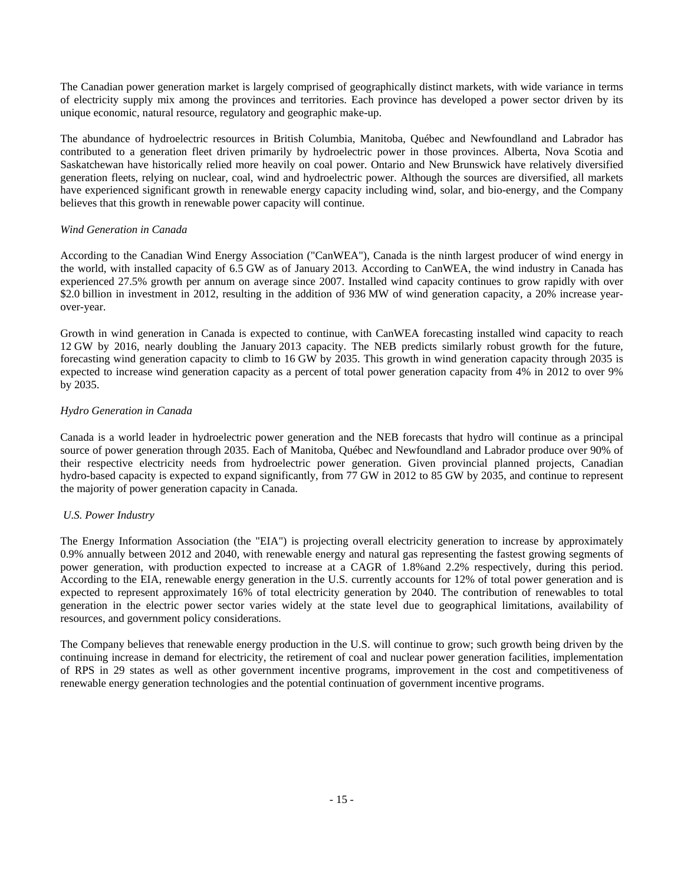The Canadian power generation market is largely comprised of geographically distinct markets, with wide variance in terms of electricity supply mix among the provinces and territories. Each province has developed a power sector driven by its unique economic, natural resource, regulatory and geographic make-up.

The abundance of hydroelectric resources in British Columbia, Manitoba, Québec and Newfoundland and Labrador has contributed to a generation fleet driven primarily by hydroelectric power in those provinces. Alberta, Nova Scotia and Saskatchewan have historically relied more heavily on coal power. Ontario and New Brunswick have relatively diversified generation fleets, relying on nuclear, coal, wind and hydroelectric power. Although the sources are diversified, all markets have experienced significant growth in renewable energy capacity including wind, solar, and bio-energy, and the Company believes that this growth in renewable power capacity will continue.

# *Wind Generation in Canada*

According to the Canadian Wind Energy Association ("CanWEA"), Canada is the ninth largest producer of wind energy in the world, with installed capacity of 6.5 GW as of January 2013. According to CanWEA, the wind industry in Canada has experienced 27.5% growth per annum on average since 2007. Installed wind capacity continues to grow rapidly with over \$2.0 billion in investment in 2012, resulting in the addition of 936 MW of wind generation capacity, a 20% increase yearover-year.

Growth in wind generation in Canada is expected to continue, with CanWEA forecasting installed wind capacity to reach 12 GW by 2016, nearly doubling the January 2013 capacity. The NEB predicts similarly robust growth for the future, forecasting wind generation capacity to climb to 16 GW by 2035. This growth in wind generation capacity through 2035 is expected to increase wind generation capacity as a percent of total power generation capacity from 4% in 2012 to over 9% by 2035.

# *Hydro Generation in Canada*

Canada is a world leader in hydroelectric power generation and the NEB forecasts that hydro will continue as a principal source of power generation through 2035. Each of Manitoba, Québec and Newfoundland and Labrador produce over 90% of their respective electricity needs from hydroelectric power generation. Given provincial planned projects, Canadian hydro-based capacity is expected to expand significantly, from 77 GW in 2012 to 85 GW by 2035, and continue to represent the majority of power generation capacity in Canada.

# *U.S. Power Industry*

The Energy Information Association (the "EIA") is projecting overall electricity generation to increase by approximately 0.9% annually between 2012 and 2040, with renewable energy and natural gas representing the fastest growing segments of power generation, with production expected to increase at a CAGR of 1.8%and 2.2% respectively, during this period. According to the EIA, renewable energy generation in the U.S. currently accounts for 12% of total power generation and is expected to represent approximately 16% of total electricity generation by 2040. The contribution of renewables to total generation in the electric power sector varies widely at the state level due to geographical limitations, availability of resources, and government policy considerations.

The Company believes that renewable energy production in the U.S. will continue to grow; such growth being driven by the continuing increase in demand for electricity, the retirement of coal and nuclear power generation facilities, implementation of RPS in 29 states as well as other government incentive programs, improvement in the cost and competitiveness of renewable energy generation technologies and the potential continuation of government incentive programs.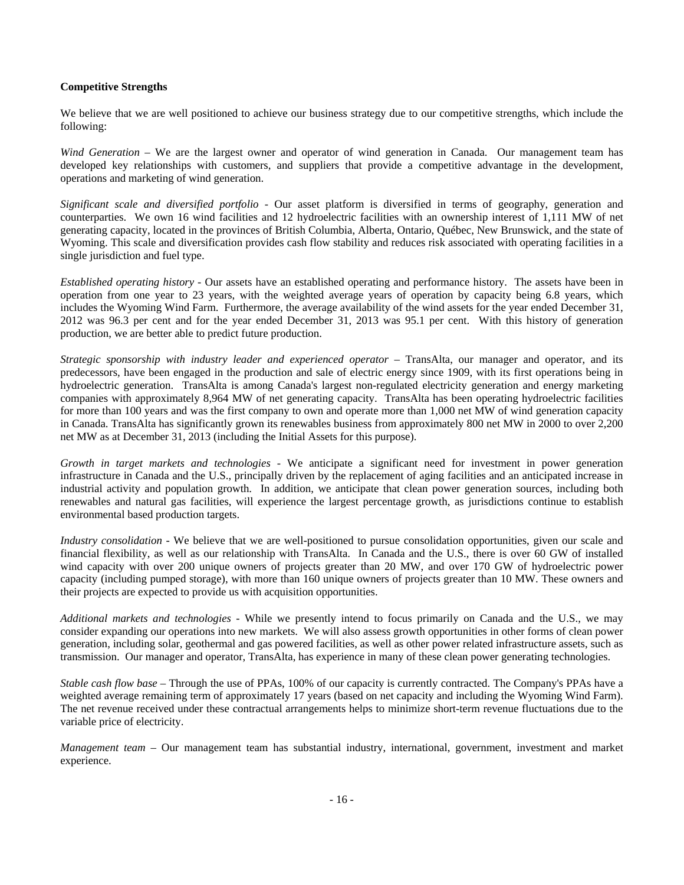# **Competitive Strengths**

We believe that we are well positioned to achieve our business strategy due to our competitive strengths, which include the following:

*Wind Generation* – We are the largest owner and operator of wind generation in Canada. Our management team has developed key relationships with customers, and suppliers that provide a competitive advantage in the development, operations and marketing of wind generation.

*Significant scale and diversified portfolio* - Our asset platform is diversified in terms of geography, generation and counterparties. We own 16 wind facilities and 12 hydroelectric facilities with an ownership interest of 1,111 MW of net generating capacity, located in the provinces of British Columbia, Alberta, Ontario, Québec, New Brunswick, and the state of Wyoming. This scale and diversification provides cash flow stability and reduces risk associated with operating facilities in a single jurisdiction and fuel type.

*Established operating history* - Our assets have an established operating and performance history. The assets have been in operation from one year to 23 years, with the weighted average years of operation by capacity being 6.8 years, which includes the Wyoming Wind Farm. Furthermore, the average availability of the wind assets for the year ended December 31, 2012 was 96.3 per cent and for the year ended December 31, 2013 was 95.1 per cent. With this history of generation production, we are better able to predict future production.

*Strategic sponsorship with industry leader and experienced operator* – TransAlta, our manager and operator, and its predecessors, have been engaged in the production and sale of electric energy since 1909, with its first operations being in hydroelectric generation. TransAlta is among Canada's largest non-regulated electricity generation and energy marketing companies with approximately 8,964 MW of net generating capacity. TransAlta has been operating hydroelectric facilities for more than 100 years and was the first company to own and operate more than 1,000 net MW of wind generation capacity in Canada. TransAlta has significantly grown its renewables business from approximately 800 net MW in 2000 to over 2,200 net MW as at December 31, 2013 (including the Initial Assets for this purpose).

*Growth in target markets and technologies* - We anticipate a significant need for investment in power generation infrastructure in Canada and the U.S., principally driven by the replacement of aging facilities and an anticipated increase in industrial activity and population growth. In addition, we anticipate that clean power generation sources, including both renewables and natural gas facilities, will experience the largest percentage growth, as jurisdictions continue to establish environmental based production targets.

*Industry consolidation* - We believe that we are well-positioned to pursue consolidation opportunities, given our scale and financial flexibility, as well as our relationship with TransAlta. In Canada and the U.S., there is over 60 GW of installed wind capacity with over 200 unique owners of projects greater than 20 MW, and over 170 GW of hydroelectric power capacity (including pumped storage), with more than 160 unique owners of projects greater than 10 MW. These owners and their projects are expected to provide us with acquisition opportunities.

*Additional markets and technologies* - While we presently intend to focus primarily on Canada and the U.S., we may consider expanding our operations into new markets. We will also assess growth opportunities in other forms of clean power generation, including solar, geothermal and gas powered facilities, as well as other power related infrastructure assets, such as transmission. Our manager and operator, TransAlta, has experience in many of these clean power generating technologies.

*Stable cash flow base* – Through the use of PPAs, 100% of our capacity is currently contracted. The Company's PPAs have a weighted average remaining term of approximately 17 years (based on net capacity and including the Wyoming Wind Farm). The net revenue received under these contractual arrangements helps to minimize short-term revenue fluctuations due to the variable price of electricity.

*Management team* – Our management team has substantial industry, international, government, investment and market experience.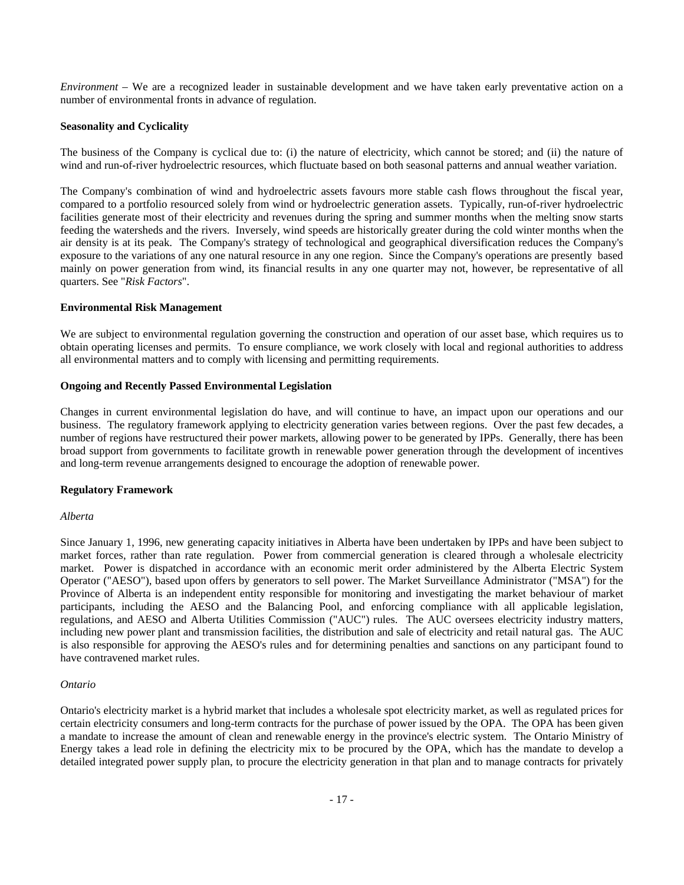*Environment* – We are a recognized leader in sustainable development and we have taken early preventative action on a number of environmental fronts in advance of regulation.

# **Seasonality and Cyclicality**

The business of the Company is cyclical due to: (i) the nature of electricity, which cannot be stored; and (ii) the nature of wind and run-of-river hydroelectric resources, which fluctuate based on both seasonal patterns and annual weather variation.

The Company's combination of wind and hydroelectric assets favours more stable cash flows throughout the fiscal year, compared to a portfolio resourced solely from wind or hydroelectric generation assets. Typically, run-of-river hydroelectric facilities generate most of their electricity and revenues during the spring and summer months when the melting snow starts feeding the watersheds and the rivers. Inversely, wind speeds are historically greater during the cold winter months when the air density is at its peak. The Company's strategy of technological and geographical diversification reduces the Company's exposure to the variations of any one natural resource in any one region. Since the Company's operations are presently based mainly on power generation from wind, its financial results in any one quarter may not, however, be representative of all quarters. See "*Risk Factors*".

# **Environmental Risk Management**

We are subject to environmental regulation governing the construction and operation of our asset base, which requires us to obtain operating licenses and permits. To ensure compliance, we work closely with local and regional authorities to address all environmental matters and to comply with licensing and permitting requirements.

# **Ongoing and Recently Passed Environmental Legislation**

Changes in current environmental legislation do have, and will continue to have, an impact upon our operations and our business. The regulatory framework applying to electricity generation varies between regions. Over the past few decades, a number of regions have restructured their power markets, allowing power to be generated by IPPs. Generally, there has been broad support from governments to facilitate growth in renewable power generation through the development of incentives and long-term revenue arrangements designed to encourage the adoption of renewable power.

# **Regulatory Framework**

# *Alberta*

Since January 1, 1996, new generating capacity initiatives in Alberta have been undertaken by IPPs and have been subject to market forces, rather than rate regulation. Power from commercial generation is cleared through a wholesale electricity market. Power is dispatched in accordance with an economic merit order administered by the Alberta Electric System Operator ("AESO"), based upon offers by generators to sell power. The Market Surveillance Administrator ("MSA") for the Province of Alberta is an independent entity responsible for monitoring and investigating the market behaviour of market participants, including the AESO and the Balancing Pool, and enforcing compliance with all applicable legislation, regulations, and AESO and Alberta Utilities Commission ("AUC") rules. The AUC oversees electricity industry matters, including new power plant and transmission facilities, the distribution and sale of electricity and retail natural gas. The AUC is also responsible for approving the AESO's rules and for determining penalties and sanctions on any participant found to have contravened market rules.

# *Ontario*

Ontario's electricity market is a hybrid market that includes a wholesale spot electricity market, as well as regulated prices for certain electricity consumers and long-term contracts for the purchase of power issued by the OPA. The OPA has been given a mandate to increase the amount of clean and renewable energy in the province's electric system. The Ontario Ministry of Energy takes a lead role in defining the electricity mix to be procured by the OPA, which has the mandate to develop a detailed integrated power supply plan, to procure the electricity generation in that plan and to manage contracts for privately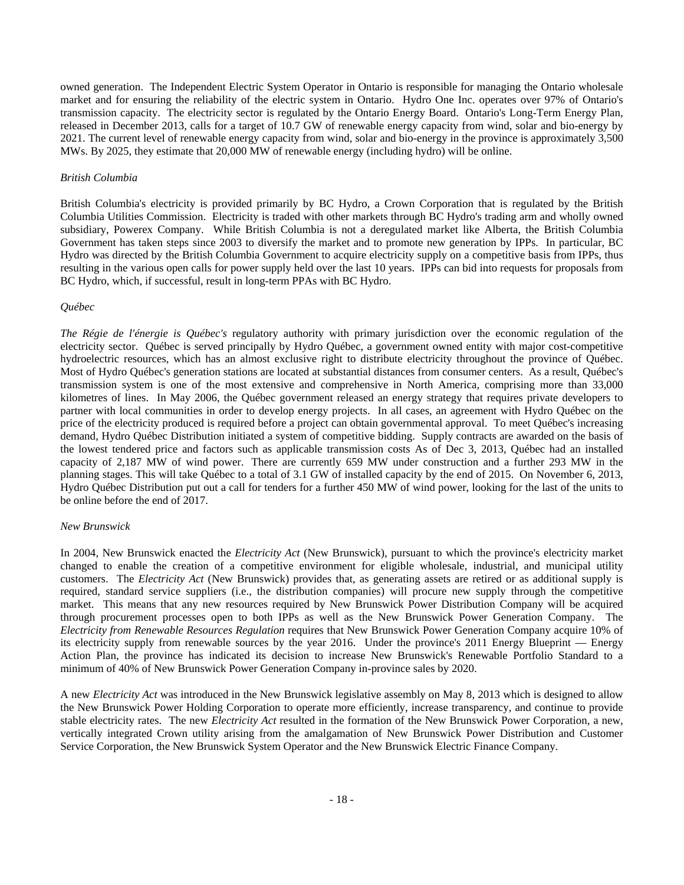owned generation. The Independent Electric System Operator in Ontario is responsible for managing the Ontario wholesale market and for ensuring the reliability of the electric system in Ontario. Hydro One Inc. operates over 97% of Ontario's transmission capacity. The electricity sector is regulated by the Ontario Energy Board. Ontario's Long-Term Energy Plan, released in December 2013, calls for a target of 10.7 GW of renewable energy capacity from wind, solar and bio-energy by 2021. The current level of renewable energy capacity from wind, solar and bio-energy in the province is approximately 3,500 MWs. By 2025, they estimate that 20,000 MW of renewable energy (including hydro) will be online.

## *British Columbia*

British Columbia's electricity is provided primarily by BC Hydro, a Crown Corporation that is regulated by the British Columbia Utilities Commission. Electricity is traded with other markets through BC Hydro's trading arm and wholly owned subsidiary, Powerex Company. While British Columbia is not a deregulated market like Alberta, the British Columbia Government has taken steps since 2003 to diversify the market and to promote new generation by IPPs. In particular, BC Hydro was directed by the British Columbia Government to acquire electricity supply on a competitive basis from IPPs, thus resulting in the various open calls for power supply held over the last 10 years. IPPs can bid into requests for proposals from BC Hydro, which, if successful, result in long-term PPAs with BC Hydro.

## *Québec*

*The Régie de l'énergie is Québec's* regulatory authority with primary jurisdiction over the economic regulation of the electricity sector. Québec is served principally by Hydro Québec, a government owned entity with major cost-competitive hydroelectric resources, which has an almost exclusive right to distribute electricity throughout the province of Québec. Most of Hydro Québec's generation stations are located at substantial distances from consumer centers. As a result, Québec's transmission system is one of the most extensive and comprehensive in North America, comprising more than 33,000 kilometres of lines. In May 2006, the Québec government released an energy strategy that requires private developers to partner with local communities in order to develop energy projects. In all cases, an agreement with Hydro Québec on the price of the electricity produced is required before a project can obtain governmental approval. To meet Québec's increasing demand, Hydro Québec Distribution initiated a system of competitive bidding. Supply contracts are awarded on the basis of the lowest tendered price and factors such as applicable transmission costs As of Dec 3, 2013, Québec had an installed capacity of 2,187 MW of wind power. There are currently 659 MW under construction and a further 293 MW in the planning stages. This will take Québec to a total of 3.1 GW of installed capacity by the end of 2015. On November 6, 2013, Hydro Québec Distribution put out a call for tenders for a further 450 MW of wind power, looking for the last of the units to be online before the end of 2017.

#### *New Brunswick*

In 2004, New Brunswick enacted the *Electricity Act* (New Brunswick), pursuant to which the province's electricity market changed to enable the creation of a competitive environment for eligible wholesale, industrial, and municipal utility customers. The *Electricity Act* (New Brunswick) provides that, as generating assets are retired or as additional supply is required, standard service suppliers (i.e., the distribution companies) will procure new supply through the competitive market. This means that any new resources required by New Brunswick Power Distribution Company will be acquired through procurement processes open to both IPPs as well as the New Brunswick Power Generation Company. The *Electricity from Renewable Resources Regulation* requires that New Brunswick Power Generation Company acquire 10% of its electricity supply from renewable sources by the year 2016. Under the province's 2011 Energy Blueprint — Energy Action Plan, the province has indicated its decision to increase New Brunswick's Renewable Portfolio Standard to a minimum of 40% of New Brunswick Power Generation Company in-province sales by 2020.

A new *Electricity Act* was introduced in the New Brunswick legislative assembly on May 8, 2013 which is designed to allow the New Brunswick Power Holding Corporation to operate more efficiently, increase transparency, and continue to provide stable electricity rates. The new *Electricity Act* resulted in the formation of the New Brunswick Power Corporation, a new, vertically integrated Crown utility arising from the amalgamation of New Brunswick Power Distribution and Customer Service Corporation, the New Brunswick System Operator and the New Brunswick Electric Finance Company.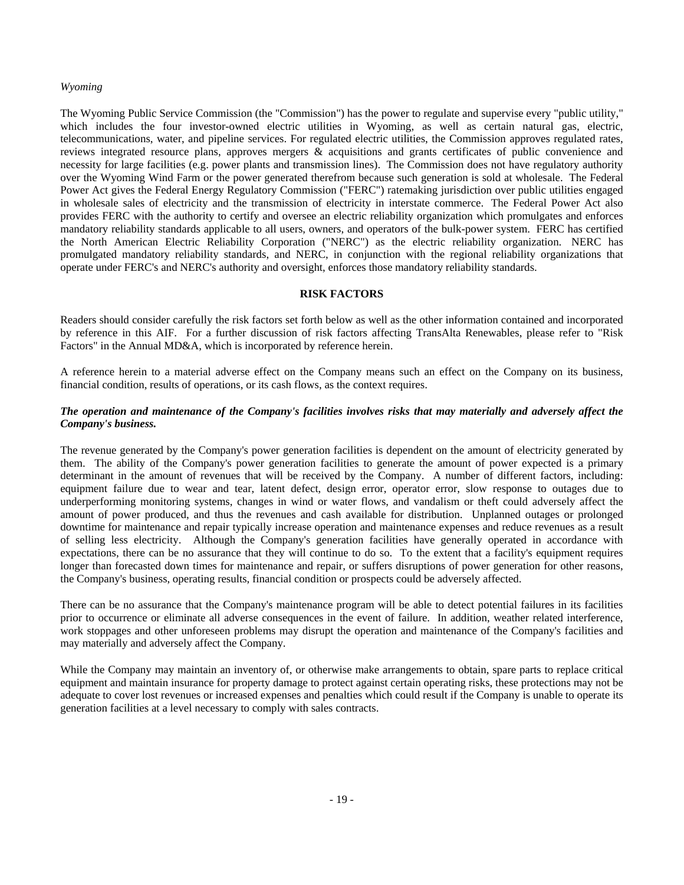# *Wyoming*

The Wyoming Public Service Commission (the "Commission") has the power to regulate and supervise every "public utility," which includes the four investor-owned electric utilities in Wyoming, as well as certain natural gas, electric, telecommunications, water, and pipeline services. For regulated electric utilities, the Commission approves regulated rates, reviews integrated resource plans, approves mergers & acquisitions and grants certificates of public convenience and necessity for large facilities (e.g. power plants and transmission lines). The Commission does not have regulatory authority over the Wyoming Wind Farm or the power generated therefrom because such generation is sold at wholesale. The Federal Power Act gives the Federal Energy Regulatory Commission ("FERC") ratemaking jurisdiction over public utilities engaged in wholesale sales of electricity and the transmission of electricity in interstate commerce. The Federal Power Act also provides FERC with the authority to certify and oversee an electric reliability organization which promulgates and enforces mandatory reliability standards applicable to all users, owners, and operators of the bulk-power system. FERC has certified the North American Electric Reliability Corporation ("NERC") as the electric reliability organization. NERC has promulgated mandatory reliability standards, and NERC, in conjunction with the regional reliability organizations that operate under FERC's and NERC's authority and oversight, enforces those mandatory reliability standards.

# **RISK FACTORS**

Readers should consider carefully the risk factors set forth below as well as the other information contained and incorporated by reference in this AIF. For a further discussion of risk factors affecting TransAlta Renewables, please refer to "Risk Factors" in the Annual MD&A, which is incorporated by reference herein.

A reference herein to a material adverse effect on the Company means such an effect on the Company on its business, financial condition, results of operations, or its cash flows, as the context requires.

# *The operation and maintenance of the Company's facilities involves risks that may materially and adversely affect the Company's business.*

The revenue generated by the Company's power generation facilities is dependent on the amount of electricity generated by them. The ability of the Company's power generation facilities to generate the amount of power expected is a primary determinant in the amount of revenues that will be received by the Company. A number of different factors, including: equipment failure due to wear and tear, latent defect, design error, operator error, slow response to outages due to underperforming monitoring systems, changes in wind or water flows, and vandalism or theft could adversely affect the amount of power produced, and thus the revenues and cash available for distribution. Unplanned outages or prolonged downtime for maintenance and repair typically increase operation and maintenance expenses and reduce revenues as a result of selling less electricity. Although the Company's generation facilities have generally operated in accordance with expectations, there can be no assurance that they will continue to do so. To the extent that a facility's equipment requires longer than forecasted down times for maintenance and repair, or suffers disruptions of power generation for other reasons, the Company's business, operating results, financial condition or prospects could be adversely affected.

There can be no assurance that the Company's maintenance program will be able to detect potential failures in its facilities prior to occurrence or eliminate all adverse consequences in the event of failure. In addition, weather related interference, work stoppages and other unforeseen problems may disrupt the operation and maintenance of the Company's facilities and may materially and adversely affect the Company.

While the Company may maintain an inventory of, or otherwise make arrangements to obtain, spare parts to replace critical equipment and maintain insurance for property damage to protect against certain operating risks, these protections may not be adequate to cover lost revenues or increased expenses and penalties which could result if the Company is unable to operate its generation facilities at a level necessary to comply with sales contracts.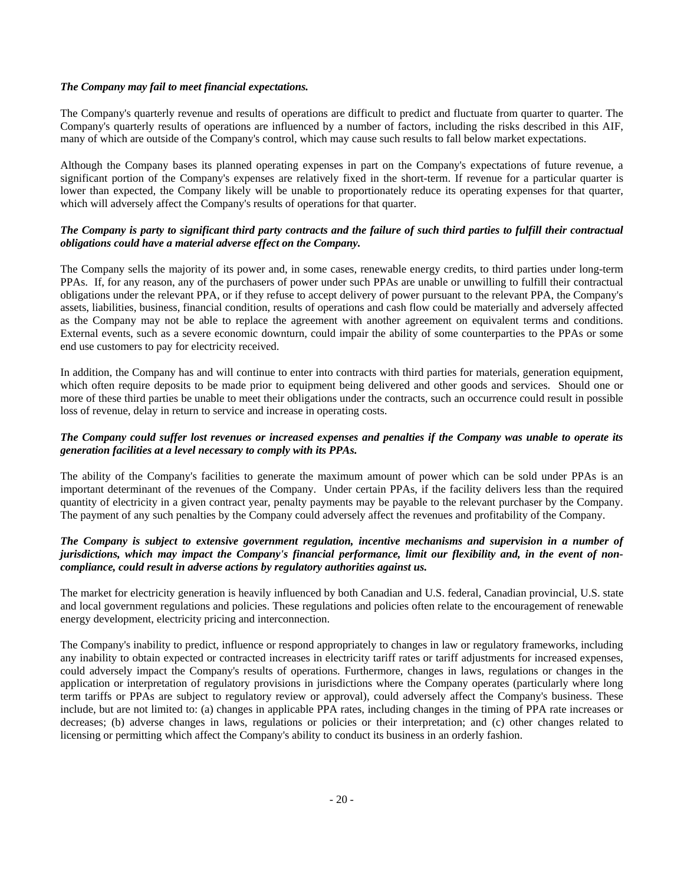# *The Company may fail to meet financial expectations.*

The Company's quarterly revenue and results of operations are difficult to predict and fluctuate from quarter to quarter. The Company's quarterly results of operations are influenced by a number of factors, including the risks described in this AIF, many of which are outside of the Company's control, which may cause such results to fall below market expectations.

Although the Company bases its planned operating expenses in part on the Company's expectations of future revenue, a significant portion of the Company's expenses are relatively fixed in the short-term. If revenue for a particular quarter is lower than expected, the Company likely will be unable to proportionately reduce its operating expenses for that quarter, which will adversely affect the Company's results of operations for that quarter.

# *The Company is party to significant third party contracts and the failure of such third parties to fulfill their contractual obligations could have a material adverse effect on the Company.*

The Company sells the majority of its power and, in some cases, renewable energy credits, to third parties under long-term PPAs. If, for any reason, any of the purchasers of power under such PPAs are unable or unwilling to fulfill their contractual obligations under the relevant PPA, or if they refuse to accept delivery of power pursuant to the relevant PPA, the Company's assets, liabilities, business, financial condition, results of operations and cash flow could be materially and adversely affected as the Company may not be able to replace the agreement with another agreement on equivalent terms and conditions. External events, such as a severe economic downturn, could impair the ability of some counterparties to the PPAs or some end use customers to pay for electricity received.

In addition, the Company has and will continue to enter into contracts with third parties for materials, generation equipment, which often require deposits to be made prior to equipment being delivered and other goods and services. Should one or more of these third parties be unable to meet their obligations under the contracts, such an occurrence could result in possible loss of revenue, delay in return to service and increase in operating costs.

# *The Company could suffer lost revenues or increased expenses and penalties if the Company was unable to operate its generation facilities at a level necessary to comply with its PPAs.*

The ability of the Company's facilities to generate the maximum amount of power which can be sold under PPAs is an important determinant of the revenues of the Company. Under certain PPAs, if the facility delivers less than the required quantity of electricity in a given contract year, penalty payments may be payable to the relevant purchaser by the Company. The payment of any such penalties by the Company could adversely affect the revenues and profitability of the Company.

# *The Company is subject to extensive government regulation, incentive mechanisms and supervision in a number of jurisdictions, which may impact the Company's financial performance, limit our flexibility and, in the event of noncompliance, could result in adverse actions by regulatory authorities against us.*

The market for electricity generation is heavily influenced by both Canadian and U.S. federal, Canadian provincial, U.S. state and local government regulations and policies. These regulations and policies often relate to the encouragement of renewable energy development, electricity pricing and interconnection.

The Company's inability to predict, influence or respond appropriately to changes in law or regulatory frameworks, including any inability to obtain expected or contracted increases in electricity tariff rates or tariff adjustments for increased expenses, could adversely impact the Company's results of operations. Furthermore, changes in laws, regulations or changes in the application or interpretation of regulatory provisions in jurisdictions where the Company operates (particularly where long term tariffs or PPAs are subject to regulatory review or approval), could adversely affect the Company's business. These include, but are not limited to: (a) changes in applicable PPA rates, including changes in the timing of PPA rate increases or decreases; (b) adverse changes in laws, regulations or policies or their interpretation; and (c) other changes related to licensing or permitting which affect the Company's ability to conduct its business in an orderly fashion.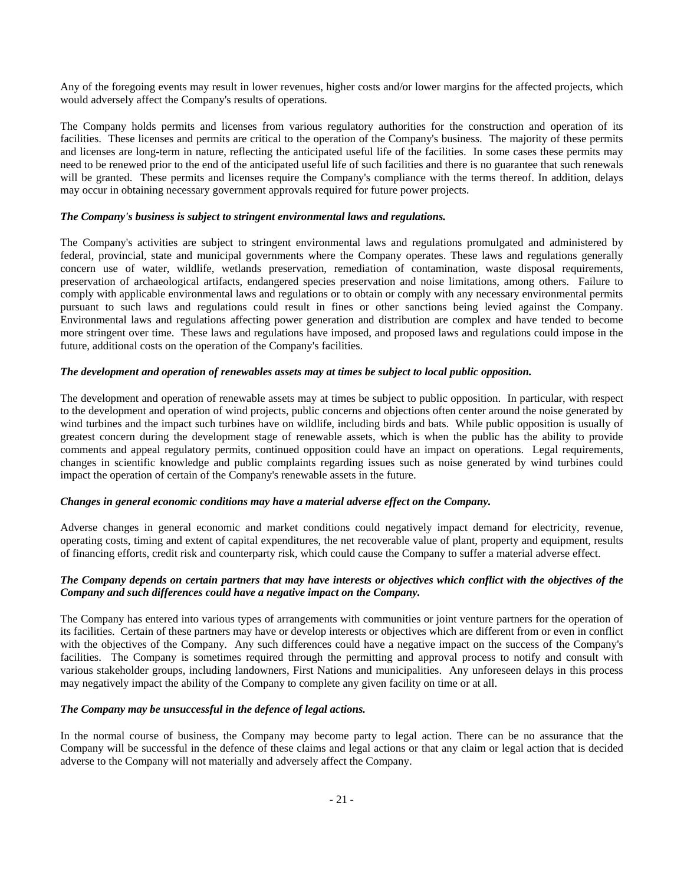Any of the foregoing events may result in lower revenues, higher costs and/or lower margins for the affected projects, which would adversely affect the Company's results of operations.

The Company holds permits and licenses from various regulatory authorities for the construction and operation of its facilities. These licenses and permits are critical to the operation of the Company's business. The majority of these permits and licenses are long-term in nature, reflecting the anticipated useful life of the facilities. In some cases these permits may need to be renewed prior to the end of the anticipated useful life of such facilities and there is no guarantee that such renewals will be granted. These permits and licenses require the Company's compliance with the terms thereof. In addition, delays may occur in obtaining necessary government approvals required for future power projects.

# *The Company's business is subject to stringent environmental laws and regulations.*

The Company's activities are subject to stringent environmental laws and regulations promulgated and administered by federal, provincial, state and municipal governments where the Company operates. These laws and regulations generally concern use of water, wildlife, wetlands preservation, remediation of contamination, waste disposal requirements, preservation of archaeological artifacts, endangered species preservation and noise limitations, among others. Failure to comply with applicable environmental laws and regulations or to obtain or comply with any necessary environmental permits pursuant to such laws and regulations could result in fines or other sanctions being levied against the Company. Environmental laws and regulations affecting power generation and distribution are complex and have tended to become more stringent over time. These laws and regulations have imposed, and proposed laws and regulations could impose in the future, additional costs on the operation of the Company's facilities.

# *The development and operation of renewables assets may at times be subject to local public opposition.*

The development and operation of renewable assets may at times be subject to public opposition. In particular, with respect to the development and operation of wind projects, public concerns and objections often center around the noise generated by wind turbines and the impact such turbines have on wildlife, including birds and bats. While public opposition is usually of greatest concern during the development stage of renewable assets, which is when the public has the ability to provide comments and appeal regulatory permits, continued opposition could have an impact on operations. Legal requirements, changes in scientific knowledge and public complaints regarding issues such as noise generated by wind turbines could impact the operation of certain of the Company's renewable assets in the future.

# *Changes in general economic conditions may have a material adverse effect on the Company.*

Adverse changes in general economic and market conditions could negatively impact demand for electricity, revenue, operating costs, timing and extent of capital expenditures, the net recoverable value of plant, property and equipment, results of financing efforts, credit risk and counterparty risk, which could cause the Company to suffer a material adverse effect.

# *The Company depends on certain partners that may have interests or objectives which conflict with the objectives of the Company and such differences could have a negative impact on the Company.*

The Company has entered into various types of arrangements with communities or joint venture partners for the operation of its facilities. Certain of these partners may have or develop interests or objectives which are different from or even in conflict with the objectives of the Company. Any such differences could have a negative impact on the success of the Company's facilities. The Company is sometimes required through the permitting and approval process to notify and consult with various stakeholder groups, including landowners, First Nations and municipalities. Any unforeseen delays in this process may negatively impact the ability of the Company to complete any given facility on time or at all.

# *The Company may be unsuccessful in the defence of legal actions.*

In the normal course of business, the Company may become party to legal action. There can be no assurance that the Company will be successful in the defence of these claims and legal actions or that any claim or legal action that is decided adverse to the Company will not materially and adversely affect the Company.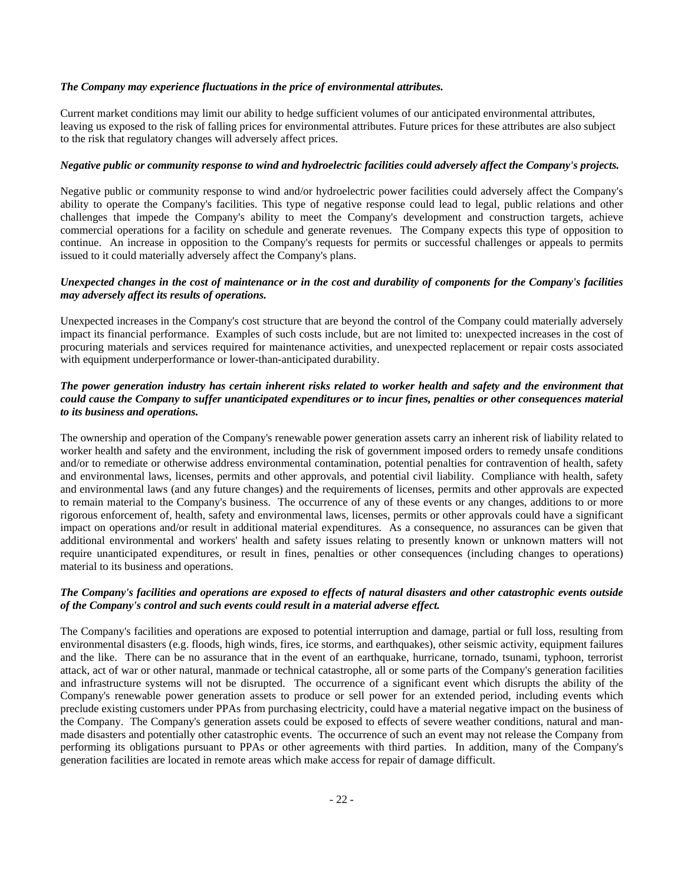# *The Company may experience fluctuations in the price of environmental attributes.*

Current market conditions may limit our ability to hedge sufficient volumes of our anticipated environmental attributes, leaving us exposed to the risk of falling prices for environmental attributes. Future prices for these attributes are also subject to the risk that regulatory changes will adversely affect prices.

# *Negative public or community response to wind and hydroelectric facilities could adversely affect the Company's projects.*

Negative public or community response to wind and/or hydroelectric power facilities could adversely affect the Company's ability to operate the Company's facilities. This type of negative response could lead to legal, public relations and other challenges that impede the Company's ability to meet the Company's development and construction targets, achieve commercial operations for a facility on schedule and generate revenues. The Company expects this type of opposition to continue. An increase in opposition to the Company's requests for permits or successful challenges or appeals to permits issued to it could materially adversely affect the Company's plans.

# *Unexpected changes in the cost of maintenance or in the cost and durability of components for the Company's facilities may adversely affect its results of operations.*

Unexpected increases in the Company's cost structure that are beyond the control of the Company could materially adversely impact its financial performance. Examples of such costs include, but are not limited to: unexpected increases in the cost of procuring materials and services required for maintenance activities, and unexpected replacement or repair costs associated with equipment underperformance or lower-than-anticipated durability.

# *The power generation industry has certain inherent risks related to worker health and safety and the environment that could cause the Company to suffer unanticipated expenditures or to incur fines, penalties or other consequences material to its business and operations.*

The ownership and operation of the Company's renewable power generation assets carry an inherent risk of liability related to worker health and safety and the environment, including the risk of government imposed orders to remedy unsafe conditions and/or to remediate or otherwise address environmental contamination, potential penalties for contravention of health, safety and environmental laws, licenses, permits and other approvals, and potential civil liability. Compliance with health, safety and environmental laws (and any future changes) and the requirements of licenses, permits and other approvals are expected to remain material to the Company's business. The occurrence of any of these events or any changes, additions to or more rigorous enforcement of, health, safety and environmental laws, licenses, permits or other approvals could have a significant impact on operations and/or result in additional material expenditures. As a consequence, no assurances can be given that additional environmental and workers' health and safety issues relating to presently known or unknown matters will not require unanticipated expenditures, or result in fines, penalties or other consequences (including changes to operations) material to its business and operations.

# *The Company's facilities and operations are exposed to effects of natural disasters and other catastrophic events outside of the Company's control and such events could result in a material adverse effect.*

The Company's facilities and operations are exposed to potential interruption and damage, partial or full loss, resulting from environmental disasters (e.g. floods, high winds, fires, ice storms, and earthquakes), other seismic activity, equipment failures and the like. There can be no assurance that in the event of an earthquake, hurricane, tornado, tsunami, typhoon, terrorist attack, act of war or other natural, manmade or technical catastrophe, all or some parts of the Company's generation facilities and infrastructure systems will not be disrupted. The occurrence of a significant event which disrupts the ability of the Company's renewable power generation assets to produce or sell power for an extended period, including events which preclude existing customers under PPAs from purchasing electricity, could have a material negative impact on the business of the Company. The Company's generation assets could be exposed to effects of severe weather conditions, natural and manmade disasters and potentially other catastrophic events. The occurrence of such an event may not release the Company from performing its obligations pursuant to PPAs or other agreements with third parties. In addition, many of the Company's generation facilities are located in remote areas which make access for repair of damage difficult.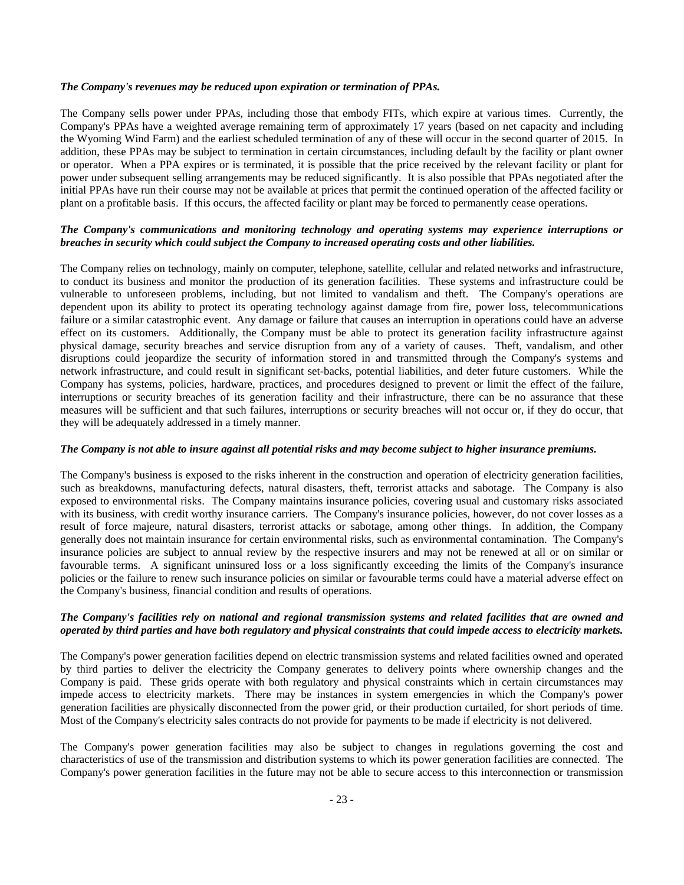# *The Company's revenues may be reduced upon expiration or termination of PPAs.*

The Company sells power under PPAs, including those that embody FITs, which expire at various times. Currently, the Company's PPAs have a weighted average remaining term of approximately 17 years (based on net capacity and including the Wyoming Wind Farm) and the earliest scheduled termination of any of these will occur in the second quarter of 2015. In addition, these PPAs may be subject to termination in certain circumstances, including default by the facility or plant owner or operator. When a PPA expires or is terminated, it is possible that the price received by the relevant facility or plant for power under subsequent selling arrangements may be reduced significantly. It is also possible that PPAs negotiated after the initial PPAs have run their course may not be available at prices that permit the continued operation of the affected facility or plant on a profitable basis. If this occurs, the affected facility or plant may be forced to permanently cease operations.

# *The Company's communications and monitoring technology and operating systems may experience interruptions or breaches in security which could subject the Company to increased operating costs and other liabilities.*

The Company relies on technology, mainly on computer, telephone, satellite, cellular and related networks and infrastructure, to conduct its business and monitor the production of its generation facilities. These systems and infrastructure could be vulnerable to unforeseen problems, including, but not limited to vandalism and theft. The Company's operations are dependent upon its ability to protect its operating technology against damage from fire, power loss, telecommunications failure or a similar catastrophic event. Any damage or failure that causes an interruption in operations could have an adverse effect on its customers. Additionally, the Company must be able to protect its generation facility infrastructure against physical damage, security breaches and service disruption from any of a variety of causes. Theft, vandalism, and other disruptions could jeopardize the security of information stored in and transmitted through the Company's systems and network infrastructure, and could result in significant set-backs, potential liabilities, and deter future customers. While the Company has systems, policies, hardware, practices, and procedures designed to prevent or limit the effect of the failure, interruptions or security breaches of its generation facility and their infrastructure, there can be no assurance that these measures will be sufficient and that such failures, interruptions or security breaches will not occur or, if they do occur, that they will be adequately addressed in a timely manner.

# *The Company is not able to insure against all potential risks and may become subject to higher insurance premiums.*

The Company's business is exposed to the risks inherent in the construction and operation of electricity generation facilities, such as breakdowns, manufacturing defects, natural disasters, theft, terrorist attacks and sabotage. The Company is also exposed to environmental risks. The Company maintains insurance policies, covering usual and customary risks associated with its business, with credit worthy insurance carriers. The Company's insurance policies, however, do not cover losses as a result of force majeure, natural disasters, terrorist attacks or sabotage, among other things. In addition, the Company generally does not maintain insurance for certain environmental risks, such as environmental contamination. The Company's insurance policies are subject to annual review by the respective insurers and may not be renewed at all or on similar or favourable terms. A significant uninsured loss or a loss significantly exceeding the limits of the Company's insurance policies or the failure to renew such insurance policies on similar or favourable terms could have a material adverse effect on the Company's business, financial condition and results of operations.

# *The Company's facilities rely on national and regional transmission systems and related facilities that are owned and operated by third parties and have both regulatory and physical constraints that could impede access to electricity markets.*

The Company's power generation facilities depend on electric transmission systems and related facilities owned and operated by third parties to deliver the electricity the Company generates to delivery points where ownership changes and the Company is paid. These grids operate with both regulatory and physical constraints which in certain circumstances may impede access to electricity markets. There may be instances in system emergencies in which the Company's power generation facilities are physically disconnected from the power grid, or their production curtailed, for short periods of time. Most of the Company's electricity sales contracts do not provide for payments to be made if electricity is not delivered.

The Company's power generation facilities may also be subject to changes in regulations governing the cost and characteristics of use of the transmission and distribution systems to which its power generation facilities are connected. The Company's power generation facilities in the future may not be able to secure access to this interconnection or transmission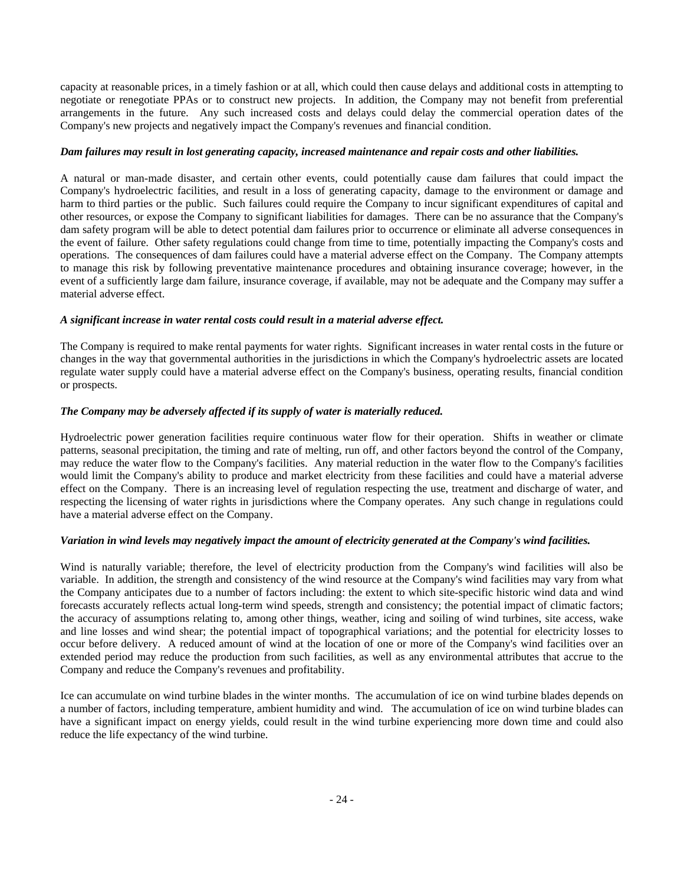capacity at reasonable prices, in a timely fashion or at all, which could then cause delays and additional costs in attempting to negotiate or renegotiate PPAs or to construct new projects. In addition, the Company may not benefit from preferential arrangements in the future. Any such increased costs and delays could delay the commercial operation dates of the Company's new projects and negatively impact the Company's revenues and financial condition.

# *Dam failures may result in lost generating capacity, increased maintenance and repair costs and other liabilities.*

A natural or man-made disaster, and certain other events, could potentially cause dam failures that could impact the Company's hydroelectric facilities, and result in a loss of generating capacity, damage to the environment or damage and harm to third parties or the public. Such failures could require the Company to incur significant expenditures of capital and other resources, or expose the Company to significant liabilities for damages. There can be no assurance that the Company's dam safety program will be able to detect potential dam failures prior to occurrence or eliminate all adverse consequences in the event of failure. Other safety regulations could change from time to time, potentially impacting the Company's costs and operations. The consequences of dam failures could have a material adverse effect on the Company. The Company attempts to manage this risk by following preventative maintenance procedures and obtaining insurance coverage; however, in the event of a sufficiently large dam failure, insurance coverage, if available, may not be adequate and the Company may suffer a material adverse effect.

# *A significant increase in water rental costs could result in a material adverse effect.*

The Company is required to make rental payments for water rights. Significant increases in water rental costs in the future or changes in the way that governmental authorities in the jurisdictions in which the Company's hydroelectric assets are located regulate water supply could have a material adverse effect on the Company's business, operating results, financial condition or prospects.

# *The Company may be adversely affected if its supply of water is materially reduced.*

Hydroelectric power generation facilities require continuous water flow for their operation. Shifts in weather or climate patterns, seasonal precipitation, the timing and rate of melting, run off, and other factors beyond the control of the Company, may reduce the water flow to the Company's facilities. Any material reduction in the water flow to the Company's facilities would limit the Company's ability to produce and market electricity from these facilities and could have a material adverse effect on the Company. There is an increasing level of regulation respecting the use, treatment and discharge of water, and respecting the licensing of water rights in jurisdictions where the Company operates. Any such change in regulations could have a material adverse effect on the Company.

# *Variation in wind levels may negatively impact the amount of electricity generated at the Company's wind facilities.*

Wind is naturally variable; therefore, the level of electricity production from the Company's wind facilities will also be variable. In addition, the strength and consistency of the wind resource at the Company's wind facilities may vary from what the Company anticipates due to a number of factors including: the extent to which site-specific historic wind data and wind forecasts accurately reflects actual long-term wind speeds, strength and consistency; the potential impact of climatic factors; the accuracy of assumptions relating to, among other things, weather, icing and soiling of wind turbines, site access, wake and line losses and wind shear; the potential impact of topographical variations; and the potential for electricity losses to occur before delivery. A reduced amount of wind at the location of one or more of the Company's wind facilities over an extended period may reduce the production from such facilities, as well as any environmental attributes that accrue to the Company and reduce the Company's revenues and profitability.

Ice can accumulate on wind turbine blades in the winter months. The accumulation of ice on wind turbine blades depends on a number of factors, including temperature, ambient humidity and wind. The accumulation of ice on wind turbine blades can have a significant impact on energy yields, could result in the wind turbine experiencing more down time and could also reduce the life expectancy of the wind turbine.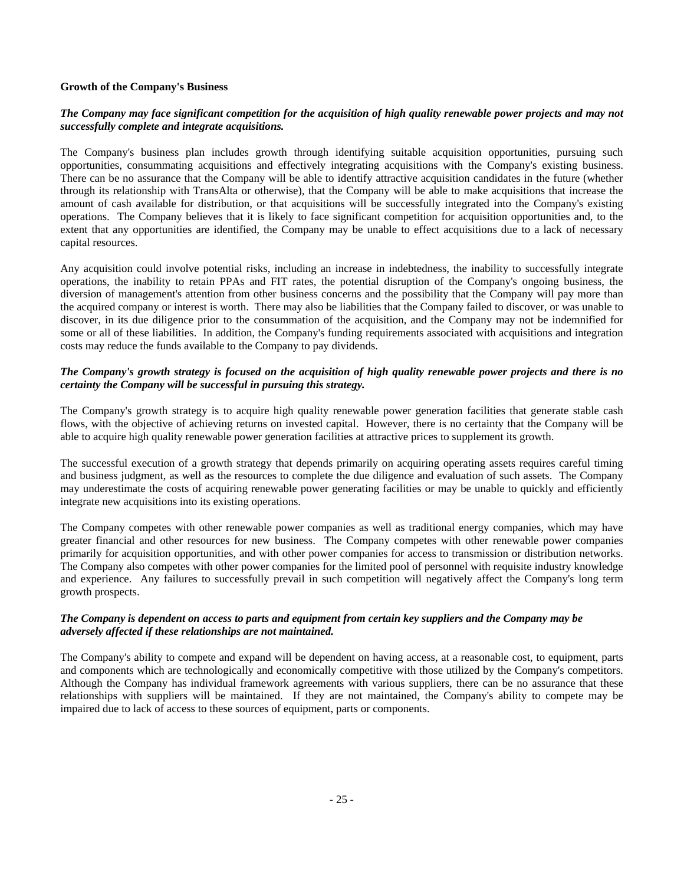# **Growth of the Company's Business**

# *The Company may face significant competition for the acquisition of high quality renewable power projects and may not successfully complete and integrate acquisitions.*

The Company's business plan includes growth through identifying suitable acquisition opportunities, pursuing such opportunities, consummating acquisitions and effectively integrating acquisitions with the Company's existing business. There can be no assurance that the Company will be able to identify attractive acquisition candidates in the future (whether through its relationship with TransAlta or otherwise), that the Company will be able to make acquisitions that increase the amount of cash available for distribution, or that acquisitions will be successfully integrated into the Company's existing operations. The Company believes that it is likely to face significant competition for acquisition opportunities and, to the extent that any opportunities are identified, the Company may be unable to effect acquisitions due to a lack of necessary capital resources.

Any acquisition could involve potential risks, including an increase in indebtedness, the inability to successfully integrate operations, the inability to retain PPAs and FIT rates, the potential disruption of the Company's ongoing business, the diversion of management's attention from other business concerns and the possibility that the Company will pay more than the acquired company or interest is worth. There may also be liabilities that the Company failed to discover, or was unable to discover, in its due diligence prior to the consummation of the acquisition, and the Company may not be indemnified for some or all of these liabilities. In addition, the Company's funding requirements associated with acquisitions and integration costs may reduce the funds available to the Company to pay dividends.

# *The Company's growth strategy is focused on the acquisition of high quality renewable power projects and there is no certainty the Company will be successful in pursuing this strategy.*

The Company's growth strategy is to acquire high quality renewable power generation facilities that generate stable cash flows, with the objective of achieving returns on invested capital. However, there is no certainty that the Company will be able to acquire high quality renewable power generation facilities at attractive prices to supplement its growth.

The successful execution of a growth strategy that depends primarily on acquiring operating assets requires careful timing and business judgment, as well as the resources to complete the due diligence and evaluation of such assets. The Company may underestimate the costs of acquiring renewable power generating facilities or may be unable to quickly and efficiently integrate new acquisitions into its existing operations.

The Company competes with other renewable power companies as well as traditional energy companies, which may have greater financial and other resources for new business. The Company competes with other renewable power companies primarily for acquisition opportunities, and with other power companies for access to transmission or distribution networks. The Company also competes with other power companies for the limited pool of personnel with requisite industry knowledge and experience. Any failures to successfully prevail in such competition will negatively affect the Company's long term growth prospects.

# *The Company is dependent on access to parts and equipment from certain key suppliers and the Company may be adversely affected if these relationships are not maintained.*

The Company's ability to compete and expand will be dependent on having access, at a reasonable cost, to equipment, parts and components which are technologically and economically competitive with those utilized by the Company's competitors. Although the Company has individual framework agreements with various suppliers, there can be no assurance that these relationships with suppliers will be maintained. If they are not maintained, the Company's ability to compete may be impaired due to lack of access to these sources of equipment, parts or components.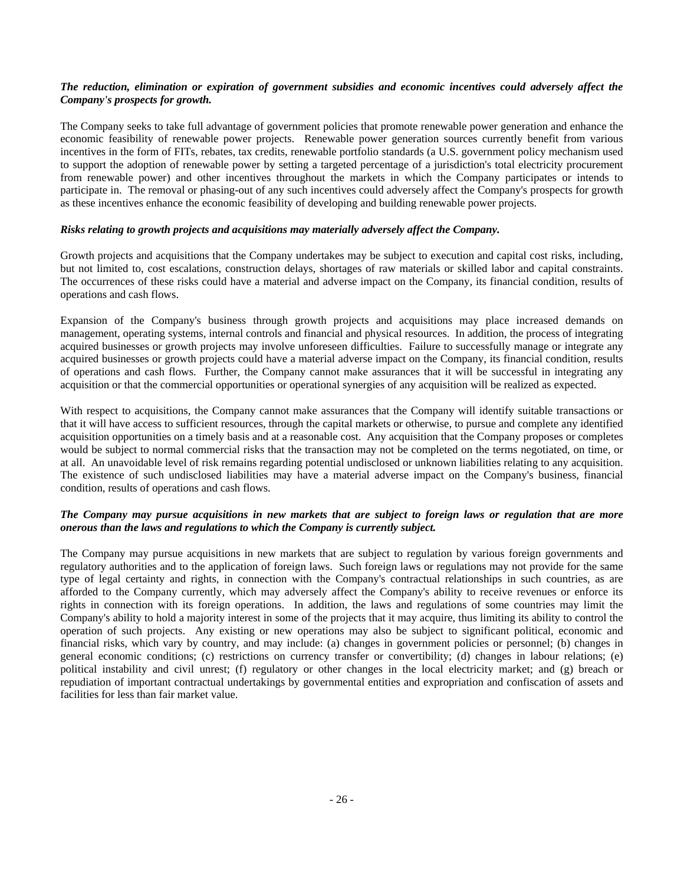# *The reduction, elimination or expiration of government subsidies and economic incentives could adversely affect the Company's prospects for growth.*

The Company seeks to take full advantage of government policies that promote renewable power generation and enhance the economic feasibility of renewable power projects. Renewable power generation sources currently benefit from various incentives in the form of FITs, rebates, tax credits, renewable portfolio standards (a U.S. government policy mechanism used to support the adoption of renewable power by setting a targeted percentage of a jurisdiction's total electricity procurement from renewable power) and other incentives throughout the markets in which the Company participates or intends to participate in. The removal or phasing-out of any such incentives could adversely affect the Company's prospects for growth as these incentives enhance the economic feasibility of developing and building renewable power projects.

# *Risks relating to growth projects and acquisitions may materially adversely affect the Company.*

Growth projects and acquisitions that the Company undertakes may be subject to execution and capital cost risks, including, but not limited to, cost escalations, construction delays, shortages of raw materials or skilled labor and capital constraints. The occurrences of these risks could have a material and adverse impact on the Company, its financial condition, results of operations and cash flows.

Expansion of the Company's business through growth projects and acquisitions may place increased demands on management, operating systems, internal controls and financial and physical resources. In addition, the process of integrating acquired businesses or growth projects may involve unforeseen difficulties. Failure to successfully manage or integrate any acquired businesses or growth projects could have a material adverse impact on the Company, its financial condition, results of operations and cash flows. Further, the Company cannot make assurances that it will be successful in integrating any acquisition or that the commercial opportunities or operational synergies of any acquisition will be realized as expected.

With respect to acquisitions, the Company cannot make assurances that the Company will identify suitable transactions or that it will have access to sufficient resources, through the capital markets or otherwise, to pursue and complete any identified acquisition opportunities on a timely basis and at a reasonable cost. Any acquisition that the Company proposes or completes would be subject to normal commercial risks that the transaction may not be completed on the terms negotiated, on time, or at all. An unavoidable level of risk remains regarding potential undisclosed or unknown liabilities relating to any acquisition. The existence of such undisclosed liabilities may have a material adverse impact on the Company's business, financial condition, results of operations and cash flows.

# *The Company may pursue acquisitions in new markets that are subject to foreign laws or regulation that are more onerous than the laws and regulations to which the Company is currently subject.*

The Company may pursue acquisitions in new markets that are subject to regulation by various foreign governments and regulatory authorities and to the application of foreign laws. Such foreign laws or regulations may not provide for the same type of legal certainty and rights, in connection with the Company's contractual relationships in such countries, as are afforded to the Company currently, which may adversely affect the Company's ability to receive revenues or enforce its rights in connection with its foreign operations. In addition, the laws and regulations of some countries may limit the Company's ability to hold a majority interest in some of the projects that it may acquire, thus limiting its ability to control the operation of such projects. Any existing or new operations may also be subject to significant political, economic and financial risks, which vary by country, and may include: (a) changes in government policies or personnel; (b) changes in general economic conditions; (c) restrictions on currency transfer or convertibility; (d) changes in labour relations; (e) political instability and civil unrest; (f) regulatory or other changes in the local electricity market; and (g) breach or repudiation of important contractual undertakings by governmental entities and expropriation and confiscation of assets and facilities for less than fair market value.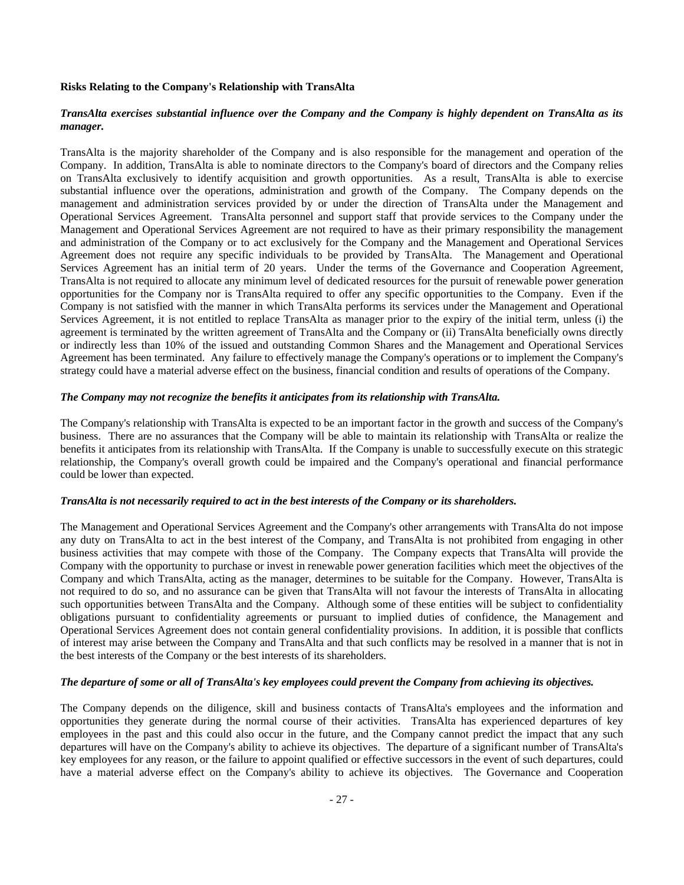# **Risks Relating to the Company's Relationship with TransAlta**

# *TransAlta exercises substantial influence over the Company and the Company is highly dependent on TransAlta as its manager.*

TransAlta is the majority shareholder of the Company and is also responsible for the management and operation of the Company. In addition, TransAlta is able to nominate directors to the Company's board of directors and the Company relies on TransAlta exclusively to identify acquisition and growth opportunities. As a result, TransAlta is able to exercise substantial influence over the operations, administration and growth of the Company. The Company depends on the management and administration services provided by or under the direction of TransAlta under the Management and Operational Services Agreement. TransAlta personnel and support staff that provide services to the Company under the Management and Operational Services Agreement are not required to have as their primary responsibility the management and administration of the Company or to act exclusively for the Company and the Management and Operational Services Agreement does not require any specific individuals to be provided by TransAlta. The Management and Operational Services Agreement has an initial term of 20 years. Under the terms of the Governance and Cooperation Agreement, TransAlta is not required to allocate any minimum level of dedicated resources for the pursuit of renewable power generation opportunities for the Company nor is TransAlta required to offer any specific opportunities to the Company. Even if the Company is not satisfied with the manner in which TransAlta performs its services under the Management and Operational Services Agreement, it is not entitled to replace TransAlta as manager prior to the expiry of the initial term, unless (i) the agreement is terminated by the written agreement of TransAlta and the Company or (ii) TransAlta beneficially owns directly or indirectly less than 10% of the issued and outstanding Common Shares and the Management and Operational Services Agreement has been terminated. Any failure to effectively manage the Company's operations or to implement the Company's strategy could have a material adverse effect on the business, financial condition and results of operations of the Company.

# *The Company may not recognize the benefits it anticipates from its relationship with TransAlta.*

The Company's relationship with TransAlta is expected to be an important factor in the growth and success of the Company's business. There are no assurances that the Company will be able to maintain its relationship with TransAlta or realize the benefits it anticipates from its relationship with TransAlta. If the Company is unable to successfully execute on this strategic relationship, the Company's overall growth could be impaired and the Company's operational and financial performance could be lower than expected.

# *TransAlta is not necessarily required to act in the best interests of the Company or its shareholders.*

The Management and Operational Services Agreement and the Company's other arrangements with TransAlta do not impose any duty on TransAlta to act in the best interest of the Company, and TransAlta is not prohibited from engaging in other business activities that may compete with those of the Company. The Company expects that TransAlta will provide the Company with the opportunity to purchase or invest in renewable power generation facilities which meet the objectives of the Company and which TransAlta, acting as the manager, determines to be suitable for the Company. However, TransAlta is not required to do so, and no assurance can be given that TransAlta will not favour the interests of TransAlta in allocating such opportunities between TransAlta and the Company. Although some of these entities will be subject to confidentiality obligations pursuant to confidentiality agreements or pursuant to implied duties of confidence, the Management and Operational Services Agreement does not contain general confidentiality provisions. In addition, it is possible that conflicts of interest may arise between the Company and TransAlta and that such conflicts may be resolved in a manner that is not in the best interests of the Company or the best interests of its shareholders.

# *The departure of some or all of TransAlta's key employees could prevent the Company from achieving its objectives.*

The Company depends on the diligence, skill and business contacts of TransAlta's employees and the information and opportunities they generate during the normal course of their activities. TransAlta has experienced departures of key employees in the past and this could also occur in the future, and the Company cannot predict the impact that any such departures will have on the Company's ability to achieve its objectives. The departure of a significant number of TransAlta's key employees for any reason, or the failure to appoint qualified or effective successors in the event of such departures, could have a material adverse effect on the Company's ability to achieve its objectives. The Governance and Cooperation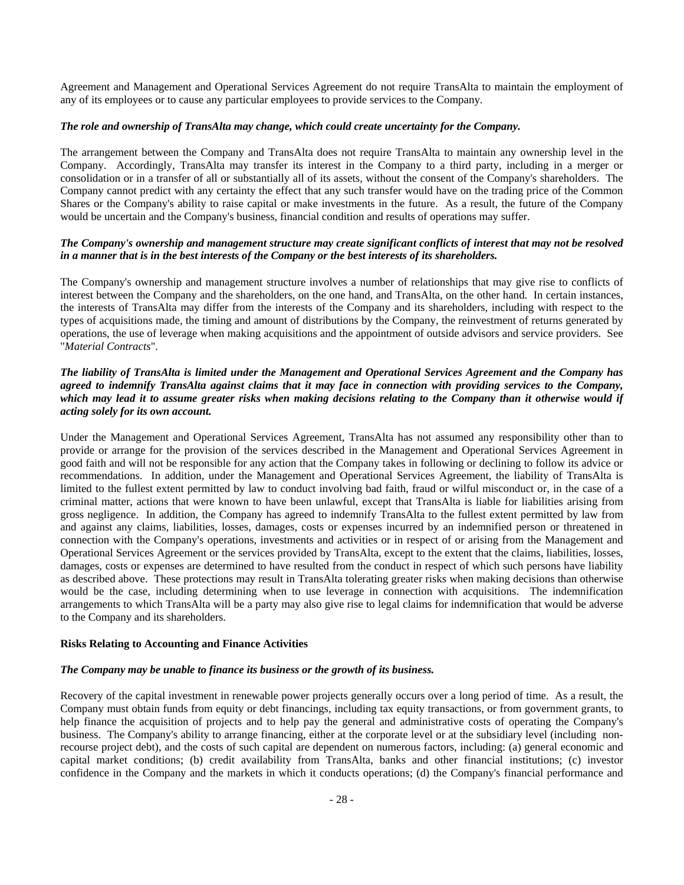Agreement and Management and Operational Services Agreement do not require TransAlta to maintain the employment of any of its employees or to cause any particular employees to provide services to the Company.

# *The role and ownership of TransAlta may change, which could create uncertainty for the Company.*

The arrangement between the Company and TransAlta does not require TransAlta to maintain any ownership level in the Company. Accordingly, TransAlta may transfer its interest in the Company to a third party, including in a merger or consolidation or in a transfer of all or substantially all of its assets, without the consent of the Company's shareholders. The Company cannot predict with any certainty the effect that any such transfer would have on the trading price of the Common Shares or the Company's ability to raise capital or make investments in the future. As a result, the future of the Company would be uncertain and the Company's business, financial condition and results of operations may suffer.

# *The Company's ownership and management structure may create significant conflicts of interest that may not be resolved in a manner that is in the best interests of the Company or the best interests of its shareholders.*

The Company's ownership and management structure involves a number of relationships that may give rise to conflicts of interest between the Company and the shareholders, on the one hand, and TransAlta, on the other hand. In certain instances, the interests of TransAlta may differ from the interests of the Company and its shareholders, including with respect to the types of acquisitions made, the timing and amount of distributions by the Company, the reinvestment of returns generated by operations, the use of leverage when making acquisitions and the appointment of outside advisors and service providers. See "*Material Contracts*".

# *The liability of TransAlta is limited under the Management and Operational Services Agreement and the Company has agreed to indemnify TransAlta against claims that it may face in connection with providing services to the Company, which may lead it to assume greater risks when making decisions relating to the Company than it otherwise would if acting solely for its own account.*

Under the Management and Operational Services Agreement, TransAlta has not assumed any responsibility other than to provide or arrange for the provision of the services described in the Management and Operational Services Agreement in good faith and will not be responsible for any action that the Company takes in following or declining to follow its advice or recommendations. In addition, under the Management and Operational Services Agreement, the liability of TransAlta is limited to the fullest extent permitted by law to conduct involving bad faith, fraud or wilful misconduct or, in the case of a criminal matter, actions that were known to have been unlawful, except that TransAlta is liable for liabilities arising from gross negligence. In addition, the Company has agreed to indemnify TransAlta to the fullest extent permitted by law from and against any claims, liabilities, losses, damages, costs or expenses incurred by an indemnified person or threatened in connection with the Company's operations, investments and activities or in respect of or arising from the Management and Operational Services Agreement or the services provided by TransAlta, except to the extent that the claims, liabilities, losses, damages, costs or expenses are determined to have resulted from the conduct in respect of which such persons have liability as described above. These protections may result in TransAlta tolerating greater risks when making decisions than otherwise would be the case, including determining when to use leverage in connection with acquisitions. The indemnification arrangements to which TransAlta will be a party may also give rise to legal claims for indemnification that would be adverse to the Company and its shareholders.

# **Risks Relating to Accounting and Finance Activities**

# *The Company may be unable to finance its business or the growth of its business.*

Recovery of the capital investment in renewable power projects generally occurs over a long period of time. As a result, the Company must obtain funds from equity or debt financings, including tax equity transactions, or from government grants, to help finance the acquisition of projects and to help pay the general and administrative costs of operating the Company's business. The Company's ability to arrange financing, either at the corporate level or at the subsidiary level (including nonrecourse project debt), and the costs of such capital are dependent on numerous factors, including: (a) general economic and capital market conditions; (b) credit availability from TransAlta, banks and other financial institutions; (c) investor confidence in the Company and the markets in which it conducts operations; (d) the Company's financial performance and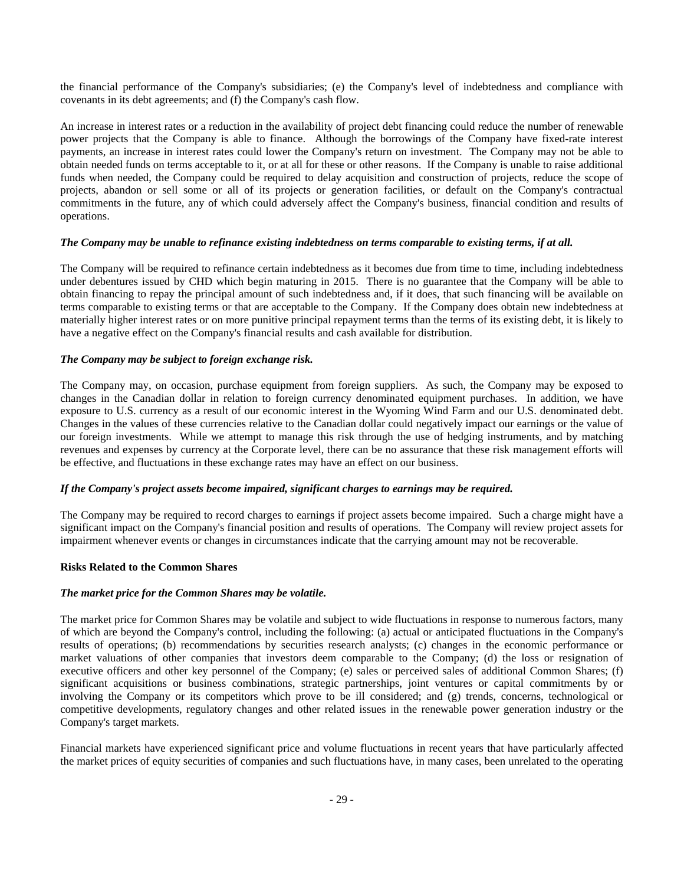the financial performance of the Company's subsidiaries; (e) the Company's level of indebtedness and compliance with covenants in its debt agreements; and (f) the Company's cash flow.

An increase in interest rates or a reduction in the availability of project debt financing could reduce the number of renewable power projects that the Company is able to finance. Although the borrowings of the Company have fixed-rate interest payments, an increase in interest rates could lower the Company's return on investment. The Company may not be able to obtain needed funds on terms acceptable to it, or at all for these or other reasons. If the Company is unable to raise additional funds when needed, the Company could be required to delay acquisition and construction of projects, reduce the scope of projects, abandon or sell some or all of its projects or generation facilities, or default on the Company's contractual commitments in the future, any of which could adversely affect the Company's business, financial condition and results of operations.

# *The Company may be unable to refinance existing indebtedness on terms comparable to existing terms, if at all.*

The Company will be required to refinance certain indebtedness as it becomes due from time to time, including indebtedness under debentures issued by CHD which begin maturing in 2015. There is no guarantee that the Company will be able to obtain financing to repay the principal amount of such indebtedness and, if it does, that such financing will be available on terms comparable to existing terms or that are acceptable to the Company. If the Company does obtain new indebtedness at materially higher interest rates or on more punitive principal repayment terms than the terms of its existing debt, it is likely to have a negative effect on the Company's financial results and cash available for distribution.

# *The Company may be subject to foreign exchange risk.*

The Company may, on occasion, purchase equipment from foreign suppliers. As such, the Company may be exposed to changes in the Canadian dollar in relation to foreign currency denominated equipment purchases. In addition, we have exposure to U.S. currency as a result of our economic interest in the Wyoming Wind Farm and our U.S. denominated debt. Changes in the values of these currencies relative to the Canadian dollar could negatively impact our earnings or the value of our foreign investments. While we attempt to manage this risk through the use of hedging instruments, and by matching revenues and expenses by currency at the Corporate level, there can be no assurance that these risk management efforts will be effective, and fluctuations in these exchange rates may have an effect on our business.

# *If the Company's project assets become impaired, significant charges to earnings may be required.*

The Company may be required to record charges to earnings if project assets become impaired. Such a charge might have a significant impact on the Company's financial position and results of operations. The Company will review project assets for impairment whenever events or changes in circumstances indicate that the carrying amount may not be recoverable.

# **Risks Related to the Common Shares**

# *The market price for the Common Shares may be volatile.*

The market price for Common Shares may be volatile and subject to wide fluctuations in response to numerous factors, many of which are beyond the Company's control, including the following: (a) actual or anticipated fluctuations in the Company's results of operations; (b) recommendations by securities research analysts; (c) changes in the economic performance or market valuations of other companies that investors deem comparable to the Company; (d) the loss or resignation of executive officers and other key personnel of the Company; (e) sales or perceived sales of additional Common Shares; (f) significant acquisitions or business combinations, strategic partnerships, joint ventures or capital commitments by or involving the Company or its competitors which prove to be ill considered; and (g) trends, concerns, technological or competitive developments, regulatory changes and other related issues in the renewable power generation industry or the Company's target markets.

Financial markets have experienced significant price and volume fluctuations in recent years that have particularly affected the market prices of equity securities of companies and such fluctuations have, in many cases, been unrelated to the operating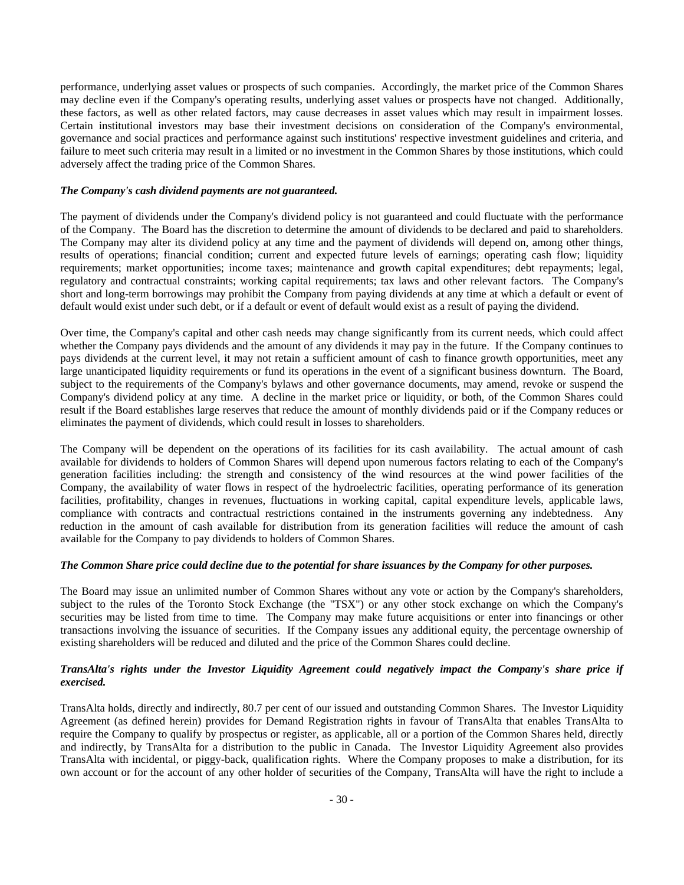performance, underlying asset values or prospects of such companies. Accordingly, the market price of the Common Shares may decline even if the Company's operating results, underlying asset values or prospects have not changed. Additionally, these factors, as well as other related factors, may cause decreases in asset values which may result in impairment losses. Certain institutional investors may base their investment decisions on consideration of the Company's environmental, governance and social practices and performance against such institutions' respective investment guidelines and criteria, and failure to meet such criteria may result in a limited or no investment in the Common Shares by those institutions, which could adversely affect the trading price of the Common Shares.

# *The Company's cash dividend payments are not guaranteed.*

The payment of dividends under the Company's dividend policy is not guaranteed and could fluctuate with the performance of the Company. The Board has the discretion to determine the amount of dividends to be declared and paid to shareholders. The Company may alter its dividend policy at any time and the payment of dividends will depend on, among other things, results of operations; financial condition; current and expected future levels of earnings; operating cash flow; liquidity requirements; market opportunities; income taxes; maintenance and growth capital expenditures; debt repayments; legal, regulatory and contractual constraints; working capital requirements; tax laws and other relevant factors. The Company's short and long-term borrowings may prohibit the Company from paying dividends at any time at which a default or event of default would exist under such debt, or if a default or event of default would exist as a result of paying the dividend.

Over time, the Company's capital and other cash needs may change significantly from its current needs, which could affect whether the Company pays dividends and the amount of any dividends it may pay in the future. If the Company continues to pays dividends at the current level, it may not retain a sufficient amount of cash to finance growth opportunities, meet any large unanticipated liquidity requirements or fund its operations in the event of a significant business downturn. The Board, subject to the requirements of the Company's bylaws and other governance documents, may amend, revoke or suspend the Company's dividend policy at any time. A decline in the market price or liquidity, or both, of the Common Shares could result if the Board establishes large reserves that reduce the amount of monthly dividends paid or if the Company reduces or eliminates the payment of dividends, which could result in losses to shareholders.

The Company will be dependent on the operations of its facilities for its cash availability. The actual amount of cash available for dividends to holders of Common Shares will depend upon numerous factors relating to each of the Company's generation facilities including: the strength and consistency of the wind resources at the wind power facilities of the Company, the availability of water flows in respect of the hydroelectric facilities, operating performance of its generation facilities, profitability, changes in revenues, fluctuations in working capital, capital expenditure levels, applicable laws, compliance with contracts and contractual restrictions contained in the instruments governing any indebtedness. Any reduction in the amount of cash available for distribution from its generation facilities will reduce the amount of cash available for the Company to pay dividends to holders of Common Shares.

# *The Common Share price could decline due to the potential for share issuances by the Company for other purposes.*

The Board may issue an unlimited number of Common Shares without any vote or action by the Company's shareholders, subject to the rules of the Toronto Stock Exchange (the "TSX") or any other stock exchange on which the Company's securities may be listed from time to time. The Company may make future acquisitions or enter into financings or other transactions involving the issuance of securities. If the Company issues any additional equity, the percentage ownership of existing shareholders will be reduced and diluted and the price of the Common Shares could decline.

# *TransAlta's rights under the Investor Liquidity Agreement could negatively impact the Company's share price if exercised.*

TransAlta holds, directly and indirectly, 80.7 per cent of our issued and outstanding Common Shares. The Investor Liquidity Agreement (as defined herein) provides for Demand Registration rights in favour of TransAlta that enables TransAlta to require the Company to qualify by prospectus or register, as applicable, all or a portion of the Common Shares held, directly and indirectly, by TransAlta for a distribution to the public in Canada. The Investor Liquidity Agreement also provides TransAlta with incidental, or piggy-back, qualification rights. Where the Company proposes to make a distribution, for its own account or for the account of any other holder of securities of the Company, TransAlta will have the right to include a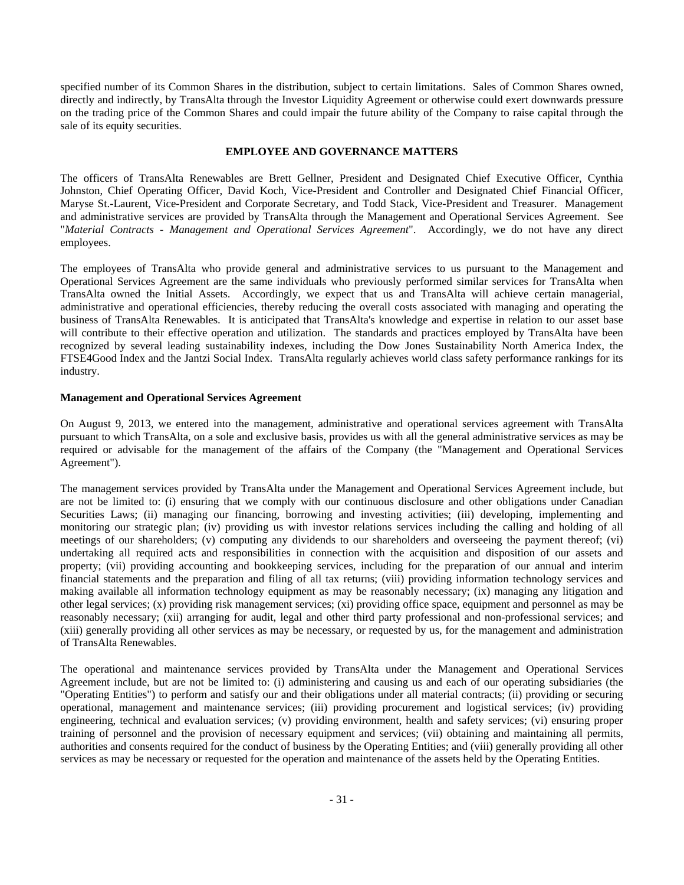specified number of its Common Shares in the distribution, subject to certain limitations. Sales of Common Shares owned, directly and indirectly, by TransAlta through the Investor Liquidity Agreement or otherwise could exert downwards pressure on the trading price of the Common Shares and could impair the future ability of the Company to raise capital through the sale of its equity securities.

## **EMPLOYEE AND GOVERNANCE MATTERS**

The officers of TransAlta Renewables are Brett Gellner, President and Designated Chief Executive Officer, Cynthia Johnston, Chief Operating Officer, David Koch, Vice-President and Controller and Designated Chief Financial Officer, Maryse St.-Laurent, Vice-President and Corporate Secretary, and Todd Stack, Vice-President and Treasurer. Management and administrative services are provided by TransAlta through the Management and Operational Services Agreement. See "*Material Contracts - Management and Operational Services Agreement*". Accordingly, we do not have any direct employees.

The employees of TransAlta who provide general and administrative services to us pursuant to the Management and Operational Services Agreement are the same individuals who previously performed similar services for TransAlta when TransAlta owned the Initial Assets. Accordingly, we expect that us and TransAlta will achieve certain managerial, administrative and operational efficiencies, thereby reducing the overall costs associated with managing and operating the business of TransAlta Renewables. It is anticipated that TransAlta's knowledge and expertise in relation to our asset base will contribute to their effective operation and utilization. The standards and practices employed by TransAlta have been recognized by several leading sustainability indexes, including the Dow Jones Sustainability North America Index, the FTSE4Good Index and the Jantzi Social Index. TransAlta regularly achieves world class safety performance rankings for its industry.

## **Management and Operational Services Agreement**

On August 9, 2013, we entered into the management, administrative and operational services agreement with TransAlta pursuant to which TransAlta, on a sole and exclusive basis, provides us with all the general administrative services as may be required or advisable for the management of the affairs of the Company (the "Management and Operational Services Agreement").

The management services provided by TransAlta under the Management and Operational Services Agreement include, but are not be limited to: (i) ensuring that we comply with our continuous disclosure and other obligations under Canadian Securities Laws; (ii) managing our financing, borrowing and investing activities; (iii) developing, implementing and monitoring our strategic plan; (iv) providing us with investor relations services including the calling and holding of all meetings of our shareholders; (v) computing any dividends to our shareholders and overseeing the payment thereof; (vi) undertaking all required acts and responsibilities in connection with the acquisition and disposition of our assets and property; (vii) providing accounting and bookkeeping services, including for the preparation of our annual and interim financial statements and the preparation and filing of all tax returns; (viii) providing information technology services and making available all information technology equipment as may be reasonably necessary; (ix) managing any litigation and other legal services; (x) providing risk management services; (xi) providing office space, equipment and personnel as may be reasonably necessary; (xii) arranging for audit, legal and other third party professional and non-professional services; and (xiii) generally providing all other services as may be necessary, or requested by us, for the management and administration of TransAlta Renewables.

The operational and maintenance services provided by TransAlta under the Management and Operational Services Agreement include, but are not be limited to: (i) administering and causing us and each of our operating subsidiaries (the "Operating Entities") to perform and satisfy our and their obligations under all material contracts; (ii) providing or securing operational, management and maintenance services; (iii) providing procurement and logistical services; (iv) providing engineering, technical and evaluation services; (v) providing environment, health and safety services; (vi) ensuring proper training of personnel and the provision of necessary equipment and services; (vii) obtaining and maintaining all permits, authorities and consents required for the conduct of business by the Operating Entities; and (viii) generally providing all other services as may be necessary or requested for the operation and maintenance of the assets held by the Operating Entities.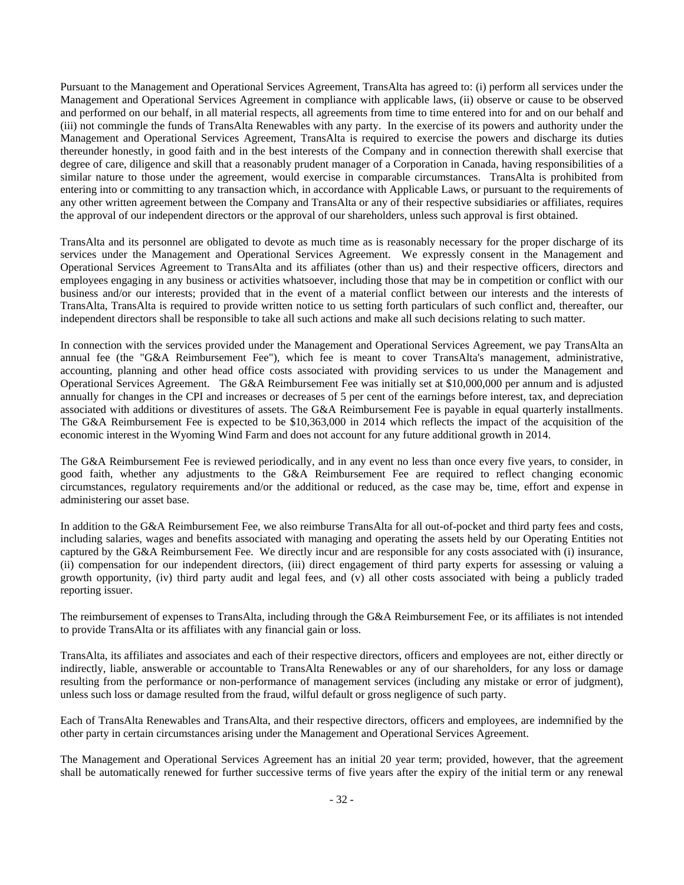Pursuant to the Management and Operational Services Agreement, TransAlta has agreed to: (i) perform all services under the Management and Operational Services Agreement in compliance with applicable laws, (ii) observe or cause to be observed and performed on our behalf, in all material respects, all agreements from time to time entered into for and on our behalf and (iii) not commingle the funds of TransAlta Renewables with any party. In the exercise of its powers and authority under the Management and Operational Services Agreement, TransAlta is required to exercise the powers and discharge its duties thereunder honestly, in good faith and in the best interests of the Company and in connection therewith shall exercise that degree of care, diligence and skill that a reasonably prudent manager of a Corporation in Canada, having responsibilities of a similar nature to those under the agreement, would exercise in comparable circumstances. TransAlta is prohibited from entering into or committing to any transaction which, in accordance with Applicable Laws, or pursuant to the requirements of any other written agreement between the Company and TransAlta or any of their respective subsidiaries or affiliates, requires the approval of our independent directors or the approval of our shareholders, unless such approval is first obtained.

TransAlta and its personnel are obligated to devote as much time as is reasonably necessary for the proper discharge of its services under the Management and Operational Services Agreement. We expressly consent in the Management and Operational Services Agreement to TransAlta and its affiliates (other than us) and their respective officers, directors and employees engaging in any business or activities whatsoever, including those that may be in competition or conflict with our business and/or our interests; provided that in the event of a material conflict between our interests and the interests of TransAlta, TransAlta is required to provide written notice to us setting forth particulars of such conflict and, thereafter, our independent directors shall be responsible to take all such actions and make all such decisions relating to such matter.

In connection with the services provided under the Management and Operational Services Agreement, we pay TransAlta an annual fee (the "G&A Reimbursement Fee"), which fee is meant to cover TransAlta's management, administrative, accounting, planning and other head office costs associated with providing services to us under the Management and Operational Services Agreement. The G&A Reimbursement Fee was initially set at \$10,000,000 per annum and is adjusted annually for changes in the CPI and increases or decreases of 5 per cent of the earnings before interest, tax, and depreciation associated with additions or divestitures of assets. The G&A Reimbursement Fee is payable in equal quarterly installments. The G&A Reimbursement Fee is expected to be \$10,363,000 in 2014 which reflects the impact of the acquisition of the economic interest in the Wyoming Wind Farm and does not account for any future additional growth in 2014.

The G&A Reimbursement Fee is reviewed periodically, and in any event no less than once every five years, to consider, in good faith, whether any adjustments to the G&A Reimbursement Fee are required to reflect changing economic circumstances, regulatory requirements and/or the additional or reduced, as the case may be, time, effort and expense in administering our asset base.

In addition to the G&A Reimbursement Fee, we also reimburse TransAlta for all out-of-pocket and third party fees and costs, including salaries, wages and benefits associated with managing and operating the assets held by our Operating Entities not captured by the G&A Reimbursement Fee. We directly incur and are responsible for any costs associated with (i) insurance, (ii) compensation for our independent directors, (iii) direct engagement of third party experts for assessing or valuing a growth opportunity, (iv) third party audit and legal fees, and (v) all other costs associated with being a publicly traded reporting issuer.

The reimbursement of expenses to TransAlta, including through the G&A Reimbursement Fee, or its affiliates is not intended to provide TransAlta or its affiliates with any financial gain or loss.

TransAlta, its affiliates and associates and each of their respective directors, officers and employees are not, either directly or indirectly, liable, answerable or accountable to TransAlta Renewables or any of our shareholders, for any loss or damage resulting from the performance or non-performance of management services (including any mistake or error of judgment), unless such loss or damage resulted from the fraud, wilful default or gross negligence of such party.

Each of TransAlta Renewables and TransAlta, and their respective directors, officers and employees, are indemnified by the other party in certain circumstances arising under the Management and Operational Services Agreement.

The Management and Operational Services Agreement has an initial 20 year term; provided, however, that the agreement shall be automatically renewed for further successive terms of five years after the expiry of the initial term or any renewal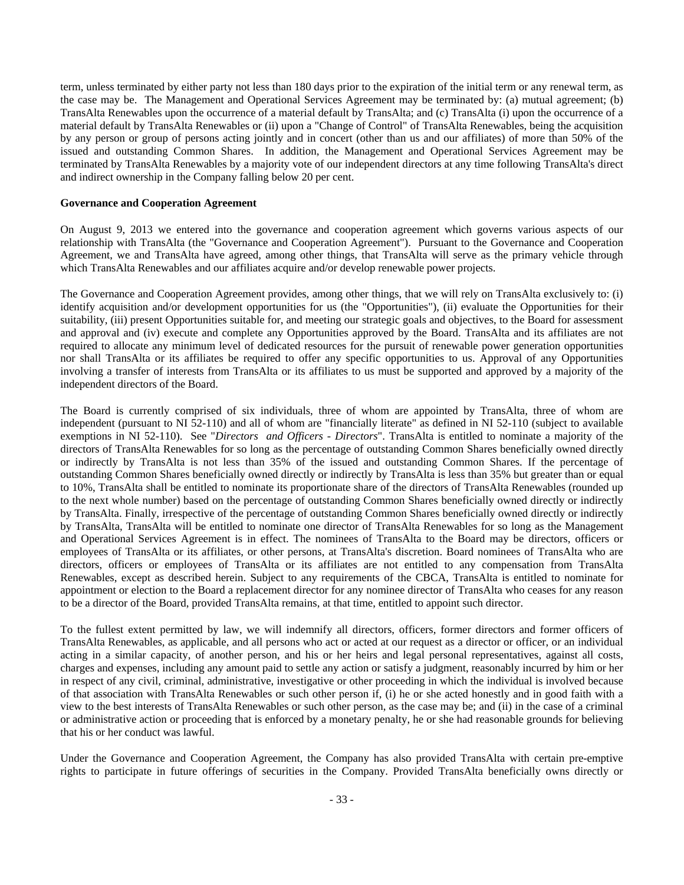term, unless terminated by either party not less than 180 days prior to the expiration of the initial term or any renewal term, as the case may be. The Management and Operational Services Agreement may be terminated by: (a) mutual agreement; (b) TransAlta Renewables upon the occurrence of a material default by TransAlta; and (c) TransAlta (i) upon the occurrence of a material default by TransAlta Renewables or (ii) upon a "Change of Control" of TransAlta Renewables, being the acquisition by any person or group of persons acting jointly and in concert (other than us and our affiliates) of more than 50% of the issued and outstanding Common Shares. In addition, the Management and Operational Services Agreement may be terminated by TransAlta Renewables by a majority vote of our independent directors at any time following TransAlta's direct and indirect ownership in the Company falling below 20 per cent.

## **Governance and Cooperation Agreement**

On August 9, 2013 we entered into the governance and cooperation agreement which governs various aspects of our relationship with TransAlta (the "Governance and Cooperation Agreement"). Pursuant to the Governance and Cooperation Agreement, we and TransAlta have agreed, among other things, that TransAlta will serve as the primary vehicle through which TransAlta Renewables and our affiliates acquire and/or develop renewable power projects.

The Governance and Cooperation Agreement provides, among other things, that we will rely on TransAlta exclusively to: (i) identify acquisition and/or development opportunities for us (the "Opportunities"), (ii) evaluate the Opportunities for their suitability, (iii) present Opportunities suitable for, and meeting our strategic goals and objectives, to the Board for assessment and approval and (iv) execute and complete any Opportunities approved by the Board. TransAlta and its affiliates are not required to allocate any minimum level of dedicated resources for the pursuit of renewable power generation opportunities nor shall TransAlta or its affiliates be required to offer any specific opportunities to us. Approval of any Opportunities involving a transfer of interests from TransAlta or its affiliates to us must be supported and approved by a majority of the independent directors of the Board.

The Board is currently comprised of six individuals, three of whom are appointed by TransAlta, three of whom are independent (pursuant to NI 52-110) and all of whom are "financially literate" as defined in NI 52-110 (subject to available exemptions in NI 52-110). See "*Directors and Officers - Directors*". TransAlta is entitled to nominate a majority of the directors of TransAlta Renewables for so long as the percentage of outstanding Common Shares beneficially owned directly or indirectly by TransAlta is not less than 35% of the issued and outstanding Common Shares. If the percentage of outstanding Common Shares beneficially owned directly or indirectly by TransAlta is less than 35% but greater than or equal to 10%, TransAlta shall be entitled to nominate its proportionate share of the directors of TransAlta Renewables (rounded up to the next whole number) based on the percentage of outstanding Common Shares beneficially owned directly or indirectly by TransAlta. Finally, irrespective of the percentage of outstanding Common Shares beneficially owned directly or indirectly by TransAlta, TransAlta will be entitled to nominate one director of TransAlta Renewables for so long as the Management and Operational Services Agreement is in effect. The nominees of TransAlta to the Board may be directors, officers or employees of TransAlta or its affiliates, or other persons, at TransAlta's discretion. Board nominees of TransAlta who are directors, officers or employees of TransAlta or its affiliates are not entitled to any compensation from TransAlta Renewables, except as described herein. Subject to any requirements of the CBCA, TransAlta is entitled to nominate for appointment or election to the Board a replacement director for any nominee director of TransAlta who ceases for any reason to be a director of the Board, provided TransAlta remains, at that time, entitled to appoint such director.

To the fullest extent permitted by law, we will indemnify all directors, officers, former directors and former officers of TransAlta Renewables, as applicable, and all persons who act or acted at our request as a director or officer, or an individual acting in a similar capacity, of another person, and his or her heirs and legal personal representatives, against all costs, charges and expenses, including any amount paid to settle any action or satisfy a judgment, reasonably incurred by him or her in respect of any civil, criminal, administrative, investigative or other proceeding in which the individual is involved because of that association with TransAlta Renewables or such other person if, (i) he or she acted honestly and in good faith with a view to the best interests of TransAlta Renewables or such other person, as the case may be; and (ii) in the case of a criminal or administrative action or proceeding that is enforced by a monetary penalty, he or she had reasonable grounds for believing that his or her conduct was lawful.

Under the Governance and Cooperation Agreement, the Company has also provided TransAlta with certain pre-emptive rights to participate in future offerings of securities in the Company. Provided TransAlta beneficially owns directly or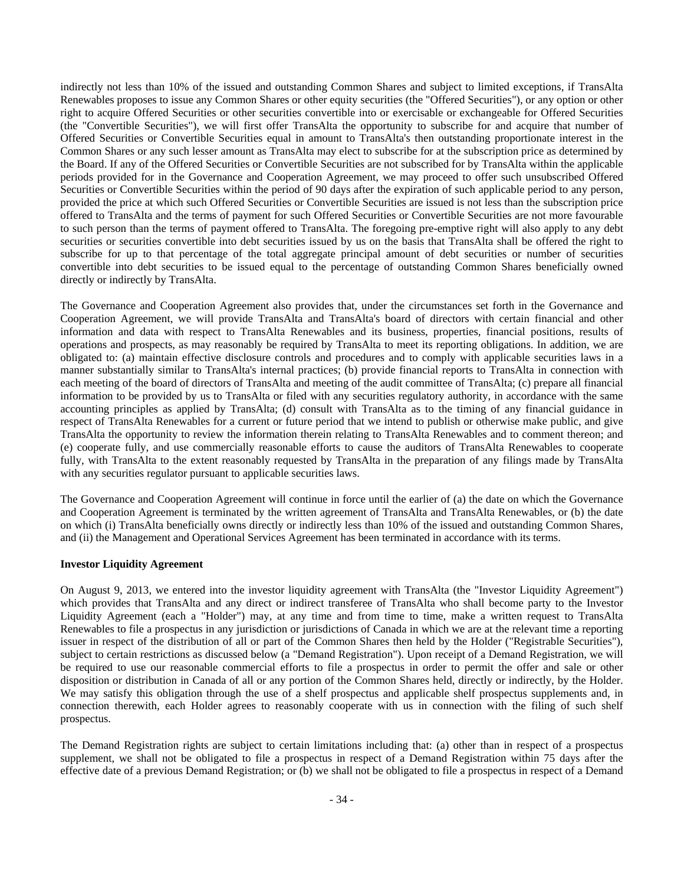indirectly not less than 10% of the issued and outstanding Common Shares and subject to limited exceptions, if TransAlta Renewables proposes to issue any Common Shares or other equity securities (the "Offered Securities"), or any option or other right to acquire Offered Securities or other securities convertible into or exercisable or exchangeable for Offered Securities (the "Convertible Securities"), we will first offer TransAlta the opportunity to subscribe for and acquire that number of Offered Securities or Convertible Securities equal in amount to TransAlta's then outstanding proportionate interest in the Common Shares or any such lesser amount as TransAlta may elect to subscribe for at the subscription price as determined by the Board. If any of the Offered Securities or Convertible Securities are not subscribed for by TransAlta within the applicable periods provided for in the Governance and Cooperation Agreement, we may proceed to offer such unsubscribed Offered Securities or Convertible Securities within the period of 90 days after the expiration of such applicable period to any person, provided the price at which such Offered Securities or Convertible Securities are issued is not less than the subscription price offered to TransAlta and the terms of payment for such Offered Securities or Convertible Securities are not more favourable to such person than the terms of payment offered to TransAlta. The foregoing pre-emptive right will also apply to any debt securities or securities convertible into debt securities issued by us on the basis that TransAlta shall be offered the right to subscribe for up to that percentage of the total aggregate principal amount of debt securities or number of securities convertible into debt securities to be issued equal to the percentage of outstanding Common Shares beneficially owned directly or indirectly by TransAlta.

The Governance and Cooperation Agreement also provides that, under the circumstances set forth in the Governance and Cooperation Agreement, we will provide TransAlta and TransAlta's board of directors with certain financial and other information and data with respect to TransAlta Renewables and its business, properties, financial positions, results of operations and prospects, as may reasonably be required by TransAlta to meet its reporting obligations. In addition, we are obligated to: (a) maintain effective disclosure controls and procedures and to comply with applicable securities laws in a manner substantially similar to TransAlta's internal practices; (b) provide financial reports to TransAlta in connection with each meeting of the board of directors of TransAlta and meeting of the audit committee of TransAlta; (c) prepare all financial information to be provided by us to TransAlta or filed with any securities regulatory authority, in accordance with the same accounting principles as applied by TransAlta; (d) consult with TransAlta as to the timing of any financial guidance in respect of TransAlta Renewables for a current or future period that we intend to publish or otherwise make public, and give TransAlta the opportunity to review the information therein relating to TransAlta Renewables and to comment thereon; and (e) cooperate fully, and use commercially reasonable efforts to cause the auditors of TransAlta Renewables to cooperate fully, with TransAlta to the extent reasonably requested by TransAlta in the preparation of any filings made by TransAlta with any securities regulator pursuant to applicable securities laws.

The Governance and Cooperation Agreement will continue in force until the earlier of (a) the date on which the Governance and Cooperation Agreement is terminated by the written agreement of TransAlta and TransAlta Renewables, or (b) the date on which (i) TransAlta beneficially owns directly or indirectly less than 10% of the issued and outstanding Common Shares, and (ii) the Management and Operational Services Agreement has been terminated in accordance with its terms.

# **Investor Liquidity Agreement**

On August 9, 2013, we entered into the investor liquidity agreement with TransAlta (the "Investor Liquidity Agreement") which provides that TransAlta and any direct or indirect transferee of TransAlta who shall become party to the Investor Liquidity Agreement (each a "Holder") may, at any time and from time to time, make a written request to TransAlta Renewables to file a prospectus in any jurisdiction or jurisdictions of Canada in which we are at the relevant time a reporting issuer in respect of the distribution of all or part of the Common Shares then held by the Holder ("Registrable Securities"), subject to certain restrictions as discussed below (a "Demand Registration"). Upon receipt of a Demand Registration, we will be required to use our reasonable commercial efforts to file a prospectus in order to permit the offer and sale or other disposition or distribution in Canada of all or any portion of the Common Shares held, directly or indirectly, by the Holder. We may satisfy this obligation through the use of a shelf prospectus and applicable shelf prospectus supplements and, in connection therewith, each Holder agrees to reasonably cooperate with us in connection with the filing of such shelf prospectus.

The Demand Registration rights are subject to certain limitations including that: (a) other than in respect of a prospectus supplement, we shall not be obligated to file a prospectus in respect of a Demand Registration within 75 days after the effective date of a previous Demand Registration; or (b) we shall not be obligated to file a prospectus in respect of a Demand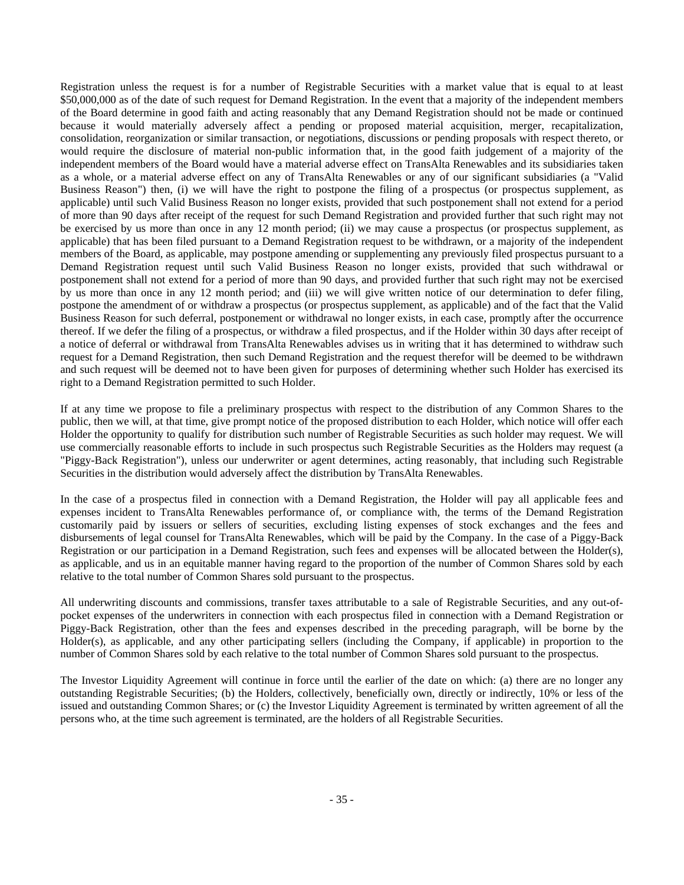Registration unless the request is for a number of Registrable Securities with a market value that is equal to at least \$50,000,000 as of the date of such request for Demand Registration. In the event that a majority of the independent members of the Board determine in good faith and acting reasonably that any Demand Registration should not be made or continued because it would materially adversely affect a pending or proposed material acquisition, merger, recapitalization, consolidation, reorganization or similar transaction, or negotiations, discussions or pending proposals with respect thereto, or would require the disclosure of material non-public information that, in the good faith judgement of a majority of the independent members of the Board would have a material adverse effect on TransAlta Renewables and its subsidiaries taken as a whole, or a material adverse effect on any of TransAlta Renewables or any of our significant subsidiaries (a "Valid Business Reason") then, (i) we will have the right to postpone the filing of a prospectus (or prospectus supplement, as applicable) until such Valid Business Reason no longer exists, provided that such postponement shall not extend for a period of more than 90 days after receipt of the request for such Demand Registration and provided further that such right may not be exercised by us more than once in any 12 month period; (ii) we may cause a prospectus (or prospectus supplement, as applicable) that has been filed pursuant to a Demand Registration request to be withdrawn, or a majority of the independent members of the Board, as applicable, may postpone amending or supplementing any previously filed prospectus pursuant to a Demand Registration request until such Valid Business Reason no longer exists, provided that such withdrawal or postponement shall not extend for a period of more than 90 days, and provided further that such right may not be exercised by us more than once in any 12 month period; and (iii) we will give written notice of our determination to defer filing, postpone the amendment of or withdraw a prospectus (or prospectus supplement, as applicable) and of the fact that the Valid Business Reason for such deferral, postponement or withdrawal no longer exists, in each case, promptly after the occurrence thereof. If we defer the filing of a prospectus, or withdraw a filed prospectus, and if the Holder within 30 days after receipt of a notice of deferral or withdrawal from TransAlta Renewables advises us in writing that it has determined to withdraw such request for a Demand Registration, then such Demand Registration and the request therefor will be deemed to be withdrawn and such request will be deemed not to have been given for purposes of determining whether such Holder has exercised its right to a Demand Registration permitted to such Holder.

If at any time we propose to file a preliminary prospectus with respect to the distribution of any Common Shares to the public, then we will, at that time, give prompt notice of the proposed distribution to each Holder, which notice will offer each Holder the opportunity to qualify for distribution such number of Registrable Securities as such holder may request. We will use commercially reasonable efforts to include in such prospectus such Registrable Securities as the Holders may request (a "Piggy-Back Registration"), unless our underwriter or agent determines, acting reasonably, that including such Registrable Securities in the distribution would adversely affect the distribution by TransAlta Renewables.

In the case of a prospectus filed in connection with a Demand Registration, the Holder will pay all applicable fees and expenses incident to TransAlta Renewables performance of, or compliance with, the terms of the Demand Registration customarily paid by issuers or sellers of securities, excluding listing expenses of stock exchanges and the fees and disbursements of legal counsel for TransAlta Renewables, which will be paid by the Company. In the case of a Piggy-Back Registration or our participation in a Demand Registration, such fees and expenses will be allocated between the Holder(s), as applicable, and us in an equitable manner having regard to the proportion of the number of Common Shares sold by each relative to the total number of Common Shares sold pursuant to the prospectus.

All underwriting discounts and commissions, transfer taxes attributable to a sale of Registrable Securities, and any out-ofpocket expenses of the underwriters in connection with each prospectus filed in connection with a Demand Registration or Piggy-Back Registration, other than the fees and expenses described in the preceding paragraph, will be borne by the Holder(s), as applicable, and any other participating sellers (including the Company, if applicable) in proportion to the number of Common Shares sold by each relative to the total number of Common Shares sold pursuant to the prospectus.

The Investor Liquidity Agreement will continue in force until the earlier of the date on which: (a) there are no longer any outstanding Registrable Securities; (b) the Holders, collectively, beneficially own, directly or indirectly, 10% or less of the issued and outstanding Common Shares; or (c) the Investor Liquidity Agreement is terminated by written agreement of all the persons who, at the time such agreement is terminated, are the holders of all Registrable Securities.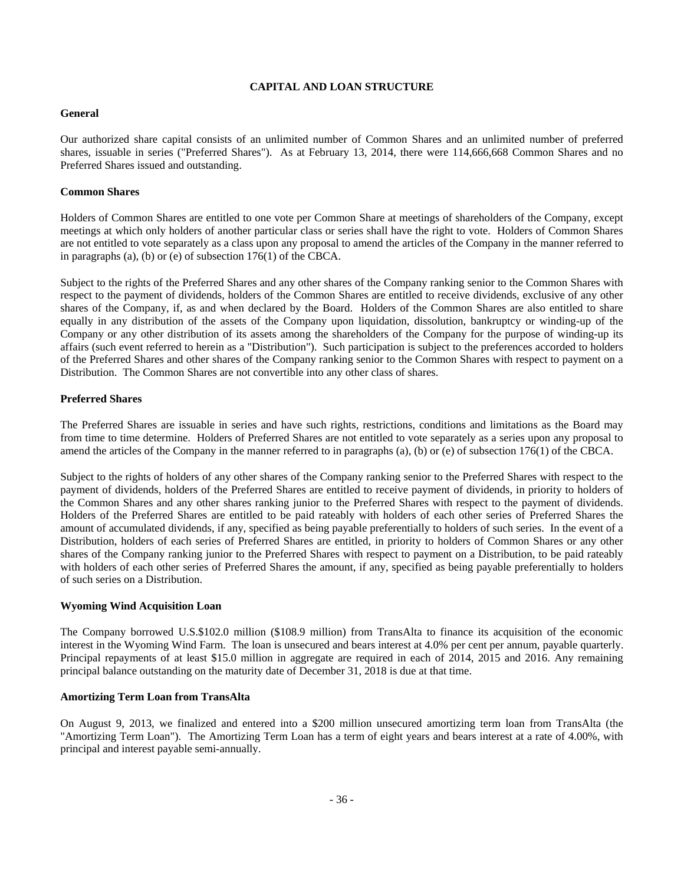# **CAPITAL AND LOAN STRUCTURE**

# **General**

Our authorized share capital consists of an unlimited number of Common Shares and an unlimited number of preferred shares, issuable in series ("Preferred Shares"). As at February 13, 2014, there were 114,666,668 Common Shares and no Preferred Shares issued and outstanding.

# **Common Shares**

Holders of Common Shares are entitled to one vote per Common Share at meetings of shareholders of the Company, except meetings at which only holders of another particular class or series shall have the right to vote. Holders of Common Shares are not entitled to vote separately as a class upon any proposal to amend the articles of the Company in the manner referred to in paragraphs (a), (b) or (e) of subsection 176(1) of the CBCA.

Subject to the rights of the Preferred Shares and any other shares of the Company ranking senior to the Common Shares with respect to the payment of dividends, holders of the Common Shares are entitled to receive dividends, exclusive of any other shares of the Company, if, as and when declared by the Board. Holders of the Common Shares are also entitled to share equally in any distribution of the assets of the Company upon liquidation, dissolution, bankruptcy or winding-up of the Company or any other distribution of its assets among the shareholders of the Company for the purpose of winding-up its affairs (such event referred to herein as a "Distribution"). Such participation is subject to the preferences accorded to holders of the Preferred Shares and other shares of the Company ranking senior to the Common Shares with respect to payment on a Distribution. The Common Shares are not convertible into any other class of shares.

# **Preferred Shares**

The Preferred Shares are issuable in series and have such rights, restrictions, conditions and limitations as the Board may from time to time determine. Holders of Preferred Shares are not entitled to vote separately as a series upon any proposal to amend the articles of the Company in the manner referred to in paragraphs (a), (b) or (e) of subsection 176(1) of the CBCA.

Subject to the rights of holders of any other shares of the Company ranking senior to the Preferred Shares with respect to the payment of dividends, holders of the Preferred Shares are entitled to receive payment of dividends, in priority to holders of the Common Shares and any other shares ranking junior to the Preferred Shares with respect to the payment of dividends. Holders of the Preferred Shares are entitled to be paid rateably with holders of each other series of Preferred Shares the amount of accumulated dividends, if any, specified as being payable preferentially to holders of such series. In the event of a Distribution, holders of each series of Preferred Shares are entitled, in priority to holders of Common Shares or any other shares of the Company ranking junior to the Preferred Shares with respect to payment on a Distribution, to be paid rateably with holders of each other series of Preferred Shares the amount, if any, specified as being payable preferentially to holders of such series on a Distribution.

# **Wyoming Wind Acquisition Loan**

The Company borrowed U.S.\$102.0 million (\$108.9 million) from TransAlta to finance its acquisition of the economic interest in the Wyoming Wind Farm. The loan is unsecured and bears interest at 4.0% per cent per annum, payable quarterly. Principal repayments of at least \$15.0 million in aggregate are required in each of 2014, 2015 and 2016. Any remaining principal balance outstanding on the maturity date of December 31, 2018 is due at that time.

# **Amortizing Term Loan from TransAlta**

On August 9, 2013, we finalized and entered into a \$200 million unsecured amortizing term loan from TransAlta (the "Amortizing Term Loan"). The Amortizing Term Loan has a term of eight years and bears interest at a rate of 4.00%, with principal and interest payable semi-annually.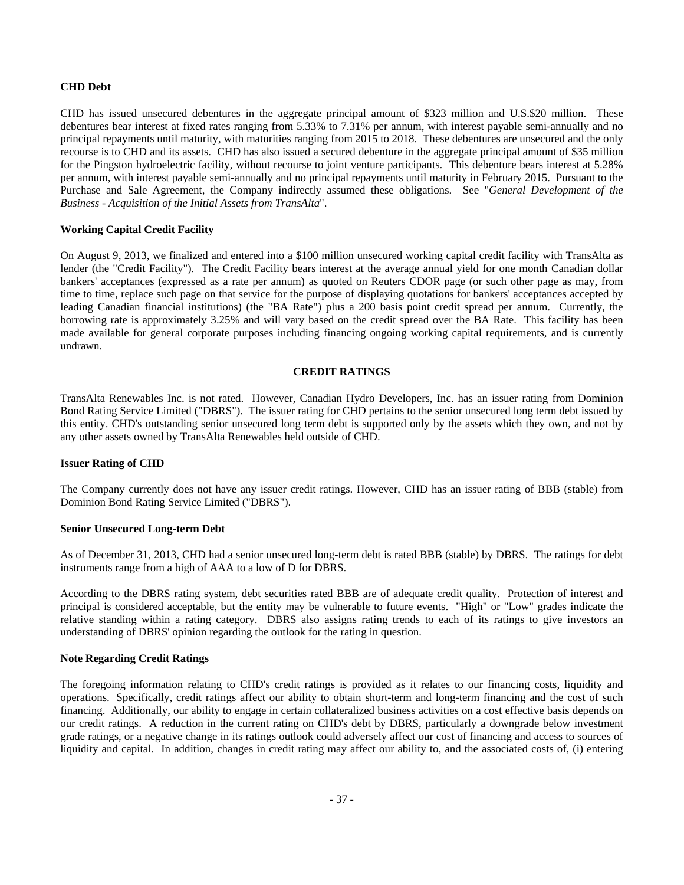# **CHD Debt**

CHD has issued unsecured debentures in the aggregate principal amount of \$323 million and U.S.\$20 million. These debentures bear interest at fixed rates ranging from 5.33% to 7.31% per annum, with interest payable semi-annually and no principal repayments until maturity, with maturities ranging from 2015 to 2018. These debentures are unsecured and the only recourse is to CHD and its assets. CHD has also issued a secured debenture in the aggregate principal amount of \$35 million for the Pingston hydroelectric facility, without recourse to joint venture participants. This debenture bears interest at 5.28% per annum, with interest payable semi-annually and no principal repayments until maturity in February 2015. Pursuant to the Purchase and Sale Agreement, the Company indirectly assumed these obligations. See "*General Development of the Business - Acquisition of the Initial Assets from TransAlta*".

## **Working Capital Credit Facility**

On August 9, 2013, we finalized and entered into a \$100 million unsecured working capital credit facility with TransAlta as lender (the "Credit Facility"). The Credit Facility bears interest at the average annual yield for one month Canadian dollar bankers' acceptances (expressed as a rate per annum) as quoted on Reuters CDOR page (or such other page as may, from time to time, replace such page on that service for the purpose of displaying quotations for bankers' acceptances accepted by leading Canadian financial institutions) (the "BA Rate") plus a 200 basis point credit spread per annum. Currently, the borrowing rate is approximately 3.25% and will vary based on the credit spread over the BA Rate. This facility has been made available for general corporate purposes including financing ongoing working capital requirements, and is currently undrawn.

## **CREDIT RATINGS**

TransAlta Renewables Inc. is not rated. However, Canadian Hydro Developers, Inc. has an issuer rating from Dominion Bond Rating Service Limited ("DBRS"). The issuer rating for CHD pertains to the senior unsecured long term debt issued by this entity. CHD's outstanding senior unsecured long term debt is supported only by the assets which they own, and not by any other assets owned by TransAlta Renewables held outside of CHD.

# **Issuer Rating of CHD**

The Company currently does not have any issuer credit ratings. However, CHD has an issuer rating of BBB (stable) from Dominion Bond Rating Service Limited ("DBRS").

# **Senior Unsecured Long-term Debt**

As of December 31, 2013, CHD had a senior unsecured long-term debt is rated BBB (stable) by DBRS. The ratings for debt instruments range from a high of AAA to a low of D for DBRS.

According to the DBRS rating system, debt securities rated BBB are of adequate credit quality. Protection of interest and principal is considered acceptable, but the entity may be vulnerable to future events. "High" or "Low" grades indicate the relative standing within a rating category. DBRS also assigns rating trends to each of its ratings to give investors an understanding of DBRS' opinion regarding the outlook for the rating in question.

# **Note Regarding Credit Ratings**

The foregoing information relating to CHD's credit ratings is provided as it relates to our financing costs, liquidity and operations. Specifically, credit ratings affect our ability to obtain short-term and long-term financing and the cost of such financing. Additionally, our ability to engage in certain collateralized business activities on a cost effective basis depends on our credit ratings. A reduction in the current rating on CHD's debt by DBRS, particularly a downgrade below investment grade ratings, or a negative change in its ratings outlook could adversely affect our cost of financing and access to sources of liquidity and capital. In addition, changes in credit rating may affect our ability to, and the associated costs of, (i) entering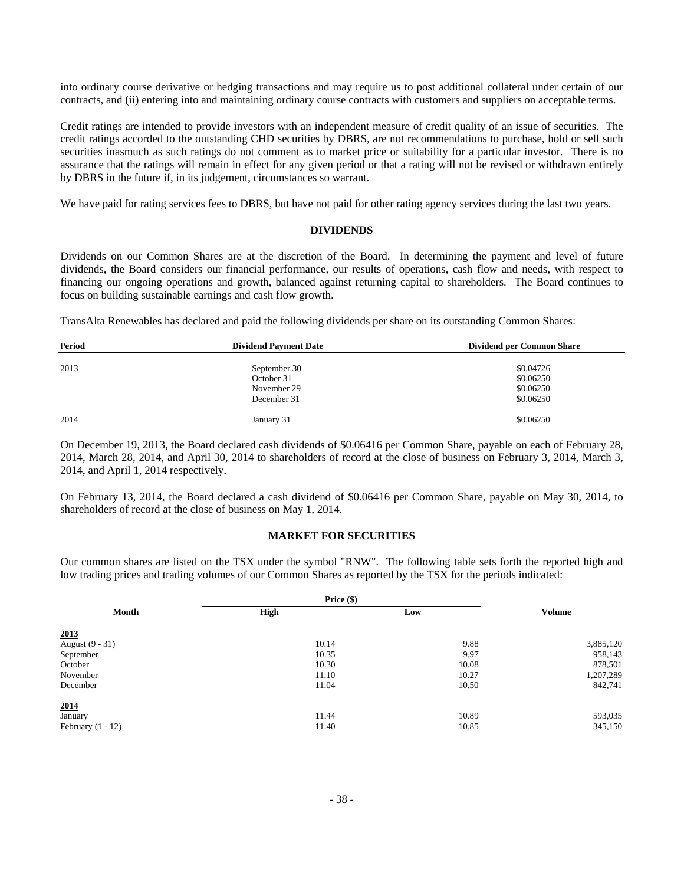into ordinary course derivative or hedging transactions and may require us to post additional collateral under certain of our contracts, and (ii) entering into and maintaining ordinary course contracts with customers and suppliers on acceptable terms.

Credit ratings are intended to provide investors with an independent measure of credit quality of an issue of securities. The credit ratings accorded to the outstanding CHD securities by DBRS, are not recommendations to purchase, hold or sell such securities inasmuch as such ratings do not comment as to market price or suitability for a particular investor. There is no assurance that the ratings will remain in effect for any given period or that a rating will not be revised or withdrawn entirely by DBRS in the future if, in its judgement, circumstances so warrant.

We have paid for rating services fees to DBRS, but have not paid for other rating agency services during the last two years.

## **DIVIDENDS**

Dividends on our Common Shares are at the discretion of the Board. In determining the payment and level of future dividends, the Board considers our financial performance, our results of operations, cash flow and needs, with respect to financing our ongoing operations and growth, balanced against returning capital to shareholders. The Board continues to focus on building sustainable earnings and cash flow growth.

TransAlta Renewables has declared and paid the following dividends per share on its outstanding Common Shares:

| Period | <b>Dividend Payment Date</b> | <b>Dividend per Common Share</b> |
|--------|------------------------------|----------------------------------|
|        |                              |                                  |
| 2013   | September 30                 | \$0.04726                        |
|        | October 31                   | \$0.06250                        |
|        | November 29                  | \$0.06250                        |
|        | December 31                  | \$0.06250                        |
| 2014   | January 31                   | \$0.06250                        |

On December 19, 2013, the Board declared cash dividends of \$0.06416 per Common Share, payable on each of February 28, 2014, March 28, 2014, and April 30, 2014 to shareholders of record at the close of business on February 3, 2014, March 3, 2014, and April 1, 2014 respectively.

On February 13, 2014, the Board declared a cash dividend of \$0.06416 per Common Share, payable on May 30, 2014, to shareholders of record at the close of business on May 1, 2014.

# **MARKET FOR SECURITIES**

Our common shares are listed on the TSX under the symbol "RNW". The following table sets forth the reported high and low trading prices and trading volumes of our Common Shares as reported by the TSX for the periods indicated:

|                     | Price (\$) |       |               |
|---------------------|------------|-------|---------------|
| Month               | High       | Low   | <b>Volume</b> |
| 2013                |            |       |               |
| August (9 - 31)     | 10.14      | 9.88  | 3,885,120     |
| September           | 10.35      | 9.97  | 958,143       |
| October             | 10.30      | 10.08 | 878,501       |
| November            | 11.10      | 10.27 | 1,207,289     |
| December            | 11.04      | 10.50 | 842,741       |
| 2014                |            |       |               |
| January             | 11.44      | 10.89 | 593,035       |
| February $(1 - 12)$ | 11.40      | 10.85 | 345,150       |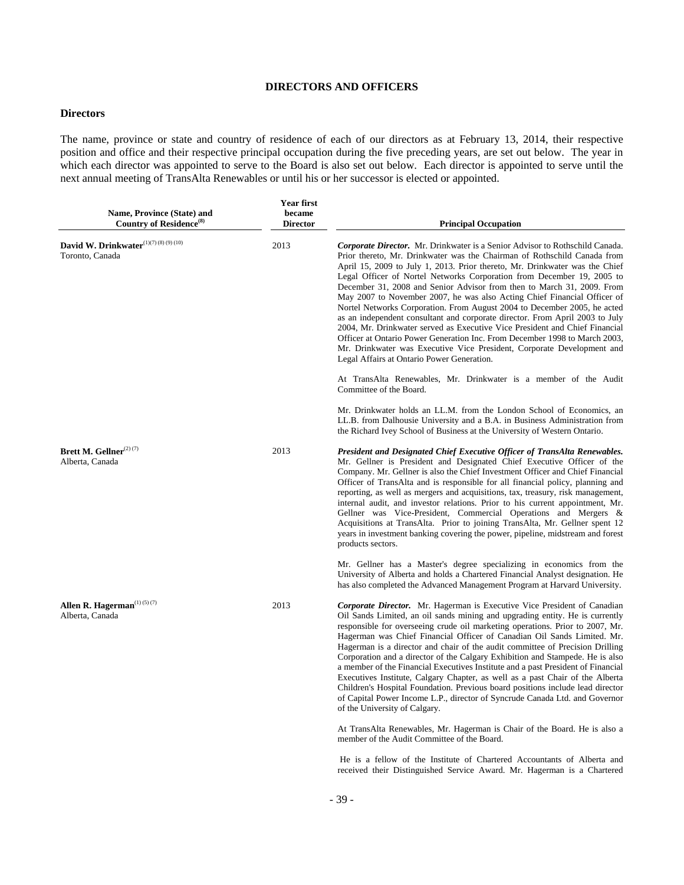# **DIRECTORS AND OFFICERS**

# **Directors**

The name, province or state and country of residence of each of our directors as at February 13, 2014, their respective position and office and their respective principal occupation during the five preceding years, are set out below. The year in which each director was appointed to serve to the Board is also set out below. Each director is appointed to serve until the next annual meeting of TransAlta Renewables or until his or her successor is elected or appointed.

| Name, Province (State) and<br>Country of Residence <sup>(8)</sup> | <b>Year first</b><br>became<br><b>Director</b> | <b>Principal Occupation</b>                                                                                                                                                                                                                                                                                                                                                                                                                                                                                                                                                                                                                                                                                                                                                                                                                                                                                                     |
|-------------------------------------------------------------------|------------------------------------------------|---------------------------------------------------------------------------------------------------------------------------------------------------------------------------------------------------------------------------------------------------------------------------------------------------------------------------------------------------------------------------------------------------------------------------------------------------------------------------------------------------------------------------------------------------------------------------------------------------------------------------------------------------------------------------------------------------------------------------------------------------------------------------------------------------------------------------------------------------------------------------------------------------------------------------------|
| David W. Drinkwater(1)(7) (8) (9) (10)<br>Toronto, Canada         | 2013                                           | <b>Corporate Director.</b> Mr. Drinkwater is a Senior Advisor to Rothschild Canada.<br>Prior thereto, Mr. Drinkwater was the Chairman of Rothschild Canada from<br>April 15, 2009 to July 1, 2013. Prior thereto, Mr. Drinkwater was the Chief<br>Legal Officer of Nortel Networks Corporation from December 19, 2005 to<br>December 31, 2008 and Senior Advisor from then to March 31, 2009. From<br>May 2007 to November 2007, he was also Acting Chief Financial Officer of<br>Nortel Networks Corporation. From August 2004 to December 2005, he acted<br>as an independent consultant and corporate director. From April 2003 to July<br>2004, Mr. Drinkwater served as Executive Vice President and Chief Financial<br>Officer at Ontario Power Generation Inc. From December 1998 to March 2003,<br>Mr. Drinkwater was Executive Vice President, Corporate Development and<br>Legal Affairs at Ontario Power Generation. |
|                                                                   |                                                | At TransAlta Renewables, Mr. Drinkwater is a member of the Audit<br>Committee of the Board.                                                                                                                                                                                                                                                                                                                                                                                                                                                                                                                                                                                                                                                                                                                                                                                                                                     |
|                                                                   |                                                | Mr. Drinkwater holds an LL.M. from the London School of Economics, an<br>LL.B. from Dalhousie University and a B.A. in Business Administration from<br>the Richard Ivey School of Business at the University of Western Ontario.                                                                                                                                                                                                                                                                                                                                                                                                                                                                                                                                                                                                                                                                                                |
| Brett M. Gellner <sup>(2)(7)</sup><br>Alberta, Canada             | 2013                                           | President and Designated Chief Executive Officer of TransAlta Renewables.<br>Mr. Gellner is President and Designated Chief Executive Officer of the<br>Company. Mr. Gellner is also the Chief Investment Officer and Chief Financial<br>Officer of TransAlta and is responsible for all financial policy, planning and<br>reporting, as well as mergers and acquisitions, tax, treasury, risk management,<br>internal audit, and investor relations. Prior to his current appointment, Mr.<br>Gellner was Vice-President, Commercial Operations and Mergers &<br>Acquisitions at TransAlta. Prior to joining TransAlta, Mr. Gellner spent 12<br>years in investment banking covering the power, pipeline, midstream and forest<br>products sectors.                                                                                                                                                                             |
|                                                                   |                                                | Mr. Gellner has a Master's degree specializing in economics from the<br>University of Alberta and holds a Chartered Financial Analyst designation. He<br>has also completed the Advanced Management Program at Harvard University.                                                                                                                                                                                                                                                                                                                                                                                                                                                                                                                                                                                                                                                                                              |
| Allen R. Hagerman <sup>(1)(5)(7)</sup><br>Alberta, Canada         | 2013                                           | <b>Corporate Director.</b> Mr. Hagerman is Executive Vice President of Canadian<br>Oil Sands Limited, an oil sands mining and upgrading entity. He is currently<br>responsible for overseeing crude oil marketing operations. Prior to 2007, Mr.<br>Hagerman was Chief Financial Officer of Canadian Oil Sands Limited. Mr.<br>Hagerman is a director and chair of the audit committee of Precision Drilling<br>Corporation and a director of the Calgary Exhibition and Stampede. He is also<br>a member of the Financial Executives Institute and a past President of Financial<br>Executives Institute, Calgary Chapter, as well as a past Chair of the Alberta<br>Children's Hospital Foundation. Previous board positions include lead director<br>of Capital Power Income L.P., director of Syncrude Canada Ltd. and Governor<br>of the University of Calgary.                                                            |
|                                                                   |                                                | At TransAlta Renewables, Mr. Hagerman is Chair of the Board. He is also a<br>member of the Audit Committee of the Board.                                                                                                                                                                                                                                                                                                                                                                                                                                                                                                                                                                                                                                                                                                                                                                                                        |

 He is a fellow of the Institute of Chartered Accountants of Alberta and received their Distinguished Service Award. Mr. Hagerman is a Chartered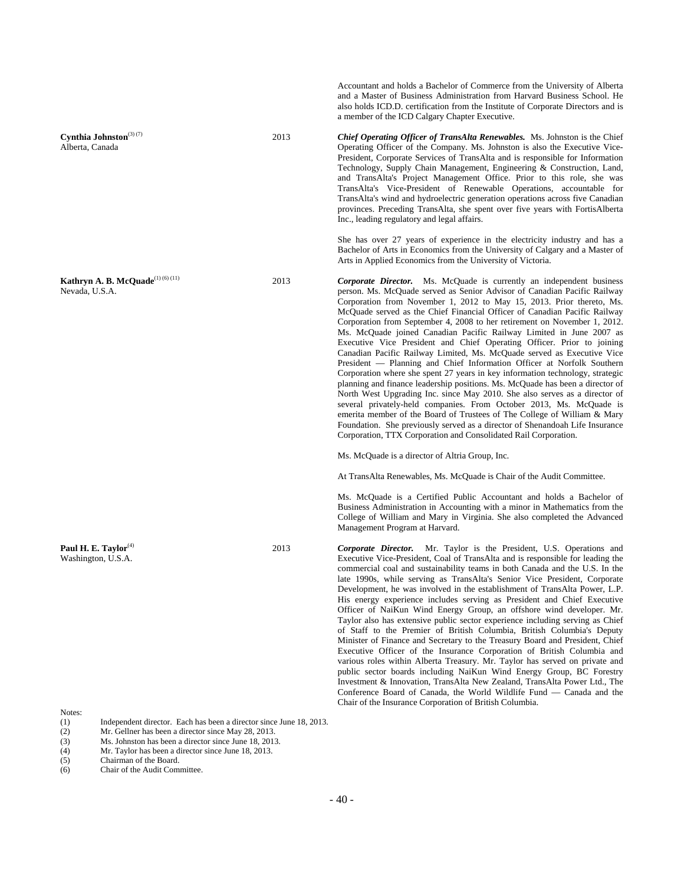Accountant and holds a Bachelor of Commerce from the University of Alberta and a Master of Business Administration from Harvard Business School. He also holds ICD.D. certification from the Institute of Corporate Directors and is a member of the ICD Calgary Chapter Executive.

2013 *Chief Operating Officer of TransAlta Renewables.* Ms. Johnston is the Chief Operating Officer of the Company. Ms. Johnston is also the Executive Vice-President, Corporate Services of TransAlta and is responsible for Information Technology, Supply Chain Management, Engineering & Construction, Land, and TransAlta's Project Management Office. Prior to this role, she was TransAlta's Vice-President of Renewable Operations, accountable for TransAlta's wind and hydroelectric generation operations across five Canadian provinces. Preceding TransAlta, she spent over five years with FortisAlberta Inc., leading regulatory and legal affairs.

> She has over 27 years of experience in the electricity industry and has a Bachelor of Arts in Economics from the University of Calgary and a Master of Arts in Applied Economics from the University of Victoria.

2013 *Corporate Director.* Ms. McQuade is currently an independent business person. Ms. McQuade served as Senior Advisor of Canadian Pacific Railway Corporation from November 1, 2012 to May 15, 2013. Prior thereto, Ms. McQuade served as the Chief Financial Officer of Canadian Pacific Railway Corporation from September 4, 2008 to her retirement on November 1, 2012. Ms. McQuade joined Canadian Pacific Railway Limited in June 2007 as Executive Vice President and Chief Operating Officer. Prior to joining Canadian Pacific Railway Limited, Ms. McQuade served as Executive Vice President — Planning and Chief Information Officer at Norfolk Southern Corporation where she spent 27 years in key information technology, strategic planning and finance leadership positions. Ms. McQuade has been a director of North West Upgrading Inc. since May 2010. She also serves as a director of several privately-held companies. From October 2013, Ms. McQuade is emerita member of the Board of Trustees of The College of William & Mary Foundation. She previously served as a director of Shenandoah Life Insurance Corporation, TTX Corporation and Consolidated Rail Corporation.

Ms. McQuade is a director of Altria Group, Inc.

At TransAlta Renewables, Ms. McQuade is Chair of the Audit Committee.

Ms. McQuade is a Certified Public Accountant and holds a Bachelor of Business Administration in Accounting with a minor in Mathematics from the College of William and Mary in Virginia. She also completed the Advanced Management Program at Harvard.

2013 *Corporate Director.* Mr. Taylor is the President, U.S. Operations and Executive Vice-President, Coal of TransAlta and is responsible for leading the commercial coal and sustainability teams in both Canada and the U.S. In the late 1990s, while serving as TransAlta's Senior Vice President, Corporate Development, he was involved in the establishment of TransAlta Power, L.P. His energy experience includes serving as President and Chief Executive Officer of NaiKun Wind Energy Group, an offshore wind developer. Mr. Taylor also has extensive public sector experience including serving as Chief of Staff to the Premier of British Columbia, British Columbia's Deputy Minister of Finance and Secretary to the Treasury Board and President, Chief Executive Officer of the Insurance Corporation of British Columbia and various roles within Alberta Treasury. Mr. Taylor has served on private and public sector boards including NaiKun Wind Energy Group, BC Forestry Investment & Innovation, TransAlta New Zealand, TransAlta Power Ltd., The Conference Board of Canada, the World Wildlife Fund — Canada and the Chair of the Insurance Corporation of British Columbia.

**Cynthia Johnston**(3) (7) Alberta, Canada

**Kathryn A. B. McQuade**(1) (6) (11) Nevada, U.S.A.

Paul H. E. Taylor<sup>(4)</sup> Washington, U.S.A.

Notes:

- (1) Independent director. Each has been a director since June 18, 2013.<br>(2) Mr. Gellner has been a director since May 28, 2013.
- Mr. Gellner has been a director since May 28, 2013.
- (3) Ms. Johnston has been a director since June 18, 2013.
- (4) Mr. Taylor has been a director since June 18, 2013.<br>
Chairman of the Board.
- Chairman of the Board.
- (6) Chair of the Audit Committee.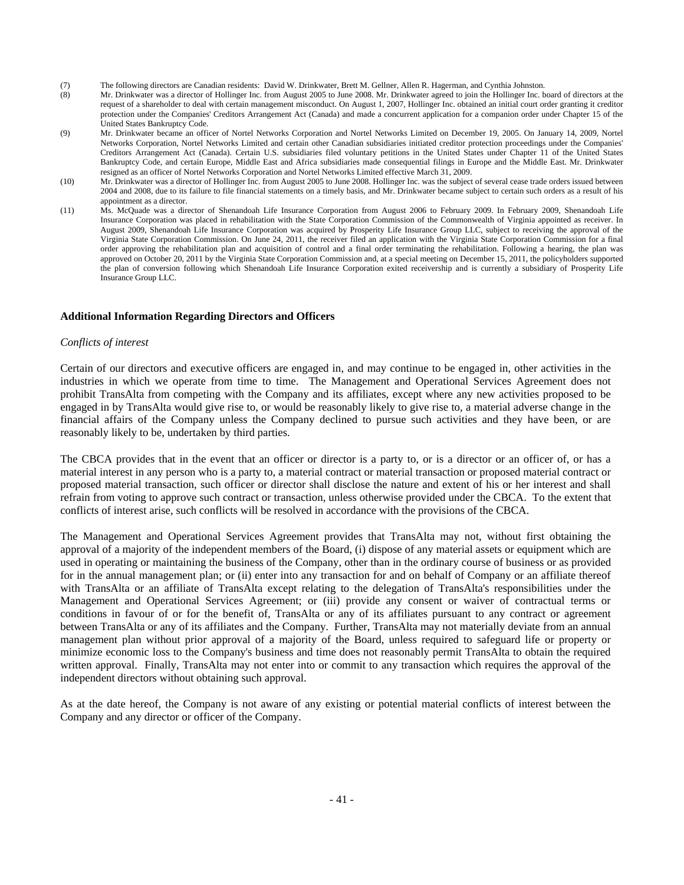- (7) The following directors are Canadian residents: David W. Drinkwater, Brett M. Gellner, Allen R. Hagerman, and Cynthia Johnston.
- (8) Mr. Drinkwater was a director of Hollinger Inc. from August 2005 to June 2008. Mr. Drinkwater agreed to join the Hollinger Inc. board of directors at the request of a shareholder to deal with certain management misconduct. On August 1, 2007, Hollinger Inc. obtained an initial court order granting it creditor protection under the Companies' Creditors Arrangement Act (Canada) and made a concurrent application for a companion order under Chapter 15 of the United States Bankruptcy Code.
- (9) Mr. Drinkwater became an officer of Nortel Networks Corporation and Nortel Networks Limited on December 19, 2005. On January 14, 2009, Nortel Networks Corporation, Nortel Networks Limited and certain other Canadian subsidiaries initiated creditor protection proceedings under the Companies' Creditors Arrangement Act (Canada). Certain U.S. subsidiaries filed voluntary petitions in the United States under Chapter 11 of the United States Bankruptcy Code, and certain Europe, Middle East and Africa subsidiaries made consequential filings in Europe and the Middle East. Mr. Drinkwater resigned as an officer of Nortel Networks Corporation and Nortel Networks Limited effective March 31, 2009.
- (10) Mr. Drinkwater was a director of Hollinger Inc. from August 2005 to June 2008. Hollinger Inc. was the subject of several cease trade orders issued between 2004 and 2008, due to its failure to file financial statements on a timely basis, and Mr. Drinkwater became subject to certain such orders as a result of his appointment as a director.
- (11) Ms. McQuade was a director of Shenandoah Life Insurance Corporation from August 2006 to February 2009. In February 2009, Shenandoah Life Insurance Corporation was placed in rehabilitation with the State Corporation Commission of the Commonwealth of Virginia appointed as receiver. In August 2009, Shenandoah Life Insurance Corporation was acquired by Prosperity Life Insurance Group LLC, subject to receiving the approval of the Virginia State Corporation Commission. On June 24, 2011, the receiver filed an application with the Virginia State Corporation Commission for a final order approving the rehabilitation plan and acquisition of control and a final order terminating the rehabilitation. Following a hearing, the plan was approved on October 20, 2011 by the Virginia State Corporation Commission and, at a special meeting on December 15, 2011, the policyholders supported the plan of conversion following which Shenandoah Life Insurance Corporation exited receivership and is currently a subsidiary of Prosperity Life Insurance Group LLC.

#### **Additional Information Regarding Directors and Officers**

## *Conflicts of interest*

Certain of our directors and executive officers are engaged in, and may continue to be engaged in, other activities in the industries in which we operate from time to time. The Management and Operational Services Agreement does not prohibit TransAlta from competing with the Company and its affiliates, except where any new activities proposed to be engaged in by TransAlta would give rise to, or would be reasonably likely to give rise to, a material adverse change in the financial affairs of the Company unless the Company declined to pursue such activities and they have been, or are reasonably likely to be, undertaken by third parties.

The CBCA provides that in the event that an officer or director is a party to, or is a director or an officer of, or has a material interest in any person who is a party to, a material contract or material transaction or proposed material contract or proposed material transaction, such officer or director shall disclose the nature and extent of his or her interest and shall refrain from voting to approve such contract or transaction, unless otherwise provided under the CBCA. To the extent that conflicts of interest arise, such conflicts will be resolved in accordance with the provisions of the CBCA.

The Management and Operational Services Agreement provides that TransAlta may not, without first obtaining the approval of a majority of the independent members of the Board, (i) dispose of any material assets or equipment which are used in operating or maintaining the business of the Company, other than in the ordinary course of business or as provided for in the annual management plan; or (ii) enter into any transaction for and on behalf of Company or an affiliate thereof with TransAlta or an affiliate of TransAlta except relating to the delegation of TransAlta's responsibilities under the Management and Operational Services Agreement; or (iii) provide any consent or waiver of contractual terms or conditions in favour of or for the benefit of, TransAlta or any of its affiliates pursuant to any contract or agreement between TransAlta or any of its affiliates and the Company. Further, TransAlta may not materially deviate from an annual management plan without prior approval of a majority of the Board, unless required to safeguard life or property or minimize economic loss to the Company's business and time does not reasonably permit TransAlta to obtain the required written approval. Finally, TransAlta may not enter into or commit to any transaction which requires the approval of the independent directors without obtaining such approval.

As at the date hereof, the Company is not aware of any existing or potential material conflicts of interest between the Company and any director or officer of the Company.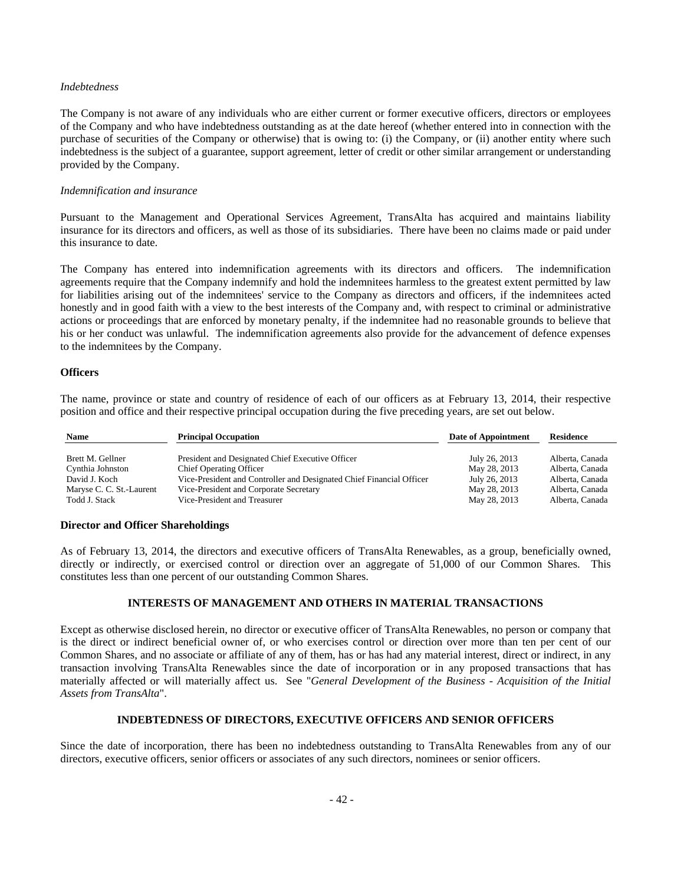# *Indebtedness*

The Company is not aware of any individuals who are either current or former executive officers, directors or employees of the Company and who have indebtedness outstanding as at the date hereof (whether entered into in connection with the purchase of securities of the Company or otherwise) that is owing to: (i) the Company, or (ii) another entity where such indebtedness is the subject of a guarantee, support agreement, letter of credit or other similar arrangement or understanding provided by the Company.

# *Indemnification and insurance*

Pursuant to the Management and Operational Services Agreement, TransAlta has acquired and maintains liability insurance for its directors and officers, as well as those of its subsidiaries. There have been no claims made or paid under this insurance to date.

The Company has entered into indemnification agreements with its directors and officers. The indemnification agreements require that the Company indemnify and hold the indemnitees harmless to the greatest extent permitted by law for liabilities arising out of the indemnitees' service to the Company as directors and officers, if the indemnitees acted honestly and in good faith with a view to the best interests of the Company and, with respect to criminal or administrative actions or proceedings that are enforced by monetary penalty, if the indemnitee had no reasonable grounds to believe that his or her conduct was unlawful. The indemnification agreements also provide for the advancement of defence expenses to the indemnitees by the Company.

# **Officers**

The name, province or state and country of residence of each of our officers as at February 13, 2014, their respective position and office and their respective principal occupation during the five preceding years, are set out below.

| <b>Name</b>              | <b>Principal Occupation</b>                                          | Date of Appointment | <b>Residence</b> |
|--------------------------|----------------------------------------------------------------------|---------------------|------------------|
| Brett M. Gellner         | President and Designated Chief Executive Officer                     | July 26, 2013       | Alberta, Canada  |
| Cynthia Johnston         | <b>Chief Operating Officer</b>                                       | May 28, 2013        | Alberta, Canada  |
| David J. Koch            | Vice-President and Controller and Designated Chief Financial Officer | July 26, 2013       | Alberta, Canada  |
| Maryse C. C. St.-Laurent | Vice-President and Corporate Secretary                               | May 28, 2013        | Alberta, Canada  |
| Todd J. Stack            | Vice-President and Treasurer                                         | May 28, 2013        | Alberta, Canada  |

# **Director and Officer Shareholdings**

As of February 13, 2014, the directors and executive officers of TransAlta Renewables, as a group, beneficially owned, directly or indirectly, or exercised control or direction over an aggregate of 51,000 of our Common Shares. This constitutes less than one percent of our outstanding Common Shares.

# **INTERESTS OF MANAGEMENT AND OTHERS IN MATERIAL TRANSACTIONS**

Except as otherwise disclosed herein, no director or executive officer of TransAlta Renewables, no person or company that is the direct or indirect beneficial owner of, or who exercises control or direction over more than ten per cent of our Common Shares, and no associate or affiliate of any of them, has or has had any material interest, direct or indirect, in any transaction involving TransAlta Renewables since the date of incorporation or in any proposed transactions that has materially affected or will materially affect us. See "*General Development of the Business - Acquisition of the Initial Assets from TransAlta*".

## **INDEBTEDNESS OF DIRECTORS, EXECUTIVE OFFICERS AND SENIOR OFFICERS**

Since the date of incorporation, there has been no indebtedness outstanding to TransAlta Renewables from any of our directors, executive officers, senior officers or associates of any such directors, nominees or senior officers.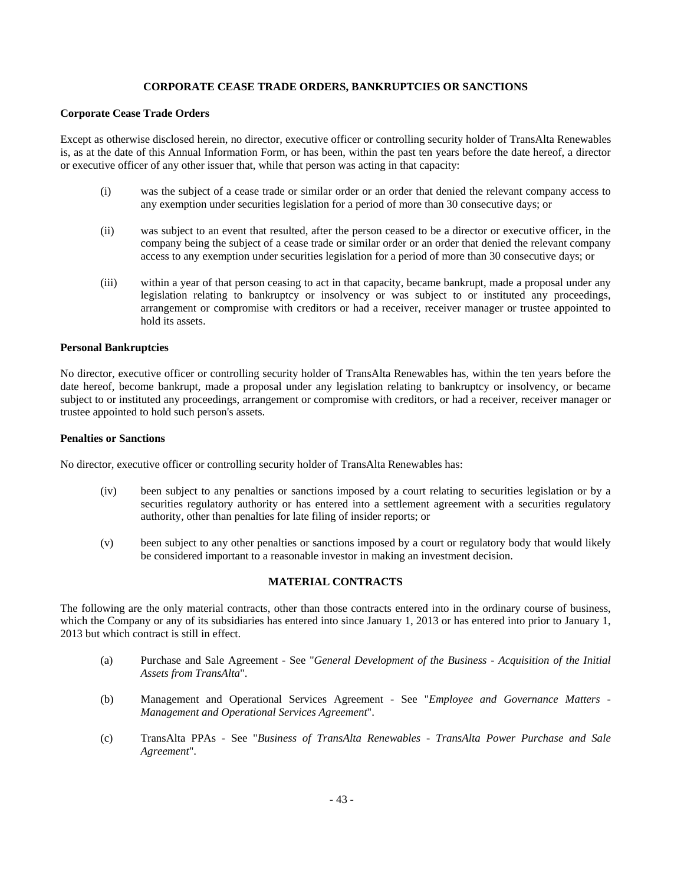# **CORPORATE CEASE TRADE ORDERS, BANKRUPTCIES OR SANCTIONS**

# **Corporate Cease Trade Orders**

Except as otherwise disclosed herein, no director, executive officer or controlling security holder of TransAlta Renewables is, as at the date of this Annual Information Form, or has been, within the past ten years before the date hereof, a director or executive officer of any other issuer that, while that person was acting in that capacity:

- (i) was the subject of a cease trade or similar order or an order that denied the relevant company access to any exemption under securities legislation for a period of more than 30 consecutive days; or
- (ii) was subject to an event that resulted, after the person ceased to be a director or executive officer, in the company being the subject of a cease trade or similar order or an order that denied the relevant company access to any exemption under securities legislation for a period of more than 30 consecutive days; or
- (iii) within a year of that person ceasing to act in that capacity, became bankrupt, made a proposal under any legislation relating to bankruptcy or insolvency or was subject to or instituted any proceedings, arrangement or compromise with creditors or had a receiver, receiver manager or trustee appointed to hold its assets.

# **Personal Bankruptcies**

No director, executive officer or controlling security holder of TransAlta Renewables has, within the ten years before the date hereof, become bankrupt, made a proposal under any legislation relating to bankruptcy or insolvency, or became subject to or instituted any proceedings, arrangement or compromise with creditors, or had a receiver, receiver manager or trustee appointed to hold such person's assets.

# **Penalties or Sanctions**

No director, executive officer or controlling security holder of TransAlta Renewables has:

- (iv) been subject to any penalties or sanctions imposed by a court relating to securities legislation or by a securities regulatory authority or has entered into a settlement agreement with a securities regulatory authority, other than penalties for late filing of insider reports; or
- (v) been subject to any other penalties or sanctions imposed by a court or regulatory body that would likely be considered important to a reasonable investor in making an investment decision.

# **MATERIAL CONTRACTS**

The following are the only material contracts, other than those contracts entered into in the ordinary course of business, which the Company or any of its subsidiaries has entered into since January 1, 2013 or has entered into prior to January 1, 2013 but which contract is still in effect.

- (a) Purchase and Sale Agreement See "*General Development of the Business Acquisition of the Initial Assets from TransAlta*".
- (b) Management and Operational Services Agreement See "*Employee and Governance Matters Management and Operational Services Agreement*".
- (c) TransAlta PPAs See "*Business of TransAlta Renewables TransAlta Power Purchase and Sale Agreement*".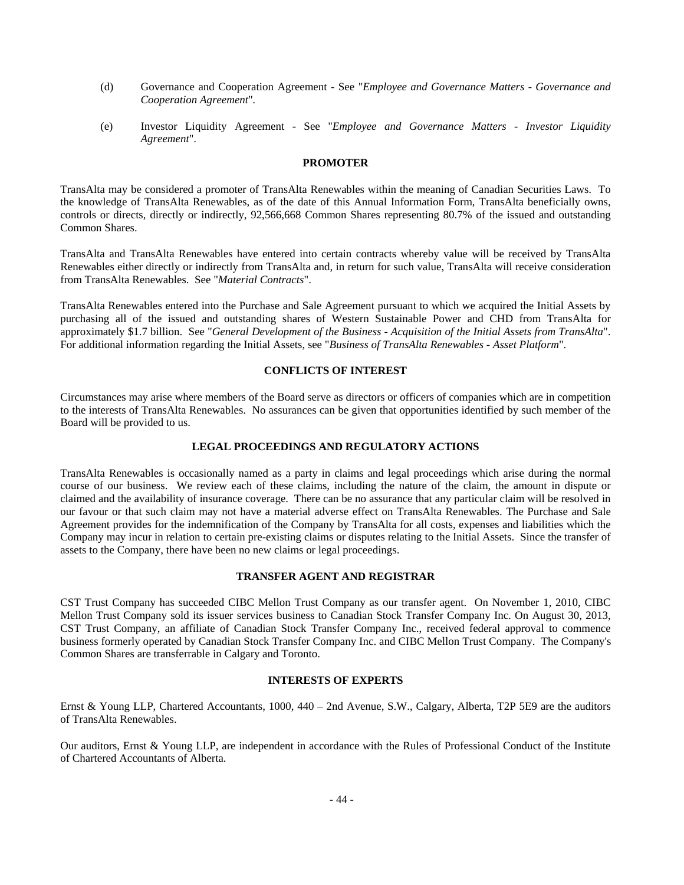- (d) Governance and Cooperation Agreement See "*Employee and Governance Matters Governance and Cooperation Agreement*"*.*
- (e) Investor Liquidity Agreement See "*Employee and Governance Matters Investor Liquidity Agreement*".

# **PROMOTER**

TransAlta may be considered a promoter of TransAlta Renewables within the meaning of Canadian Securities Laws. To the knowledge of TransAlta Renewables, as of the date of this Annual Information Form, TransAlta beneficially owns, controls or directs, directly or indirectly, 92,566,668 Common Shares representing 80.7% of the issued and outstanding Common Shares.

TransAlta and TransAlta Renewables have entered into certain contracts whereby value will be received by TransAlta Renewables either directly or indirectly from TransAlta and, in return for such value, TransAlta will receive consideration from TransAlta Renewables. See "*Material Contracts*".

TransAlta Renewables entered into the Purchase and Sale Agreement pursuant to which we acquired the Initial Assets by purchasing all of the issued and outstanding shares of Western Sustainable Power and CHD from TransAlta for approximately \$1.7 billion. See "*General Development of the Business - Acquisition of the Initial Assets from TransAlta*". For additional information regarding the Initial Assets, see "*Business of TransAlta Renewables - Asset Platform*".

# **CONFLICTS OF INTEREST**

Circumstances may arise where members of the Board serve as directors or officers of companies which are in competition to the interests of TransAlta Renewables. No assurances can be given that opportunities identified by such member of the Board will be provided to us.

# **LEGAL PROCEEDINGS AND REGULATORY ACTIONS**

TransAlta Renewables is occasionally named as a party in claims and legal proceedings which arise during the normal course of our business. We review each of these claims, including the nature of the claim, the amount in dispute or claimed and the availability of insurance coverage. There can be no assurance that any particular claim will be resolved in our favour or that such claim may not have a material adverse effect on TransAlta Renewables. The Purchase and Sale Agreement provides for the indemnification of the Company by TransAlta for all costs, expenses and liabilities which the Company may incur in relation to certain pre-existing claims or disputes relating to the Initial Assets. Since the transfer of assets to the Company, there have been no new claims or legal proceedings.

#### **TRANSFER AGENT AND REGISTRAR**

CST Trust Company has succeeded CIBC Mellon Trust Company as our transfer agent. On November 1, 2010, CIBC Mellon Trust Company sold its issuer services business to Canadian Stock Transfer Company Inc. On August 30, 2013, CST Trust Company, an affiliate of Canadian Stock Transfer Company Inc., received federal approval to commence business formerly operated by Canadian Stock Transfer Company Inc. and CIBC Mellon Trust Company. The Company's Common Shares are transferrable in Calgary and Toronto.

# **INTERESTS OF EXPERTS**

Ernst & Young LLP, Chartered Accountants, 1000, 440 – 2nd Avenue, S.W., Calgary, Alberta, T2P 5E9 are the auditors of TransAlta Renewables.

Our auditors, Ernst & Young LLP, are independent in accordance with the Rules of Professional Conduct of the Institute of Chartered Accountants of Alberta.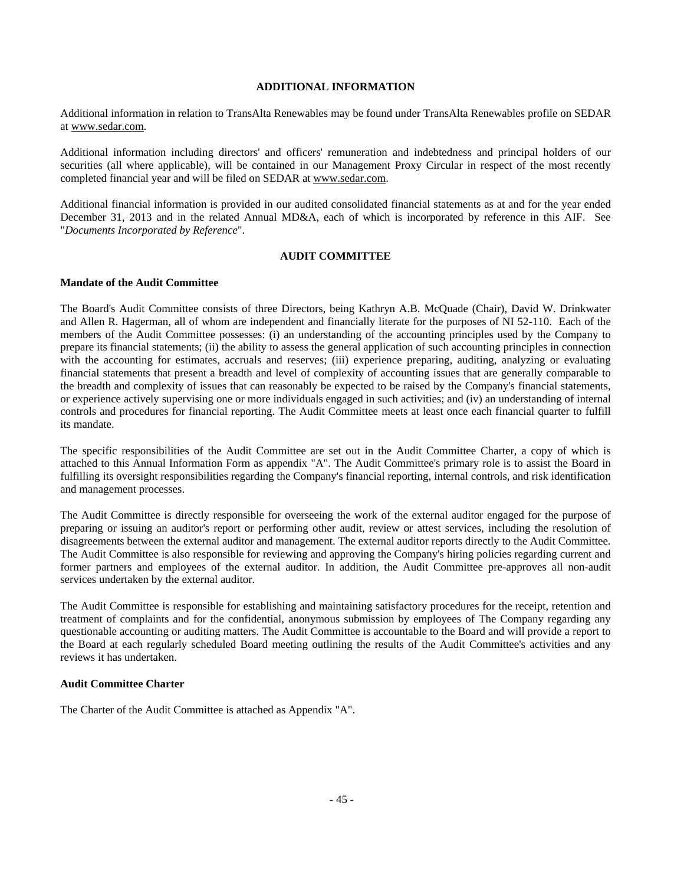# **ADDITIONAL INFORMATION**

Additional information in relation to TransAlta Renewables may be found under TransAlta Renewables profile on SEDAR at www.sedar.com.

Additional information including directors' and officers' remuneration and indebtedness and principal holders of our securities (all where applicable), will be contained in our Management Proxy Circular in respect of the most recently completed financial year and will be filed on SEDAR at www.sedar.com.

Additional financial information is provided in our audited consolidated financial statements as at and for the year ended December 31, 2013 and in the related Annual MD&A, each of which is incorporated by reference in this AIF. See "*Documents Incorporated by Reference*".

## **AUDIT COMMITTEE**

## **Mandate of the Audit Committee**

The Board's Audit Committee consists of three Directors, being Kathryn A.B. McQuade (Chair), David W. Drinkwater and Allen R. Hagerman, all of whom are independent and financially literate for the purposes of NI 52-110. Each of the members of the Audit Committee possesses: (i) an understanding of the accounting principles used by the Company to prepare its financial statements; (ii) the ability to assess the general application of such accounting principles in connection with the accounting for estimates, accruals and reserves; (iii) experience preparing, auditing, analyzing or evaluating financial statements that present a breadth and level of complexity of accounting issues that are generally comparable to the breadth and complexity of issues that can reasonably be expected to be raised by the Company's financial statements, or experience actively supervising one or more individuals engaged in such activities; and (iv) an understanding of internal controls and procedures for financial reporting. The Audit Committee meets at least once each financial quarter to fulfill its mandate.

The specific responsibilities of the Audit Committee are set out in the Audit Committee Charter, a copy of which is attached to this Annual Information Form as appendix "A". The Audit Committee's primary role is to assist the Board in fulfilling its oversight responsibilities regarding the Company's financial reporting, internal controls, and risk identification and management processes.

The Audit Committee is directly responsible for overseeing the work of the external auditor engaged for the purpose of preparing or issuing an auditor's report or performing other audit, review or attest services, including the resolution of disagreements between the external auditor and management. The external auditor reports directly to the Audit Committee. The Audit Committee is also responsible for reviewing and approving the Company's hiring policies regarding current and former partners and employees of the external auditor. In addition, the Audit Committee pre-approves all non-audit services undertaken by the external auditor.

The Audit Committee is responsible for establishing and maintaining satisfactory procedures for the receipt, retention and treatment of complaints and for the confidential, anonymous submission by employees of The Company regarding any questionable accounting or auditing matters. The Audit Committee is accountable to the Board and will provide a report to the Board at each regularly scheduled Board meeting outlining the results of the Audit Committee's activities and any reviews it has undertaken.

# **Audit Committee Charter**

The Charter of the Audit Committee is attached as Appendix "A".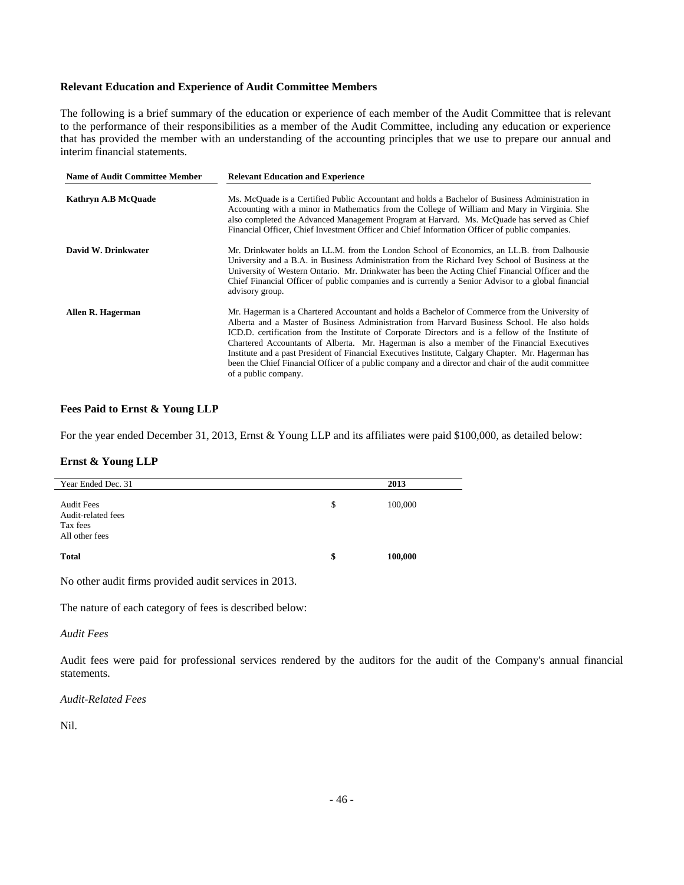# **Relevant Education and Experience of Audit Committee Members**

The following is a brief summary of the education or experience of each member of the Audit Committee that is relevant to the performance of their responsibilities as a member of the Audit Committee, including any education or experience that has provided the member with an understanding of the accounting principles that we use to prepare our annual and interim financial statements.

| <b>Name of Audit Committee Member</b> | <b>Relevant Education and Experience</b>                                                                                                                                                                                                                                                                                                                                                                                                                                                                                                                                                                                                  |
|---------------------------------------|-------------------------------------------------------------------------------------------------------------------------------------------------------------------------------------------------------------------------------------------------------------------------------------------------------------------------------------------------------------------------------------------------------------------------------------------------------------------------------------------------------------------------------------------------------------------------------------------------------------------------------------------|
| Kathryn A.B McQuade                   | Ms. McQuade is a Certified Public Accountant and holds a Bachelor of Business Administration in<br>Accounting with a minor in Mathematics from the College of William and Mary in Virginia. She<br>also completed the Advanced Management Program at Harvard. Ms. McQuade has served as Chief<br>Financial Officer, Chief Investment Officer and Chief Information Officer of public companies.                                                                                                                                                                                                                                           |
| David W. Drinkwater                   | Mr. Drinkwater holds an LL.M. from the London School of Economics, an LL.B. from Dalhousie<br>University and a B.A. in Business Administration from the Richard Ivey School of Business at the<br>University of Western Ontario. Mr. Drinkwater has been the Acting Chief Financial Officer and the<br>Chief Financial Officer of public companies and is currently a Senior Advisor to a global financial<br>advisory group.                                                                                                                                                                                                             |
| Allen R. Hagerman                     | Mr. Hagerman is a Chartered Accountant and holds a Bachelor of Commerce from the University of<br>Alberta and a Master of Business Administration from Harvard Business School. He also holds<br>ICD.D. certification from the Institute of Corporate Directors and is a fellow of the Institute of<br>Chartered Accountants of Alberta. Mr. Hagerman is also a member of the Financial Executives<br>Institute and a past President of Financial Executives Institute, Calgary Chapter. Mr. Hagerman has<br>been the Chief Financial Officer of a public company and a director and chair of the audit committee<br>of a public company. |

## **Fees Paid to Ernst & Young LLP**

For the year ended December 31, 2013, Ernst & Young LLP and its affiliates were paid \$100,000, as detailed below:

# **Ernst & Young LLP**

| Year Ended Dec. 31                                                    | 2013          |
|-----------------------------------------------------------------------|---------------|
| <b>Audit Fees</b><br>Audit-related fees<br>Tax fees<br>All other fees | \$<br>100,000 |
| <b>Total</b>                                                          | \$<br>100,000 |

No other audit firms provided audit services in 2013.

The nature of each category of fees is described below:

#### *Audit Fees*

Audit fees were paid for professional services rendered by the auditors for the audit of the Company's annual financial statements.

# *Audit-Related Fees*

Nil.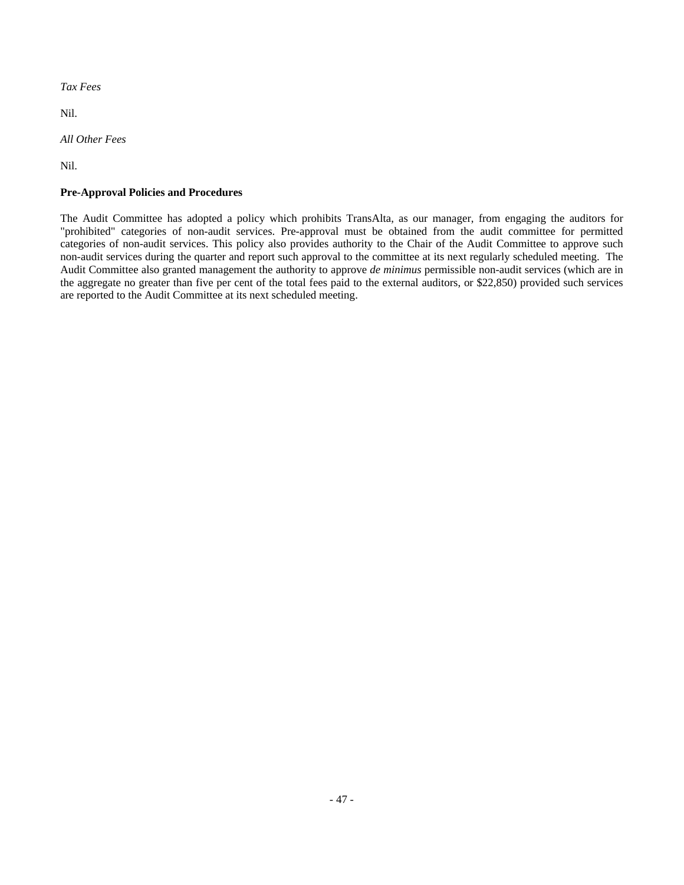*Tax Fees* 

Nil.

*All Other Fees* 

Nil.

# **Pre-Approval Policies and Procedures**

The Audit Committee has adopted a policy which prohibits TransAlta, as our manager, from engaging the auditors for "prohibited" categories of non-audit services. Pre-approval must be obtained from the audit committee for permitted categories of non-audit services. This policy also provides authority to the Chair of the Audit Committee to approve such non-audit services during the quarter and report such approval to the committee at its next regularly scheduled meeting. The Audit Committee also granted management the authority to approve *de minimus* permissible non-audit services (which are in the aggregate no greater than five per cent of the total fees paid to the external auditors, or \$22,850) provided such services are reported to the Audit Committee at its next scheduled meeting.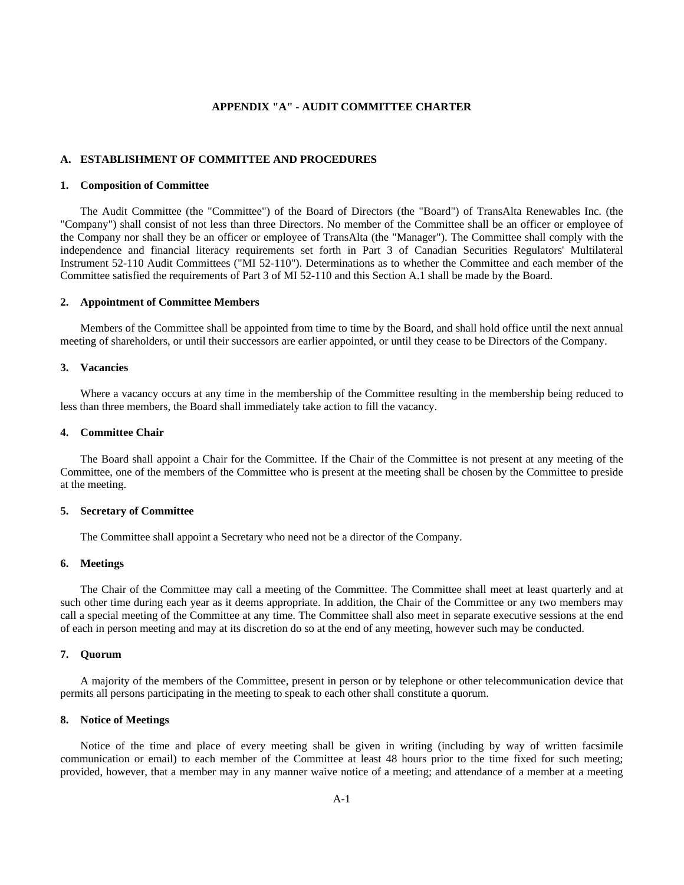# **APPENDIX "A" - AUDIT COMMITTEE CHARTER**

## **A. ESTABLISHMENT OF COMMITTEE AND PROCEDURES**

#### **1. Composition of Committee**

The Audit Committee (the "Committee") of the Board of Directors (the "Board") of TransAlta Renewables Inc. (the "Company") shall consist of not less than three Directors. No member of the Committee shall be an officer or employee of the Company nor shall they be an officer or employee of TransAlta (the "Manager"). The Committee shall comply with the independence and financial literacy requirements set forth in Part 3 of Canadian Securities Regulators' Multilateral Instrument 52-110 Audit Committees ("MI 52-110"). Determinations as to whether the Committee and each member of the Committee satisfied the requirements of Part 3 of MI 52-110 and this Section A.1 shall be made by the Board.

#### **2. Appointment of Committee Members**

Members of the Committee shall be appointed from time to time by the Board, and shall hold office until the next annual meeting of shareholders, or until their successors are earlier appointed, or until they cease to be Directors of the Company.

#### **3. Vacancies**

Where a vacancy occurs at any time in the membership of the Committee resulting in the membership being reduced to less than three members, the Board shall immediately take action to fill the vacancy.

#### **4. Committee Chair**

The Board shall appoint a Chair for the Committee. If the Chair of the Committee is not present at any meeting of the Committee, one of the members of the Committee who is present at the meeting shall be chosen by the Committee to preside at the meeting.

## **5. Secretary of Committee**

The Committee shall appoint a Secretary who need not be a director of the Company.

#### **6. Meetings**

The Chair of the Committee may call a meeting of the Committee. The Committee shall meet at least quarterly and at such other time during each year as it deems appropriate. In addition, the Chair of the Committee or any two members may call a special meeting of the Committee at any time. The Committee shall also meet in separate executive sessions at the end of each in person meeting and may at its discretion do so at the end of any meeting, however such may be conducted.

# **7. Quorum**

A majority of the members of the Committee, present in person or by telephone or other telecommunication device that permits all persons participating in the meeting to speak to each other shall constitute a quorum.

#### **8. Notice of Meetings**

Notice of the time and place of every meeting shall be given in writing (including by way of written facsimile communication or email) to each member of the Committee at least 48 hours prior to the time fixed for such meeting; provided, however, that a member may in any manner waive notice of a meeting; and attendance of a member at a meeting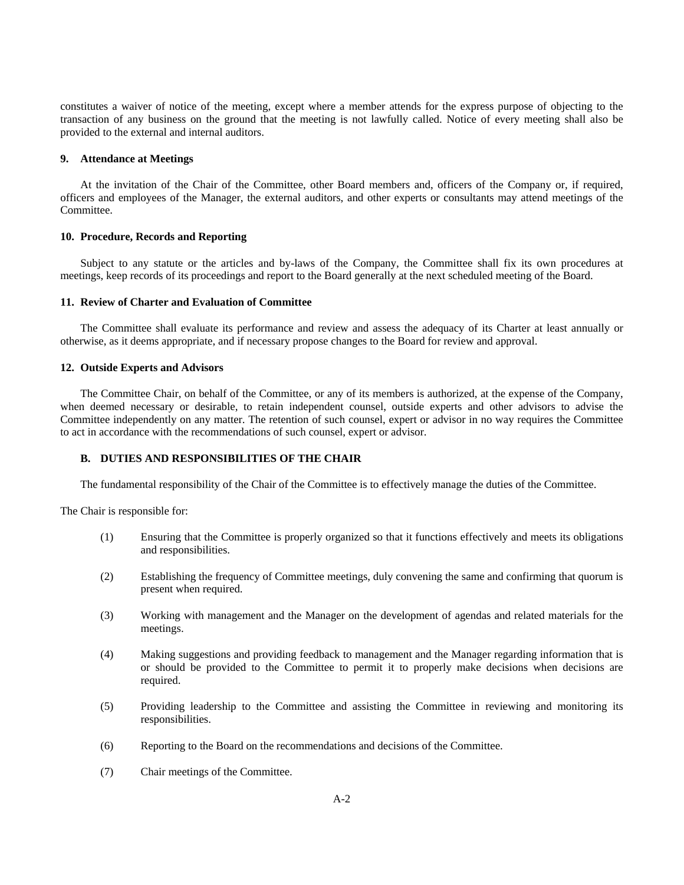constitutes a waiver of notice of the meeting, except where a member attends for the express purpose of objecting to the transaction of any business on the ground that the meeting is not lawfully called. Notice of every meeting shall also be provided to the external and internal auditors.

### **9. Attendance at Meetings**

At the invitation of the Chair of the Committee, other Board members and, officers of the Company or, if required, officers and employees of the Manager, the external auditors, and other experts or consultants may attend meetings of the Committee.

#### **10. Procedure, Records and Reporting**

Subject to any statute or the articles and by-laws of the Company, the Committee shall fix its own procedures at meetings, keep records of its proceedings and report to the Board generally at the next scheduled meeting of the Board.

# **11. Review of Charter and Evaluation of Committee**

The Committee shall evaluate its performance and review and assess the adequacy of its Charter at least annually or otherwise, as it deems appropriate, and if necessary propose changes to the Board for review and approval.

# **12. Outside Experts and Advisors**

The Committee Chair, on behalf of the Committee, or any of its members is authorized, at the expense of the Company, when deemed necessary or desirable, to retain independent counsel, outside experts and other advisors to advise the Committee independently on any matter. The retention of such counsel, expert or advisor in no way requires the Committee to act in accordance with the recommendations of such counsel, expert or advisor.

# **B. DUTIES AND RESPONSIBILITIES OF THE CHAIR**

The fundamental responsibility of the Chair of the Committee is to effectively manage the duties of the Committee.

The Chair is responsible for:

- (1) Ensuring that the Committee is properly organized so that it functions effectively and meets its obligations and responsibilities.
- (2) Establishing the frequency of Committee meetings, duly convening the same and confirming that quorum is present when required.
- (3) Working with management and the Manager on the development of agendas and related materials for the meetings.
- (4) Making suggestions and providing feedback to management and the Manager regarding information that is or should be provided to the Committee to permit it to properly make decisions when decisions are required.
- (5) Providing leadership to the Committee and assisting the Committee in reviewing and monitoring its responsibilities.
- (6) Reporting to the Board on the recommendations and decisions of the Committee.
- (7) Chair meetings of the Committee.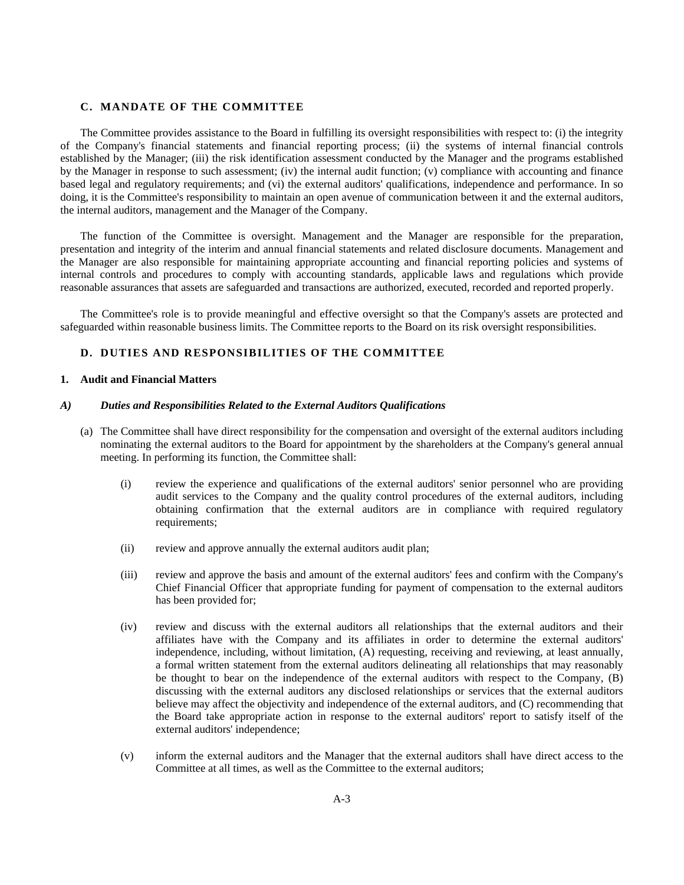# **C. MANDATE OF THE COMMITTEE**

The Committee provides assistance to the Board in fulfilling its oversight responsibilities with respect to: (i) the integrity of the Company's financial statements and financial reporting process; (ii) the systems of internal financial controls established by the Manager; (iii) the risk identification assessment conducted by the Manager and the programs established by the Manager in response to such assessment; (iv) the internal audit function; (v) compliance with accounting and finance based legal and regulatory requirements; and (vi) the external auditors' qualifications, independence and performance. In so doing, it is the Committee's responsibility to maintain an open avenue of communication between it and the external auditors, the internal auditors, management and the Manager of the Company.

The function of the Committee is oversight. Management and the Manager are responsible for the preparation, presentation and integrity of the interim and annual financial statements and related disclosure documents. Management and the Manager are also responsible for maintaining appropriate accounting and financial reporting policies and systems of internal controls and procedures to comply with accounting standards, applicable laws and regulations which provide reasonable assurances that assets are safeguarded and transactions are authorized, executed, recorded and reported properly.

The Committee's role is to provide meaningful and effective oversight so that the Company's assets are protected and safeguarded within reasonable business limits. The Committee reports to the Board on its risk oversight responsibilities.

# **D. DUTIES AND RESPONSIBILITIES OF THE COMMITTEE**

#### **1. Audit and Financial Matters**

# *A) Duties and Responsibilities Related to the External Auditors Qualifications*

- (a) The Committee shall have direct responsibility for the compensation and oversight of the external auditors including nominating the external auditors to the Board for appointment by the shareholders at the Company's general annual meeting. In performing its function, the Committee shall:
	- (i) review the experience and qualifications of the external auditors' senior personnel who are providing audit services to the Company and the quality control procedures of the external auditors, including obtaining confirmation that the external auditors are in compliance with required regulatory requirements;
	- (ii) review and approve annually the external auditors audit plan;
	- (iii) review and approve the basis and amount of the external auditors' fees and confirm with the Company's Chief Financial Officer that appropriate funding for payment of compensation to the external auditors has been provided for;
	- (iv) review and discuss with the external auditors all relationships that the external auditors and their affiliates have with the Company and its affiliates in order to determine the external auditors' independence, including, without limitation, (A) requesting, receiving and reviewing, at least annually, a formal written statement from the external auditors delineating all relationships that may reasonably be thought to bear on the independence of the external auditors with respect to the Company, (B) discussing with the external auditors any disclosed relationships or services that the external auditors believe may affect the objectivity and independence of the external auditors, and (C) recommending that the Board take appropriate action in response to the external auditors' report to satisfy itself of the external auditors' independence;
	- (v) inform the external auditors and the Manager that the external auditors shall have direct access to the Committee at all times, as well as the Committee to the external auditors;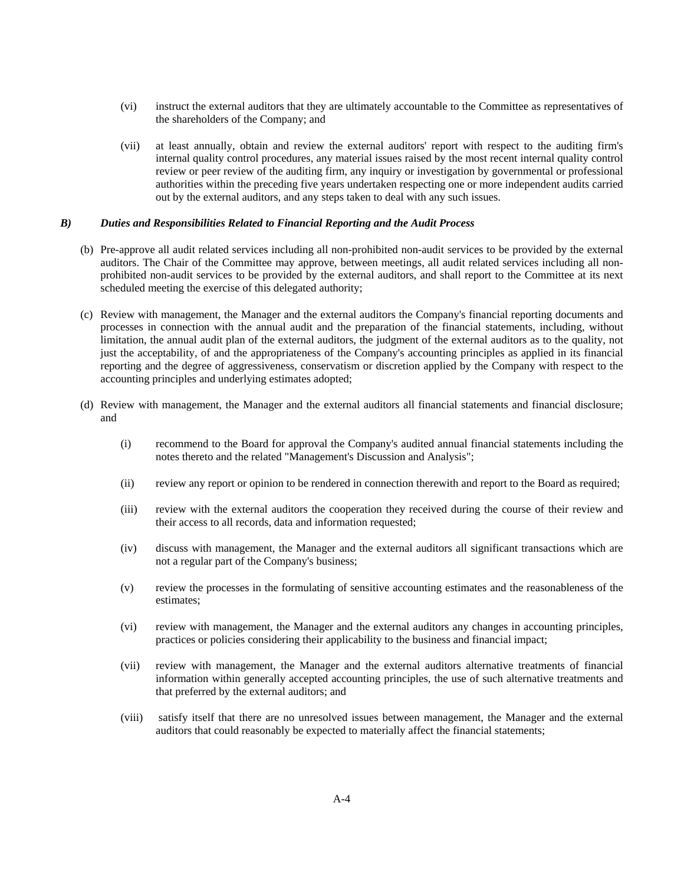- (vi) instruct the external auditors that they are ultimately accountable to the Committee as representatives of the shareholders of the Company; and
- (vii) at least annually, obtain and review the external auditors' report with respect to the auditing firm's internal quality control procedures, any material issues raised by the most recent internal quality control review or peer review of the auditing firm, any inquiry or investigation by governmental or professional authorities within the preceding five years undertaken respecting one or more independent audits carried out by the external auditors, and any steps taken to deal with any such issues.

#### *B) Duties and Responsibilities Related to Financial Reporting and the Audit Process*

- (b) Pre-approve all audit related services including all non-prohibited non-audit services to be provided by the external auditors. The Chair of the Committee may approve, between meetings, all audit related services including all nonprohibited non-audit services to be provided by the external auditors, and shall report to the Committee at its next scheduled meeting the exercise of this delegated authority;
- (c) Review with management, the Manager and the external auditors the Company's financial reporting documents and processes in connection with the annual audit and the preparation of the financial statements, including, without limitation, the annual audit plan of the external auditors, the judgment of the external auditors as to the quality, not just the acceptability, of and the appropriateness of the Company's accounting principles as applied in its financial reporting and the degree of aggressiveness, conservatism or discretion applied by the Company with respect to the accounting principles and underlying estimates adopted;
- (d) Review with management, the Manager and the external auditors all financial statements and financial disclosure; and
	- (i) recommend to the Board for approval the Company's audited annual financial statements including the notes thereto and the related "Management's Discussion and Analysis";
	- (ii) review any report or opinion to be rendered in connection therewith and report to the Board as required;
	- (iii) review with the external auditors the cooperation they received during the course of their review and their access to all records, data and information requested;
	- (iv) discuss with management, the Manager and the external auditors all significant transactions which are not a regular part of the Company's business;
	- (v) review the processes in the formulating of sensitive accounting estimates and the reasonableness of the estimates;
	- (vi) review with management, the Manager and the external auditors any changes in accounting principles, practices or policies considering their applicability to the business and financial impact;
	- (vii) review with management, the Manager and the external auditors alternative treatments of financial information within generally accepted accounting principles, the use of such alternative treatments and that preferred by the external auditors; and
	- (viii) satisfy itself that there are no unresolved issues between management, the Manager and the external auditors that could reasonably be expected to materially affect the financial statements;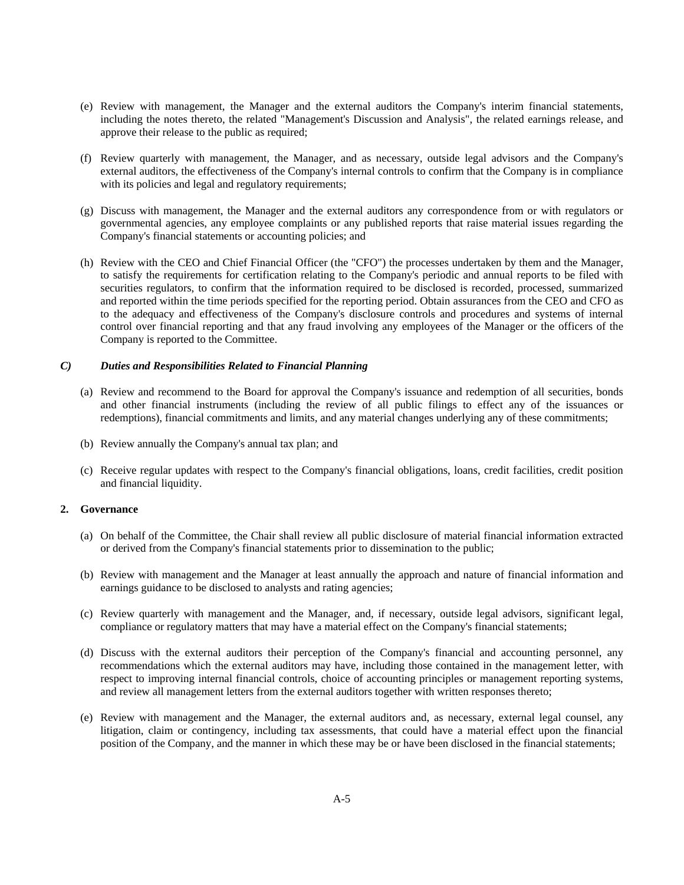- (e) Review with management, the Manager and the external auditors the Company's interim financial statements, including the notes thereto, the related "Management's Discussion and Analysis", the related earnings release, and approve their release to the public as required;
- (f) Review quarterly with management, the Manager, and as necessary, outside legal advisors and the Company's external auditors, the effectiveness of the Company's internal controls to confirm that the Company is in compliance with its policies and legal and regulatory requirements;
- (g) Discuss with management, the Manager and the external auditors any correspondence from or with regulators or governmental agencies, any employee complaints or any published reports that raise material issues regarding the Company's financial statements or accounting policies; and
- (h) Review with the CEO and Chief Financial Officer (the "CFO") the processes undertaken by them and the Manager, to satisfy the requirements for certification relating to the Company's periodic and annual reports to be filed with securities regulators, to confirm that the information required to be disclosed is recorded, processed, summarized and reported within the time periods specified for the reporting period. Obtain assurances from the CEO and CFO as to the adequacy and effectiveness of the Company's disclosure controls and procedures and systems of internal control over financial reporting and that any fraud involving any employees of the Manager or the officers of the Company is reported to the Committee.

# *C) Duties and Responsibilities Related to Financial Planning*

- (a) Review and recommend to the Board for approval the Company's issuance and redemption of all securities, bonds and other financial instruments (including the review of all public filings to effect any of the issuances or redemptions), financial commitments and limits, and any material changes underlying any of these commitments;
- (b) Review annually the Company's annual tax plan; and
- (c) Receive regular updates with respect to the Company's financial obligations, loans, credit facilities, credit position and financial liquidity.

#### **2. Governance**

- (a) On behalf of the Committee, the Chair shall review all public disclosure of material financial information extracted or derived from the Company's financial statements prior to dissemination to the public;
- (b) Review with management and the Manager at least annually the approach and nature of financial information and earnings guidance to be disclosed to analysts and rating agencies;
- (c) Review quarterly with management and the Manager, and, if necessary, outside legal advisors, significant legal, compliance or regulatory matters that may have a material effect on the Company's financial statements;
- (d) Discuss with the external auditors their perception of the Company's financial and accounting personnel, any recommendations which the external auditors may have, including those contained in the management letter, with respect to improving internal financial controls, choice of accounting principles or management reporting systems, and review all management letters from the external auditors together with written responses thereto;
- (e) Review with management and the Manager, the external auditors and, as necessary, external legal counsel, any litigation, claim or contingency, including tax assessments, that could have a material effect upon the financial position of the Company, and the manner in which these may be or have been disclosed in the financial statements;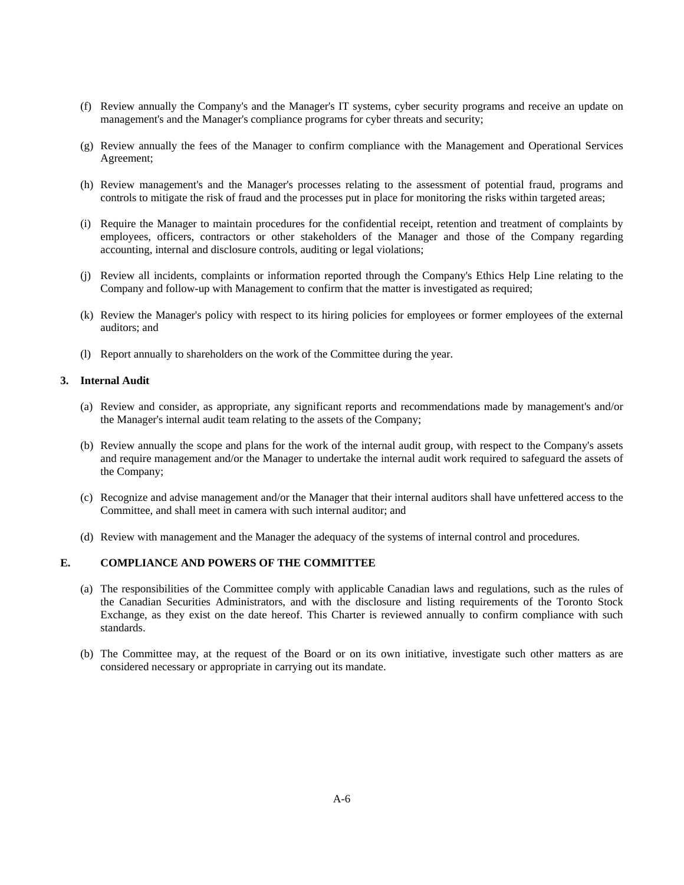- (f) Review annually the Company's and the Manager's IT systems, cyber security programs and receive an update on management's and the Manager's compliance programs for cyber threats and security;
- (g) Review annually the fees of the Manager to confirm compliance with the Management and Operational Services Agreement;
- (h) Review management's and the Manager's processes relating to the assessment of potential fraud, programs and controls to mitigate the risk of fraud and the processes put in place for monitoring the risks within targeted areas;
- (i) Require the Manager to maintain procedures for the confidential receipt, retention and treatment of complaints by employees, officers, contractors or other stakeholders of the Manager and those of the Company regarding accounting, internal and disclosure controls, auditing or legal violations;
- (j) Review all incidents, complaints or information reported through the Company's Ethics Help Line relating to the Company and follow-up with Management to confirm that the matter is investigated as required;
- (k) Review the Manager's policy with respect to its hiring policies for employees or former employees of the external auditors; and
- (l) Report annually to shareholders on the work of the Committee during the year.

# **3. Internal Audit**

- (a) Review and consider, as appropriate, any significant reports and recommendations made by management's and/or the Manager's internal audit team relating to the assets of the Company;
- (b) Review annually the scope and plans for the work of the internal audit group, with respect to the Company's assets and require management and/or the Manager to undertake the internal audit work required to safeguard the assets of the Company;
- (c) Recognize and advise management and/or the Manager that their internal auditors shall have unfettered access to the Committee, and shall meet in camera with such internal auditor; and
- (d) Review with management and the Manager the adequacy of the systems of internal control and procedures.

# **E. COMPLIANCE AND POWERS OF THE COMMITTEE**

- (a) The responsibilities of the Committee comply with applicable Canadian laws and regulations, such as the rules of the Canadian Securities Administrators, and with the disclosure and listing requirements of the Toronto Stock Exchange, as they exist on the date hereof. This Charter is reviewed annually to confirm compliance with such standards.
- (b) The Committee may, at the request of the Board or on its own initiative, investigate such other matters as are considered necessary or appropriate in carrying out its mandate.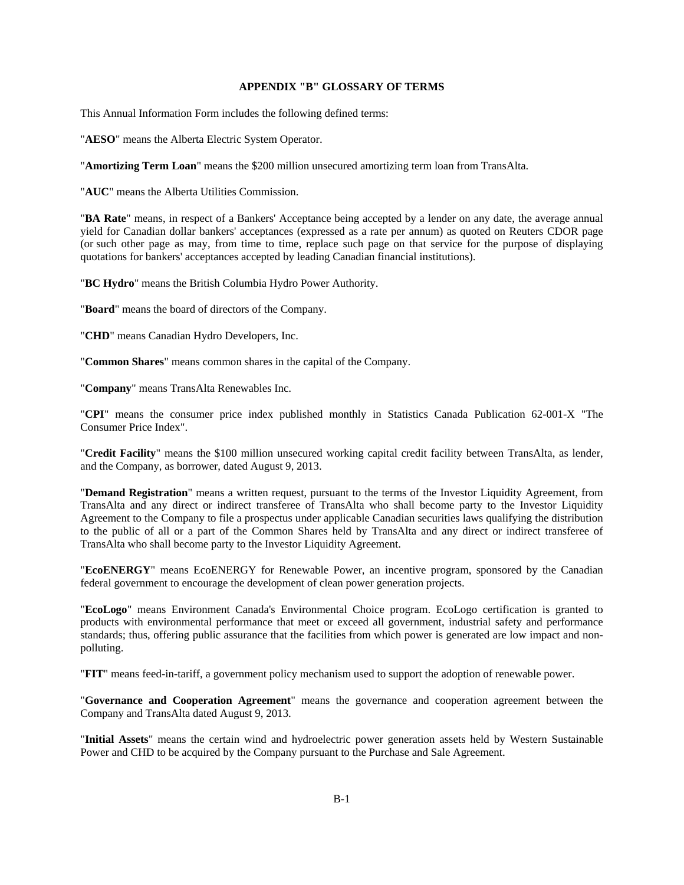## **APPENDIX "B" GLOSSARY OF TERMS**

This Annual Information Form includes the following defined terms:

"**AESO**" means the Alberta Electric System Operator.

"**Amortizing Term Loan**" means the \$200 million unsecured amortizing term loan from TransAlta.

"**AUC**" means the Alberta Utilities Commission.

"**BA Rate**" means, in respect of a Bankers' Acceptance being accepted by a lender on any date, the average annual yield for Canadian dollar bankers' acceptances (expressed as a rate per annum) as quoted on Reuters CDOR page (or such other page as may, from time to time, replace such page on that service for the purpose of displaying quotations for bankers' acceptances accepted by leading Canadian financial institutions).

"**BC Hydro**" means the British Columbia Hydro Power Authority.

"**Board**" means the board of directors of the Company.

"**CHD**" means Canadian Hydro Developers, Inc.

"**Common Shares**" means common shares in the capital of the Company.

"**Company**" means TransAlta Renewables Inc.

"**CPI**" means the consumer price index published monthly in Statistics Canada Publication 62-001-X "The Consumer Price Index".

"**Credit Facility**" means the \$100 million unsecured working capital credit facility between TransAlta, as lender, and the Company, as borrower, dated August 9, 2013.

"**Demand Registration**" means a written request, pursuant to the terms of the Investor Liquidity Agreement, from TransAlta and any direct or indirect transferee of TransAlta who shall become party to the Investor Liquidity Agreement to the Company to file a prospectus under applicable Canadian securities laws qualifying the distribution to the public of all or a part of the Common Shares held by TransAlta and any direct or indirect transferee of TransAlta who shall become party to the Investor Liquidity Agreement.

"**EcoENERGY**" means EcoENERGY for Renewable Power, an incentive program, sponsored by the Canadian federal government to encourage the development of clean power generation projects.

"**EcoLogo**" means Environment Canada's Environmental Choice program. EcoLogo certification is granted to products with environmental performance that meet or exceed all government, industrial safety and performance standards; thus, offering public assurance that the facilities from which power is generated are low impact and nonpolluting.

"**FIT**" means feed-in-tariff, a government policy mechanism used to support the adoption of renewable power.

"**Governance and Cooperation Agreement**" means the governance and cooperation agreement between the Company and TransAlta dated August 9, 2013.

"**Initial Assets**" means the certain wind and hydroelectric power generation assets held by Western Sustainable Power and CHD to be acquired by the Company pursuant to the Purchase and Sale Agreement.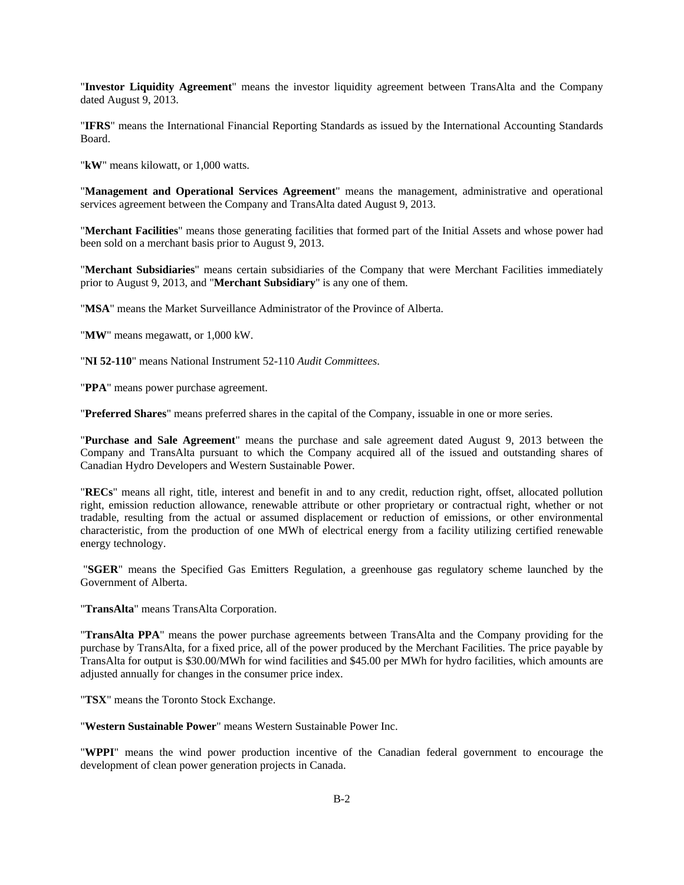"**Investor Liquidity Agreement**" means the investor liquidity agreement between TransAlta and the Company dated August 9, 2013.

"**IFRS**" means the International Financial Reporting Standards as issued by the International Accounting Standards Board.

"**kW**" means kilowatt, or 1,000 watts.

"**Management and Operational Services Agreement**" means the management, administrative and operational services agreement between the Company and TransAlta dated August 9, 2013.

"**Merchant Facilities**" means those generating facilities that formed part of the Initial Assets and whose power had been sold on a merchant basis prior to August 9, 2013.

"**Merchant Subsidiaries**" means certain subsidiaries of the Company that were Merchant Facilities immediately prior to August 9, 2013, and "**Merchant Subsidiary**" is any one of them.

"**MSA**" means the Market Surveillance Administrator of the Province of Alberta.

"**MW**" means megawatt, or 1,000 kW.

"**NI 52-110**" means National Instrument 52-110 *Audit Committees*.

"**PPA**" means power purchase agreement.

"**Preferred Shares**" means preferred shares in the capital of the Company, issuable in one or more series.

"**Purchase and Sale Agreement**" means the purchase and sale agreement dated August 9, 2013 between the Company and TransAlta pursuant to which the Company acquired all of the issued and outstanding shares of Canadian Hydro Developers and Western Sustainable Power.

"**RECs**" means all right, title, interest and benefit in and to any credit, reduction right, offset, allocated pollution right, emission reduction allowance, renewable attribute or other proprietary or contractual right, whether or not tradable, resulting from the actual or assumed displacement or reduction of emissions, or other environmental characteristic, from the production of one MWh of electrical energy from a facility utilizing certified renewable energy technology.

 "**SGER**" means the Specified Gas Emitters Regulation, a greenhouse gas regulatory scheme launched by the Government of Alberta.

"**TransAlta**" means TransAlta Corporation.

"**TransAlta PPA**" means the power purchase agreements between TransAlta and the Company providing for the purchase by TransAlta, for a fixed price, all of the power produced by the Merchant Facilities. The price payable by TransAlta for output is \$30.00/MWh for wind facilities and \$45.00 per MWh for hydro facilities, which amounts are adjusted annually for changes in the consumer price index.

"**TSX**" means the Toronto Stock Exchange.

"**Western Sustainable Power**" means Western Sustainable Power Inc.

"**WPPI**" means the wind power production incentive of the Canadian federal government to encourage the development of clean power generation projects in Canada.